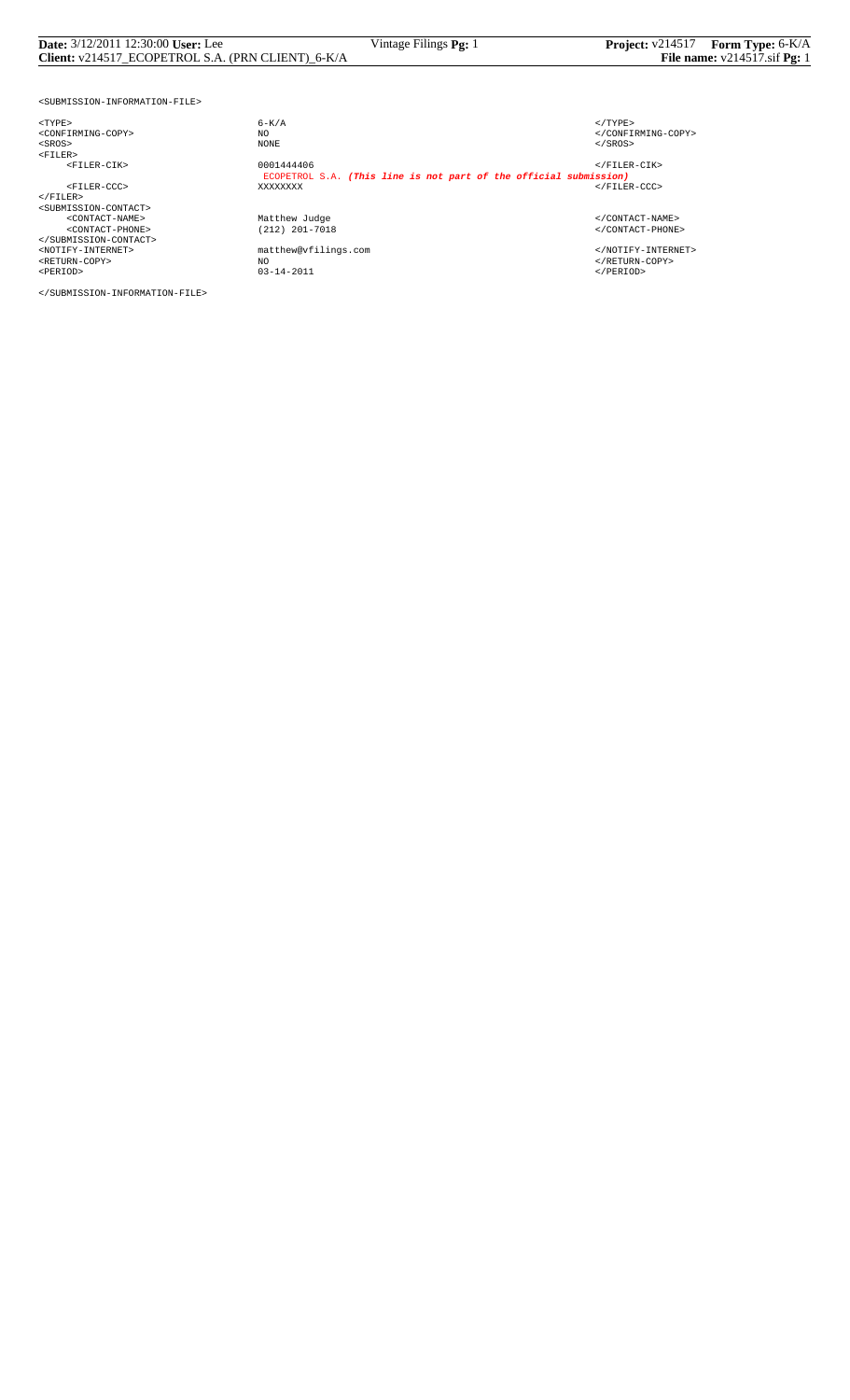| <b>Date:</b> 3/12/2011 12:30:00 User: Lee                                                            | Vintage Filings Pg: 1                                             | Project: v214517 Form Type: 6-K/A |  |  |  |
|------------------------------------------------------------------------------------------------------|-------------------------------------------------------------------|-----------------------------------|--|--|--|
| File name: $v214517 \text{.} \text{s}$ if Pg: 1<br>Client: v214517 ECOPETROL S.A. (PRN CLIENT) 6-K/A |                                                                   |                                   |  |  |  |
|                                                                                                      |                                                                   |                                   |  |  |  |
| <submission-information-file></submission-information-file>                                          |                                                                   |                                   |  |  |  |
| $<$ TYPE $>$                                                                                         | $6 - K/A$                                                         | $<$ /TYPE>                        |  |  |  |
| <confirming-copy></confirming-copy>                                                                  | NO.                                                               |                                   |  |  |  |
| $<$ SROS $>$                                                                                         | NONE                                                              | $SROS>$                           |  |  |  |
| $<$ FILER $>$                                                                                        |                                                                   |                                   |  |  |  |
| <filer-cik></filer-cik>                                                                              | 0001444406                                                        | $\langle$ /FILER-CIK>             |  |  |  |
|                                                                                                      | ECOPETROL S.A. (This line is not part of the official submission) |                                   |  |  |  |
| <filer-ccc></filer-ccc>                                                                              | XXXXXXXX                                                          | $\langle$ /FILER-CCC>             |  |  |  |
| $\langle$ /FILER>                                                                                    |                                                                   |                                   |  |  |  |
| <submission-contact></submission-contact>                                                            |                                                                   |                                   |  |  |  |
| <contact-name></contact-name>                                                                        | Matthew Judge                                                     |                                   |  |  |  |
| <contact-phone></contact-phone>                                                                      | (212) 201-7018                                                    |                                   |  |  |  |
|                                                                                                      |                                                                   |                                   |  |  |  |
| <notify-internet></notify-internet>                                                                  | matthew@vfilings.com                                              |                                   |  |  |  |
| <return-copy></return-copy>                                                                          | NO.                                                               |                                   |  |  |  |
| <period></period>                                                                                    | $03 - 14 - 2011$                                                  | $<$ /PERIOD>                      |  |  |  |

</SUBMISSION-INFORMATION-FILE>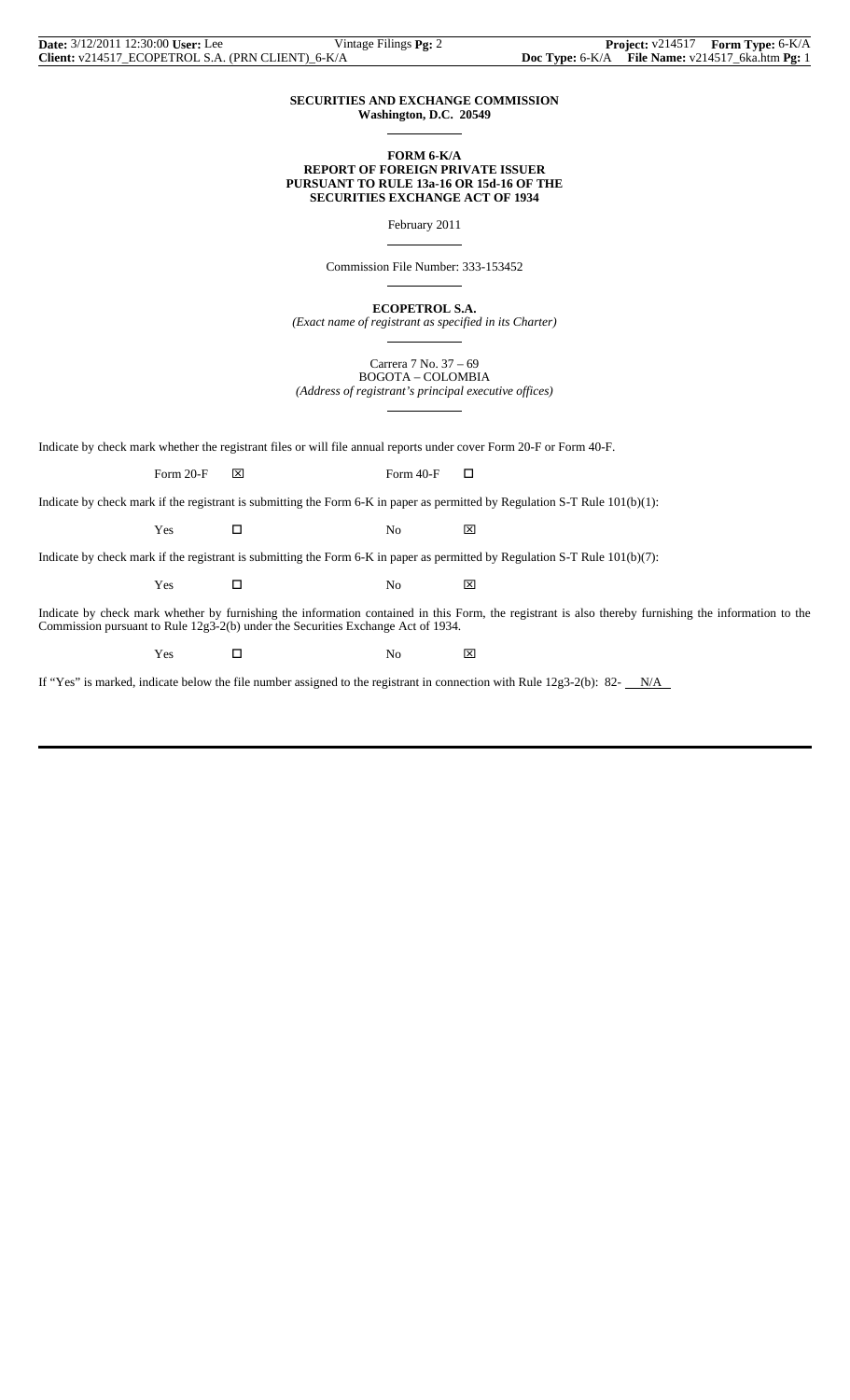| <b>Date:</b> 3/12/2011 12:30:00 User: Lee         | Vintage Filings <b>Pg:</b> 2 |                                                      | <b>Project:</b> $v214517$ <b>Form Type:</b> $6-K/A$ |
|---------------------------------------------------|------------------------------|------------------------------------------------------|-----------------------------------------------------|
| Client: v214517 ECOPETROL S.A. (PRN CLIENT) 6-K/A |                              | Doc Type: $6-K/A$ File Name: $v214517$ 6ka.htm Pg: 1 |                                                     |

#### **SECURITIES AND EXCHANGE COMMISSION Washington, D.C. 20549**

 $\overline{a}$ 

 $\overline{a}$ 

 $\overline{a}$ 

 $\overline{a}$ 

#### **FORM 6-K/A REPORT OF FOREIGN PRIVATE ISSUER PURSUANT TO RULE 13a-16 OR 15d-16 OF THE SECURITIES EXCHANGE ACT OF 1934**

February 2011

Commission File Number: 333-153452

**ECOPETROL S.A.**

*(Exact name of registrant as specified in its Charter)*  $\overline{a}$ 

> Carrera 7 No. 37 – 69 BOGOTA – COLOMBIA

*(Address of registrant's principal executive offices)*

|                                                                                                                                                                                                                                             | Form $20-F$ | ⊠ | Form 40-F | □                                                                                                                              |  |  |  |
|---------------------------------------------------------------------------------------------------------------------------------------------------------------------------------------------------------------------------------------------|-------------|---|-----------|--------------------------------------------------------------------------------------------------------------------------------|--|--|--|
| Indicate by check mark if the registrant is submitting the Form 6-K in paper as permitted by Regulation S-T Rule $101(b)(1)$ :                                                                                                              |             |   |           |                                                                                                                                |  |  |  |
|                                                                                                                                                                                                                                             | Yes         |   | No        | ⊠                                                                                                                              |  |  |  |
|                                                                                                                                                                                                                                             |             |   |           | Indicate by check mark if the registrant is submitting the Form 6-K in paper as permitted by Regulation S-T Rule $101(b)(7)$ : |  |  |  |
|                                                                                                                                                                                                                                             | Yes         |   | No        | ⊠                                                                                                                              |  |  |  |
| Indicate by check mark whether by furnishing the information contained in this Form, the registrant is also thereby furnishing the information to the<br>Commission pursuant to Rule $12g3-2(b)$ under the Securities Exchange Act of 1934. |             |   |           |                                                                                                                                |  |  |  |

Indicate by check mark whether the registrant files or will file annual reports under cover Form 20-F or Form 40-F.

 $Yes$   $\square$  No  $X$ 

If "Yes" is marked, indicate below the file number assigned to the registrant in connection with Rule  $12g3-2(b)$ : 82- $N/A$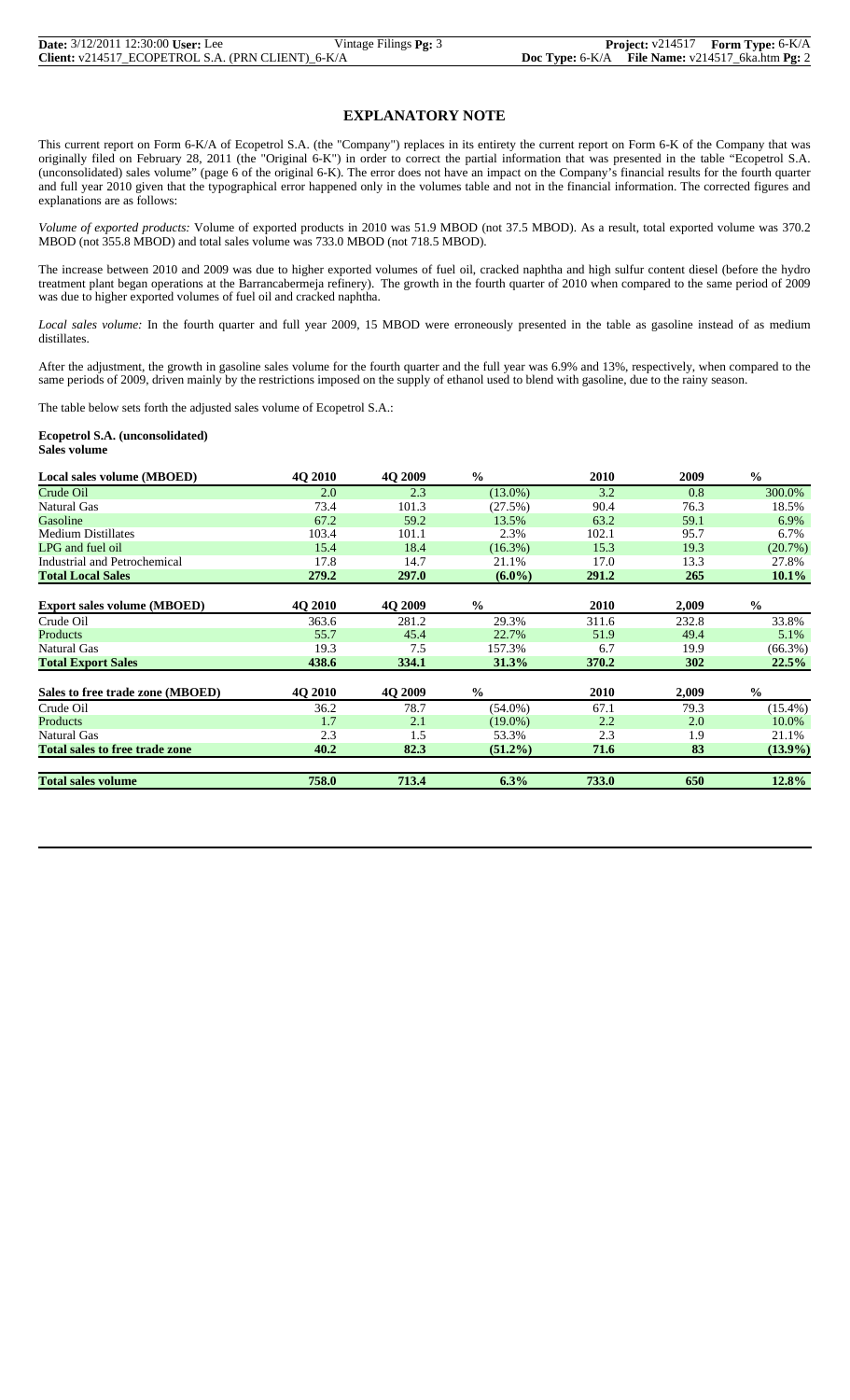| <b>Date:</b> 3/12/2011 12:30:00 User: Lee         | Vintage Filings $Pg: 3$ |  | <b>Project:</b> $v214517$ <b>Form Type:</b> $6-K/A$ |
|---------------------------------------------------|-------------------------|--|-----------------------------------------------------|
| Client: v214517_ECOPETROL S.A. (PRN CLIENT)_6-K/A |                         |  | Doc Type: 6-K/A File Name: v214517_6ka.htm Pg: 2    |

# **EXPLANATORY NOTE**

This current report on Form 6-K/A of Ecopetrol S.A. (the "Company") replaces in its entirety the current report on Form 6-K of the Company that was originally filed on February 28, 2011 (the "Original 6-K") in order to correct the partial information that was presented in the table "Ecopetrol S.A. (unconsolidated) sales volume" (page 6 of the original 6-K). The error does not have an impact on the Company's financial results for the fourth quarter and full year 2010 given that the typographical error happened only in the volumes table and not in the financial information. The corrected figures and explanations are as follows:

*Volume of exported products:* Volume of exported products in 2010 was 51.9 MBOD (not 37.5 MBOD). As a result, total exported volume was 370.2 MBOD (not 355.8 MBOD) and total sales volume was 733.0 MBOD (not 718.5 MBOD).

The increase between 2010 and 2009 was due to higher exported volumes of fuel oil, cracked naphtha and high sulfur content diesel (before the hydro treatment plant began operations at the Barrancabermeja refinery). The growth in the fourth quarter of 2010 when compared to the same period of 2009 was due to higher exported volumes of fuel oil and cracked naphtha.

*Local sales volume:* In the fourth quarter and full year 2009, 15 MBOD were erroneously presented in the table as gasoline instead of as medium distillates.

After the adjustment, the growth in gasoline sales volume for the fourth quarter and the full year was 6.9% and 13%, respectively, when compared to the same periods of 2009, driven mainly by the restrictions imposed on the supply of ethanol used to blend with gasoline, due to the rainy season.

The table below sets forth the adjusted sales volume of Ecopetrol S.A.:

**Ecopetrol S.A. (unconsolidated) Sales volume**

| Local sales volume (MBOED)            | 4Q 2010 | 4Q 2009 | $\frac{0}{0}$ | 2010  | 2009  | $\frac{0}{0}$ |
|---------------------------------------|---------|---------|---------------|-------|-------|---------------|
| Crude Oil                             | 2.0     | 2.3     | $(13.0\%)$    | 3.2   | 0.8   | 300.0%        |
| Natural Gas                           | 73.4    | 101.3   | (27.5%)       | 90.4  | 76.3  | 18.5%         |
| Gasoline                              | 67.2    | 59.2    | 13.5%         | 63.2  | 59.1  | 6.9%          |
| <b>Medium Distillates</b>             | 103.4   | 101.1   | 2.3%          | 102.1 | 95.7  | 6.7%          |
| LPG and fuel oil                      | 15.4    | 18.4    | $(16.3\%)$    | 15.3  | 19.3  | (20.7%)       |
| Industrial and Petrochemical          | 17.8    | 14.7    | 21.1%         | 17.0  | 13.3  | 27.8%         |
| <b>Total Local Sales</b>              | 279.2   | 297.0   | $(6.0\%)$     | 291.2 | 265   | 10.1%         |
| <b>Export sales volume (MBOED)</b>    | 4Q 2010 | 4O 2009 | $\frac{0}{0}$ | 2010  | 2,009 | $\frac{0}{0}$ |
| Crude Oil                             | 363.6   | 281.2   | 29.3%         | 311.6 | 232.8 | 33.8%         |
| Products                              | 55.7    | 45.4    | 22.7%         | 51.9  | 49.4  | 5.1%          |
| Natural Gas                           | 19.3    | 7.5     | 157.3%        | 6.7   | 19.9  | $(66.3\%)$    |
| <b>Total Export Sales</b>             | 438.6   | 334.1   | 31.3%         | 370.2 | 302   | 22.5%         |
| Sales to free trade zone (MBOED)      | 4Q 2010 | 4Q 2009 | $\frac{0}{0}$ | 2010  | 2,009 | $\frac{0}{0}$ |
| Crude Oil                             | 36.2    | 78.7    | $(54.0\%)$    | 67.1  | 79.3  | $(15.4\%)$    |
| Products                              | 1.7     | 2.1     | $(19.0\%)$    | 2.2   | 2.0   | 10.0%         |
| Natural Gas                           | 2.3     | 1.5     | 53.3%         | 2.3   | 1.9   | 21.1%         |
| <b>Total sales to free trade zone</b> | 40.2    | 82.3    | $(51.2\%)$    | 71.6  | 83    | $(13.9\%)$    |
| <b>Total sales volume</b>             | 758.0   | 713.4   | 6.3%          | 733.0 | 650   | 12.8%         |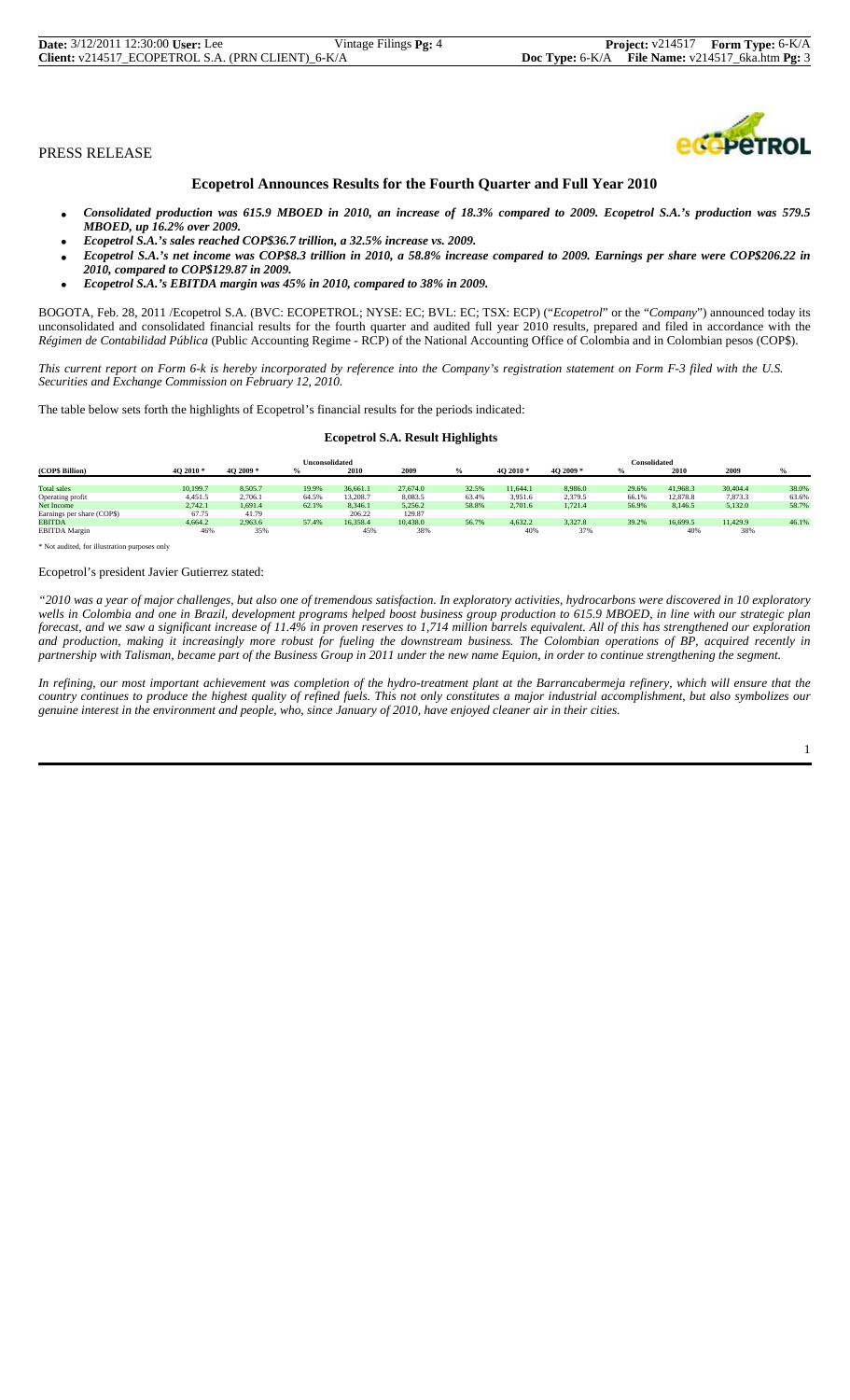| <b>Date:</b> 3/12/2011 12:30:00 User: Lee         | Vintage Filings <b>Pg:</b> 4 |                                                  | <b>Project:</b> $v214517$ <b>Form Type:</b> $6-K/A$ |
|---------------------------------------------------|------------------------------|--------------------------------------------------|-----------------------------------------------------|
| Client: v214517_ECOPETROL S.A. (PRN CLIENT)_6-K/A |                              | Doc Type: 6-K/A File Name: v214517_6ka.htm Pg: 3 |                                                     |



# **Ecopetrol Announces Results for the Fourth Quarter and Full Year 2010**

- *Consolidated production was 615.9 MBOED in 2010, an increase of 18.3% compared to 2009. Ecopetrol S.A.'s production was 579.5 MBOED, up 16.2% over 2009.*
- *Ecopetrol S.A.'s sales reached COP\$36.7 trillion, a 32.5% increase vs. 2009.*
- *Ecopetrol S.A.'s net income was COP\$8.3 trillion in 2010, a 58.8% increase compared to 2009. Earnings per share were COP\$206.22 in 2010, compared to COP\$129.87 in 2009.*
- *Ecopetrol S.A.'s EBITDA margin was 45% in 2010, compared to 38% in 2009.*

BOGOTA, Feb. 28, 2011 /Ecopetrol S.A. (BVC: ECOPETROL; NYSE: EC; BVL: EC; TSX: ECP) ("*Ecopetrol*" or the "*Company*") announced today its unconsolidated and consolidated financial results for the fourth quarter and audited full year 2010 results, prepared and filed in accordance with the *Régimen de Contabilidad Pública* (Public Accounting Regime - RCP) of the National Accounting Office of Colombia and in Colombian pesos (COP\$).

*This current report on Form 6-k is hereby incorporated by reference into the Company's registration statement on Form F-3 filed with the U.S. Securities and Exchange Commission on February 12, 2010.*

The table below sets forth the highlights of Ecopetrol's financial results for the periods indicated:

#### **Ecopetrol S.A. Result Highlights**

| Unconsolidated             |           |           |       | <b>Consolidated</b> |          |       |           |          |       |          |          |       |
|----------------------------|-----------|-----------|-------|---------------------|----------|-------|-----------|----------|-------|----------|----------|-------|
| (COP\$ Billion)            | 40 2010 * | 4O 2009 * |       | 2010                | 2009     |       | 4O 2010 * | 4O 2009* | $\%$  | 2010     | 2009     |       |
|                            |           |           |       |                     |          |       |           |          |       |          |          |       |
| Total sales                | 10.199.7  | 8.505.7   | 19.9% | 36,661.1            | 27,674.0 | 32.5% | 11.644.1  | 8.986.0  | 29.6% | 41.968.3 | 30,404.4 | 38.0% |
| Operating profit           | 4.451.5   | 2.706.1   | 64.5% | 13.208.3            | 8.083.5  | 63.4% | 3.951.6   | 2.379.5  | 66.1% | 12,878.8 | 7,873.3  | 63.6% |
| Net Income                 | 2.742.1   | 1.691.4   | 62.1% | 8.346.1             | 5.256.2  | 58.8% | 2.701.6   | 1.721.4  | 56.9% | 8.146.5  | 5,132.0  | 58.7% |
| Earnings per share (COP\$) | 67.75     | 41.79     |       | 206.22              | 129.87   |       |           |          |       |          |          |       |
| <b>EBITDA</b>              | 4.664.2   | 2.963.6   | 57.4% | 16.358.4            | 10.438.0 | 56.7% | 4.632.2   | 3.327.8  | 39.2% | 16,699.5 | 11.429.9 | 46.1% |
| <b>EBITDA</b> Margin       | 46%       | 35%       |       | 45%                 | 38%      |       | 40%       | 37%      |       | 40%      | 38%      |       |

\* Not audited, for illustration purposes only

#### Ecopetrol's president Javier Gutierrez stated:

*"2010 was a year of major challenges, but also one of tremendous satisfaction. In exploratory activities, hydrocarbons were discovered in 10 exploratory wells in Colombia and one in Brazil, development programs helped boost business group production to 615.9 MBOED, in line with our strategic plan forecast, and we saw a significant increase of 11.4% in proven reserves to 1,714 million barrels equivalent. All of this has strengthened our exploration and production, making it increasingly more robust for fueling the downstream business. The Colombian operations of BP, acquired recently in partnership with Talisman, became part of the Business Group in 2011 under the new name Equion, in order to continue strengthening the segment.* 

*In refining, our most important achievement was completion of the hydro-treatment plant at the Barrancabermeja refinery, which will ensure that the country continues to produce the highest quality of refined fuels. This not only constitutes a major industrial accomplishment, but also symbolizes our genuine interest in the environment and people, who, since January of 2010, have enjoyed cleaner air in their cities.*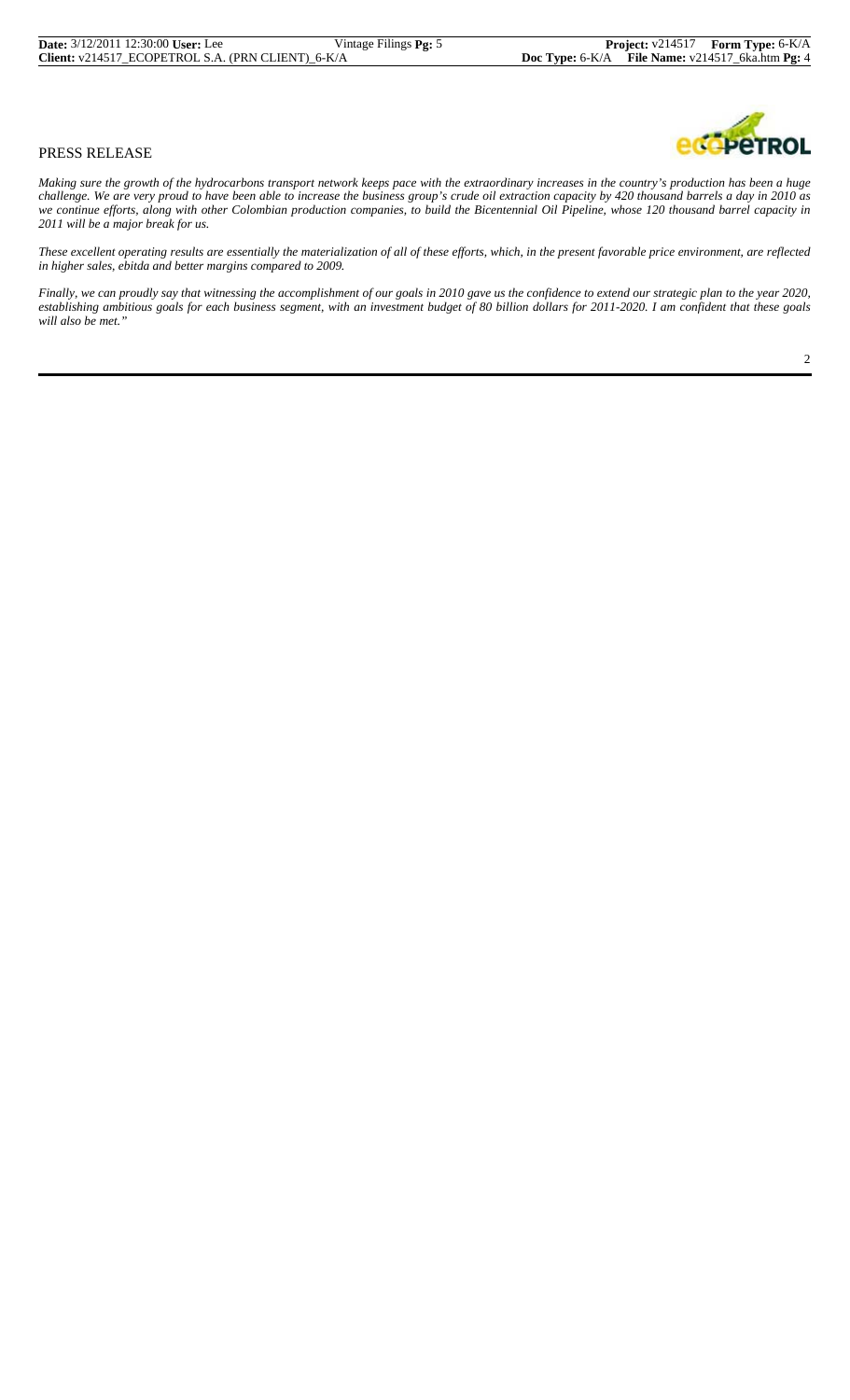*Making sure the growth of the hydrocarbons transport network keeps pace with the extraordinary increases in the country's production has been a huge challenge. We are very proud to have been able to increase the business group's crude oil extraction capacity by 420 thousand barrels a day in 2010 as we continue efforts, along with other Colombian production companies, to build the Bicentennial Oil Pipeline, whose 120 thousand barrel capacity in 2011 will be a major break for us.*

*These excellent operating results are essentially the materialization of all of these efforts, which, in the present favorable price environment, are reflected in higher sales, ebitda and better margins compared to 2009.*

*Finally, we can proudly say that witnessing the accomplishment of our goals in 2010 gave us the confidence to extend our strategic plan to the year 2020, establishing ambitious goals for each business segment, with an investment budget of 80 billion dollars for 2011-2020. I am confident that these goals will also be met."*

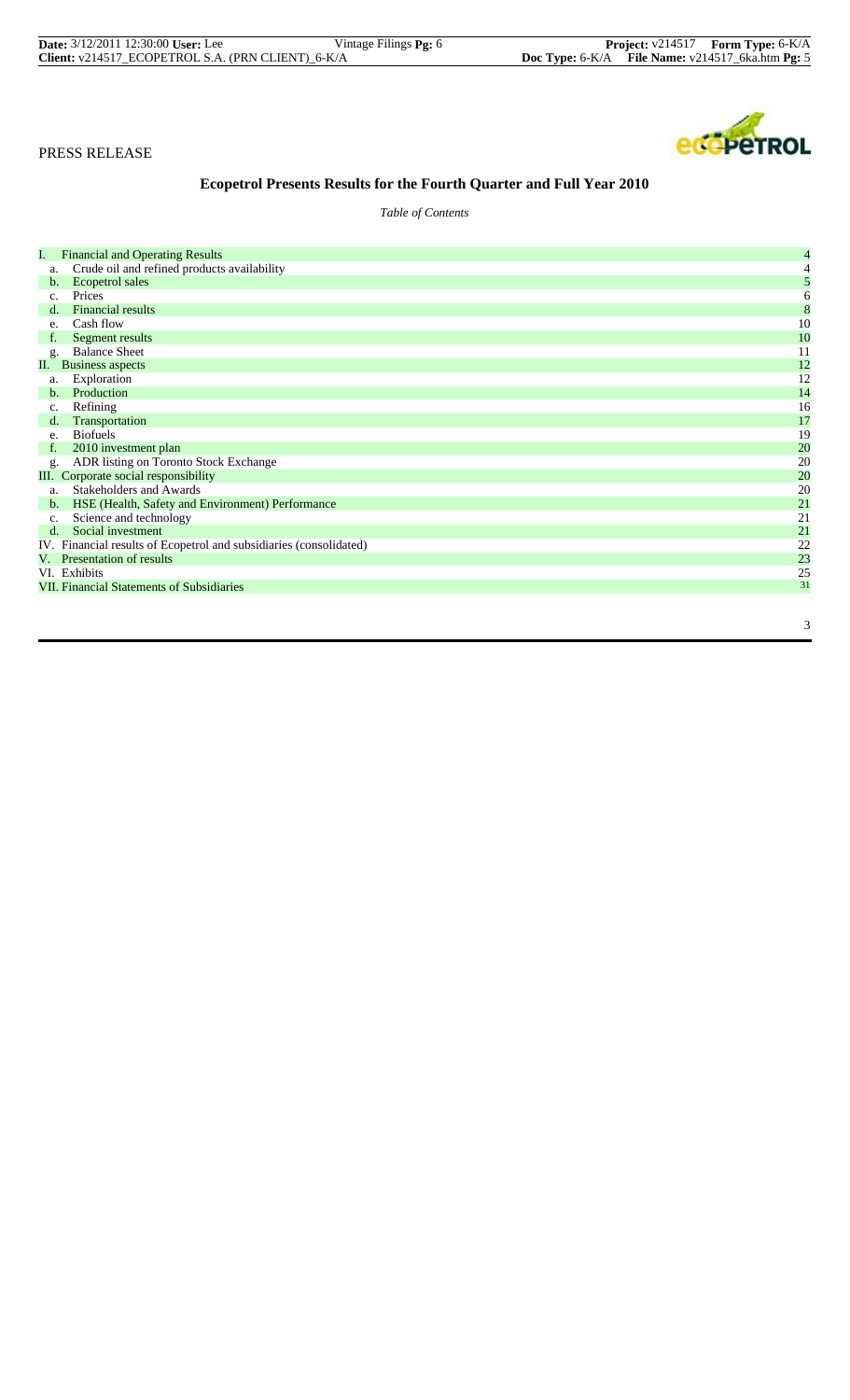| <b>Date:</b> 3/12/2011 12:30:00 User: Lee         | Vintage Filings <b>Pg</b> : 6 |                                                      | <b>Project:</b> v214517 Form Type: 6-K/A |
|---------------------------------------------------|-------------------------------|------------------------------------------------------|------------------------------------------|
| Client: v214517_ECOPETROL S.A. (PRN CLIENT)_6-K/A |                               | Doc Type: $6-K/A$ File Name: $v214517$ 6ka.htm Pg: 5 |                                          |



# **Ecopetrol Presents Results for the Fourth Quarter and Full Year 2010**

*Table of Contents*

| I.             | <b>Financial and Operating Results</b>                             | 4  |
|----------------|--------------------------------------------------------------------|----|
| a.             | Crude oil and refined products availability                        |    |
| b.             | Ecopetrol sales                                                    | 5  |
| c.             | Prices                                                             | 6  |
| d.             | <b>Financial results</b>                                           | 8  |
| e.             | Cash flow                                                          | 10 |
| f.             | Segment results                                                    | 10 |
| g.             | <b>Balance Sheet</b>                                               | 11 |
| П.             | <b>Business aspects</b>                                            | 12 |
| a.             | Exploration                                                        | 12 |
| b.             | Production                                                         | 14 |
| c.             | Refining                                                           | 16 |
| $d_{\cdot}$    | Transportation                                                     | 17 |
| e.             | <b>Biofuels</b>                                                    | 19 |
| f.             | 2010 investment plan                                               | 20 |
| g.             | ADR listing on Toronto Stock Exchange                              | 20 |
|                | III. Corporate social responsibility                               | 20 |
| a.             | <b>Stakeholders and Awards</b>                                     | 20 |
| $\mathbf{b}$ . | HSE (Health, Safety and Environment) Performance                   | 21 |
| c.             | Science and technology                                             | 21 |
| $d$ .          | Social investment                                                  | 21 |
|                | IV. Financial results of Ecopetrol and subsidiaries (consolidated) | 22 |
|                | V. Presentation of results                                         | 23 |
|                | VI. Exhibits                                                       | 25 |
|                | <b>VII. Financial Statements of Subsidiaries</b>                   | 31 |
|                |                                                                    |    |
|                |                                                                    |    |
|                |                                                                    | 3  |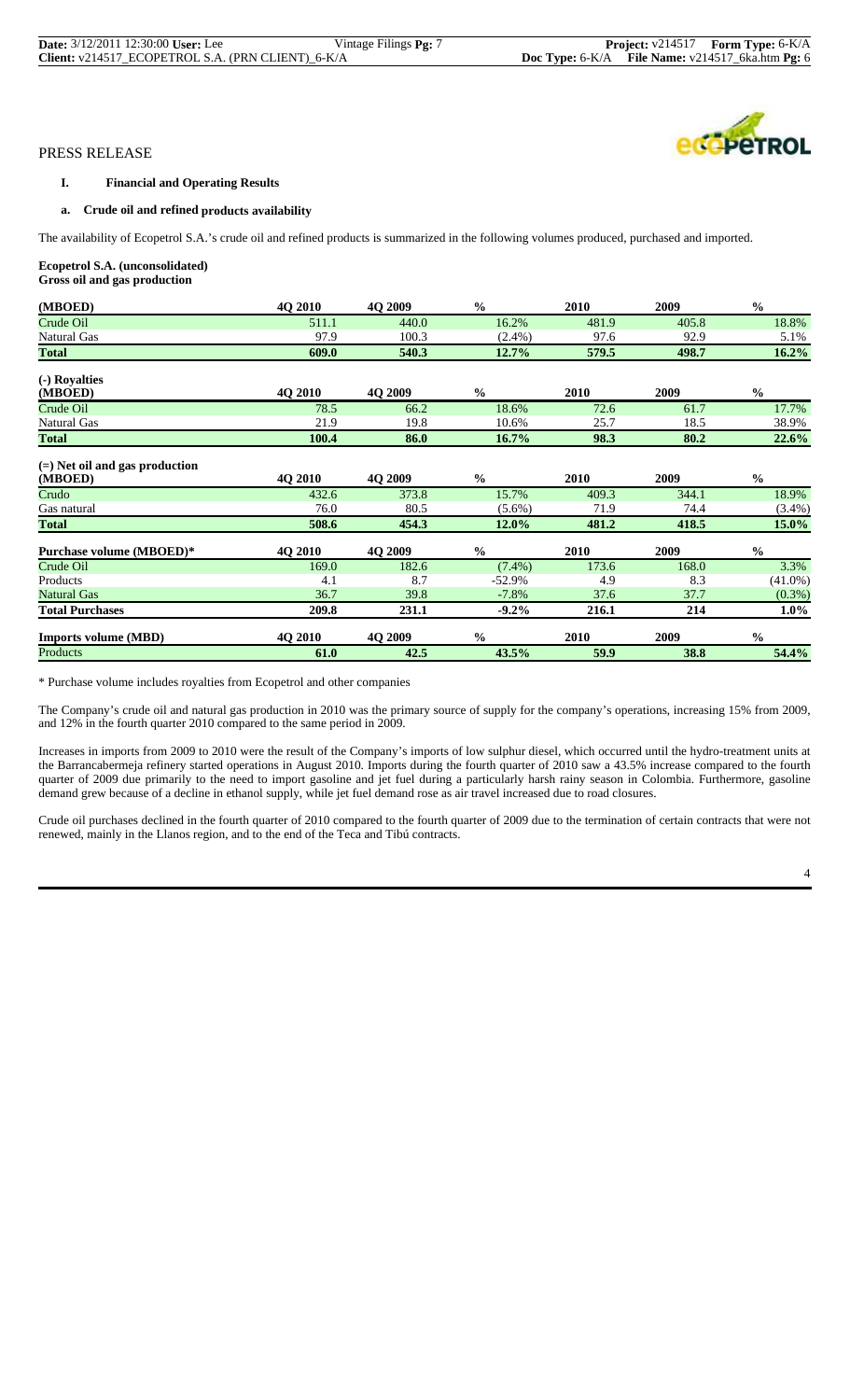| <b>Date:</b> 3/12/2011 12:30:00 User: Lee         | Vintage Filings <b>Pg:</b> 7 |  | <b>Project:</b> $v214517$ <b>Form Type:</b> $6-K/A$ |
|---------------------------------------------------|------------------------------|--|-----------------------------------------------------|
| Client: v214517_ECOPETROL S.A. (PRN CLIENT)_6-K/A |                              |  | Doc Type: 6-K/A File Name: v214517_6ka.htm Pg: 6    |

### **I. Financial and Operating Results**

# **a. Crude oil and refined products availability**

The availability of Ecopetrol S.A.'s crude oil and refined products is summarized in the following volumes produced, purchased and imported.

### **Ecopetrol S.A. (unconsolidated)**

**Gross oil and gas production**

| (MBOED)                                     | <b>40 2010</b> | 4Q 2009        | $\frac{0}{0}$ | 2010        | 2009  | $\frac{0}{0}$ |
|---------------------------------------------|----------------|----------------|---------------|-------------|-------|---------------|
| Crude Oil                                   | 511.1          | 440.0          | 16.2%         | 481.9       | 405.8 | 18.8%         |
| <b>Natural Gas</b>                          | 97.9           | 100.3          | $(2.4\%)$     | 97.6        | 92.9  | 5.1%          |
| <b>Total</b>                                | 609.0          | 540.3          | 12.7%         | 579.5       | 498.7 | 16.2%         |
| (-) Royalties                               |                |                |               |             |       |               |
| (MBOED)                                     | <b>40 2010</b> | <b>4O 2009</b> | $\frac{0}{0}$ | 2010        | 2009  | $\frac{0}{0}$ |
| Crude Oil                                   | 78.5           | 66.2           | 18.6%         | 72.6        | 61.7  | 17.7%         |
| <b>Natural Gas</b>                          | 21.9           | 19.8           | 10.6%         | 25.7        | 18.5  | 38.9%         |
| <b>Total</b>                                | 100.4          | 86.0           | 16.7%         | 98.3        | 80.2  | 22.6%         |
| $(=)$ Net oil and gas production<br>(MBOED) | 4Q 2010        | 4Q 2009        | $\frac{0}{0}$ | <b>2010</b> | 2009  | $\frac{0}{0}$ |
| Crudo                                       | 432.6          | 373.8          | 15.7%         | 409.3       | 344.1 | 18.9%         |
| Gas natural                                 | 76.0           | 80.5           | $(5.6\%)$     | 71.9        | 74.4  | $(3.4\%)$     |
| <b>Total</b>                                | 508.6          | 454.3          | 12.0%         | 481.2       | 418.5 | 15.0%         |
| Purchase volume (MBOED)*                    | 4Q 2010        | 4Q 2009        | $\frac{0}{0}$ | 2010        | 2009  | $\frac{0}{0}$ |
| Crude Oil                                   | 169.0          | 182.6          | $(7.4\%)$     | 173.6       | 168.0 | 3.3%          |
| Products                                    | 4.1            | 8.7            | $-52.9%$      | 4.9         | 8.3   | $(41.0\%)$    |
| <b>Natural Gas</b>                          | 36.7           | 39.8           | $-7.8%$       | 37.6        | 37.7  | $(0.3\%)$     |
| <b>Total Purchases</b>                      | 209.8          | 231.1          | $-9.2\%$      | 216.1       | 214   | $1.0\%$       |
| <b>Imports volume (MBD)</b>                 | <b>40 2010</b> | <b>40 2009</b> | $\frac{0}{0}$ | <b>2010</b> | 2009  | $\frac{0}{0}$ |
| Products                                    | 61.0           | 42.5           | 43.5%         | 59.9        | 38.8  | 54.4%         |

\* Purchase volume includes royalties from Ecopetrol and other companies

The Company's crude oil and natural gas production in 2010 was the primary source of supply for the company's operations, increasing 15% from 2009, and 12% in the fourth quarter 2010 compared to the same period in 2009.

Increases in imports from 2009 to 2010 were the result of the Company's imports of low sulphur diesel, which occurred until the hydro-treatment units at the Barrancabermeja refinery started operations in August 2010. Imports during the fourth quarter of 2010 saw a 43.5% increase compared to the fourth quarter of 2009 due primarily to the need to import gasoline and jet fuel during a particularly harsh rainy season in Colombia. Furthermore, gasoline demand grew because of a decline in ethanol supply, while jet fuel demand rose as air travel increased due to road closures.

Crude oil purchases declined in the fourth quarter of 2010 compared to the fourth quarter of 2009 due to the termination of certain contracts that were not renewed, mainly in the Llanos region, and to the end of the Teca and Tibú contracts.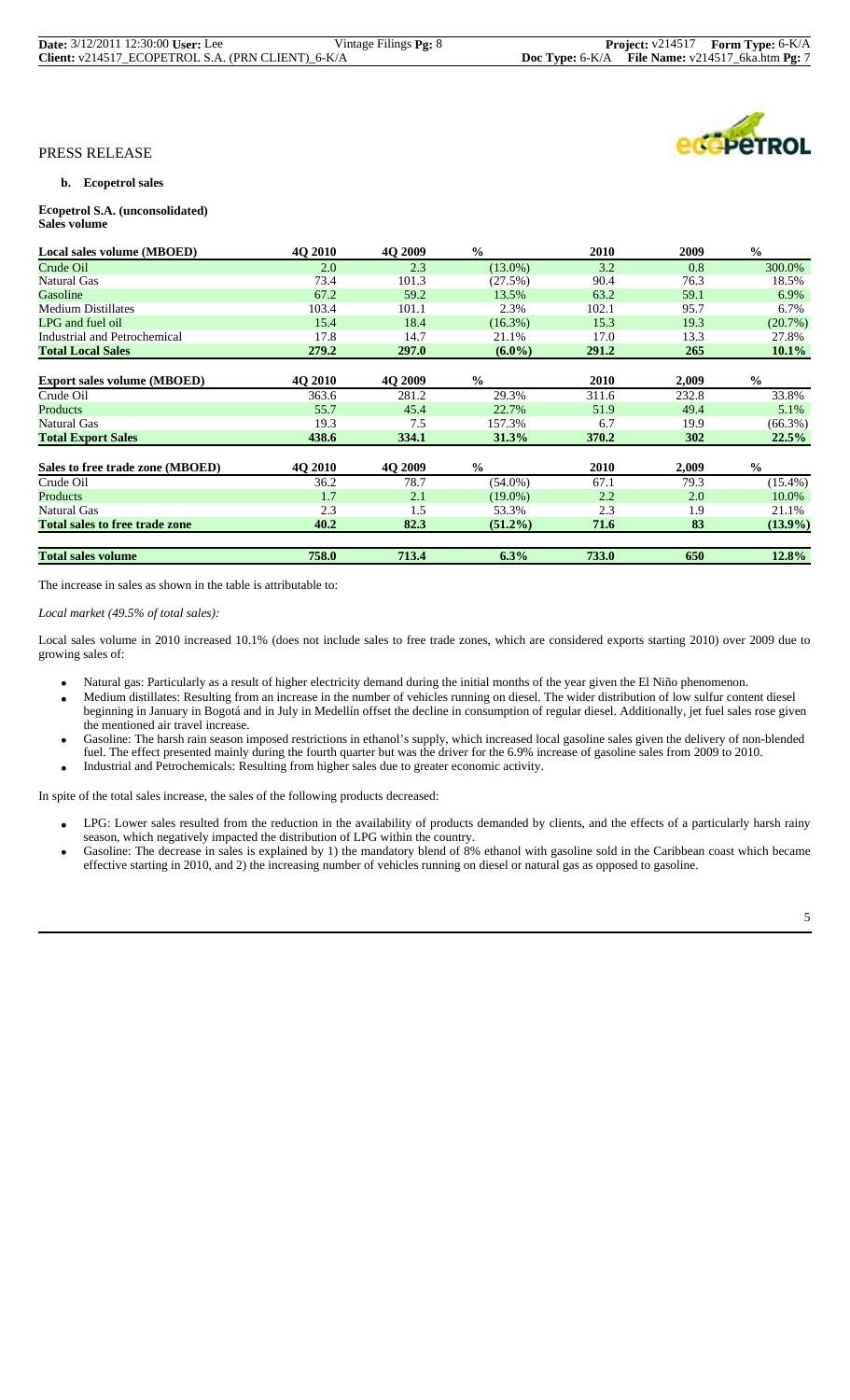| <b>Date:</b> 3/12/2011 12:30:00 User: Lee         | Vintage Filings <b>Pg:</b> 8 |                                                      | <b>Project:</b> $v214517$ <b>Form Type:</b> $6-K/A$ |
|---------------------------------------------------|------------------------------|------------------------------------------------------|-----------------------------------------------------|
| Client: v214517_ECOPETROL S.A. (PRN CLIENT)_6-K/A |                              | Doc Type: $6-K/A$ File Name: $v214517$ 6ka.htm Pg: 7 |                                                     |

**COPETROL** 

#### PRESS RELEASE

#### **b. Ecopetrol sales**

#### **Ecopetrol S.A. (unconsolidated) Sales volume**

| Local sales volume (MBOED)            | <b>40 2010</b> | 4O 2009      | $\frac{0}{0}$ | 2010        | 2009  | $\frac{0}{0}$ |
|---------------------------------------|----------------|--------------|---------------|-------------|-------|---------------|
| Crude Oil                             | 2.0            | 2.3          | $(13.0\%)$    | 3.2         | 0.8   | 300.0%        |
| Natural Gas                           | 73.4           | 101.3        | (27.5%)       | 90.4        | 76.3  | 18.5%         |
| Gasoline                              | 67.2           | 59.2         | 13.5%         | 63.2        | 59.1  | 6.9%          |
| <b>Medium Distillates</b>             | 103.4          | 101.1        | 2.3%          | 102.1       | 95.7  | 6.7%          |
| LPG and fuel oil                      | 15.4           | 18.4         | $(16.3\%)$    | 15.3        | 19.3  | (20.7%)       |
| Industrial and Petrochemical          | 17.8           | 14.7         | 21.1%         | 17.0        | 13.3  | 27.8%         |
| <b>Total Local Sales</b>              | 279.2          | <b>297.0</b> | $(6.0\%)$     | 291.2       | 265   | $10.1\%$      |
|                                       |                |              |               |             |       |               |
| <b>Export sales volume (MBOED)</b>    | <b>40 2010</b> | 4O 2009      | $\frac{0}{0}$ | <b>2010</b> | 2,009 | $\frac{0}{0}$ |
| Crude Oil                             | 363.6          | 281.2        | 29.3%         | 311.6       | 232.8 | 33.8%         |
| Products                              | 55.7           | 45.4         | 22.7%         | 51.9        | 49.4  | 5.1%          |
| Natural Gas                           | 19.3           | 7.5          | 157.3%        | 6.7         | 19.9  | $(66.3\%)$    |
| <b>Total Export Sales</b>             | 438.6          | 334.1        | 31.3%         | 370.2       | 302   | 22.5%         |
| Sales to free trade zone (MBOED)      | 4Q 2010        | 4Q 2009      | $\frac{0}{0}$ | 2010        | 2,009 | $\frac{0}{0}$ |
| Crude Oil                             | 36.2           | 78.7         | $(54.0\%)$    | 67.1        | 79.3  | $(15.4\%)$    |
| Products                              | 1.7            | 2.1          | $(19.0\%)$    | 2.2         | 2.0   | 10.0%         |
| Natural Gas                           | 2.3            | 1.5          | 53.3%         | 2.3         | 1.9   | 21.1%         |
| <b>Total sales to free trade zone</b> | 40.2           | 82.3         | $(51.2\%)$    | 71.6        | 83    | $(13.9\%)$    |
| <b>Total sales volume</b>             | 758.0          | 713.4        | 6.3%          | 733.0       | 650   | 12.8%         |

The increase in sales as shown in the table is attributable to:

*Local market (49.5% of total sales):*

Local sales volume in 2010 increased 10.1% (does not include sales to free trade zones, which are considered exports starting 2010) over 2009 due to growing sales of:

- Natural gas: Particularly as a result of higher electricity demand during the initial months of the year given the El Niño phenomenon.
- Medium distillates: Resulting from an increase in the number of vehicles running on diesel. The wider distribution of low sulfur content diesel beginning in January in Bogotá and in July in Medellín offset the decline in consumption of regular diesel. Additionally, jet fuel sales rose given the mentioned air travel increase.
- Gasoline: The harsh rain season imposed restrictions in ethanol's supply, which increased local gasoline sales given the delivery of non-blended fuel. The effect presented mainly during the fourth quarter but was the driver for the 6.9% increase of gasoline sales from 2009 to 2010.<br>Industrial and Petrochemicals: Resulting from higher sales due to greater economic a
- 

In spite of the total sales increase, the sales of the following products decreased:

- LPG: Lower sales resulted from the reduction in the availability of products demanded by clients, and the effects of a particularly harsh rainy
- season, which negatively impacted the distribution of LPG within the country.<br>• Gasoline: The decrease in sales is explained by 1) the mandatory blend of 8% ethanol with gasoline sold in the Caribbean coast which became effective starting in 2010, and 2) the increasing number of vehicles running on diesel or natural gas as opposed to gasoline.

5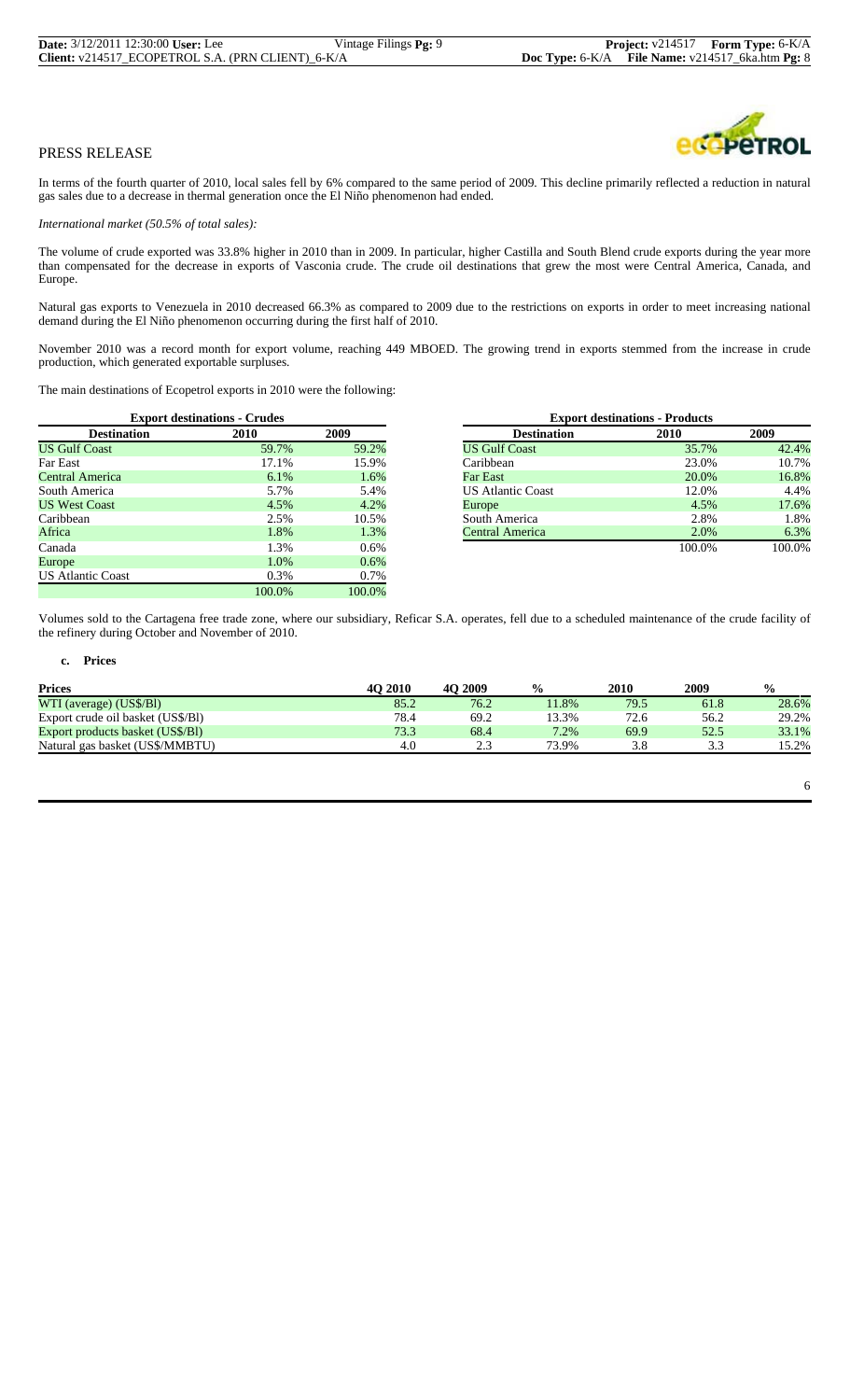

In terms of the fourth quarter of 2010, local sales fell by 6% compared to the same period of 2009. This decline primarily reflected a reduction in natural gas sales due to a decrease in thermal generation once the El Niño phenomenon had ended.

*International market (50.5% of total sales):*

The volume of crude exported was 33.8% higher in 2010 than in 2009. In particular, higher Castilla and South Blend crude exports during the year more than compensated for the decrease in exports of Vasconia crude. The crude oil destinations that grew the most were Central America, Canada, and Europe.

Natural gas exports to Venezuela in 2010 decreased 66.3% as compared to 2009 due to the restrictions on exports in order to meet increasing national demand during the El Niño phenomenon occurring during the first half of 2010.

November 2010 was a record month for export volume, reaching 449 MBOED. The growing trend in exports stemmed from the increase in crude production, which generated exportable surpluses.

The main destinations of Ecopetrol exports in 2010 were the following:

|                          | <b>Export destinations - Crudes</b> |         |                          | <b>Export destinations - Products</b> |        |
|--------------------------|-------------------------------------|---------|--------------------------|---------------------------------------|--------|
| <b>Destination</b>       | 2010                                | 2009    | <b>Destination</b>       | 2010                                  | 2009   |
| <b>US Gulf Coast</b>     | 59.7%                               | 59.2%   | <b>US Gulf Coast</b>     | 35.7%                                 | 42.4%  |
| Far East                 | 17.1%                               | 15.9%   | Caribbean                | 23.0%                                 | 10.7%  |
| Central America          | $6.1\%$                             | 1.6%    | Far East                 | 20.0%                                 | 16.8%  |
| South America            | 5.7%                                | 5.4%    | <b>US Atlantic Coast</b> | 12.0%                                 | 4.4%   |
| <b>US West Coast</b>     | 4.5%                                | 4.2%    | Europe                   | 4.5%                                  | 17.6%  |
| Caribbean                | 2.5%                                | 10.5%   | South America            | 2.8%                                  | 1.8%   |
| Africa                   | 1.8%                                | 1.3%    | Central America          | 2.0%                                  | 6.3%   |
| Canada                   | .3%                                 | $0.6\%$ |                          | 100.0%                                | 100.0% |
| Europe                   | 1.0%                                | 0.6%    |                          |                                       |        |
| <b>US Atlantic Coast</b> | 0.3%                                | 0.7%    |                          |                                       |        |
|                          | 100.0%                              | 100.0%  |                          |                                       |        |

| <b>Export destinations - Crudes</b> |         |       |                          | <b>Export destinations - Products</b> |      |
|-------------------------------------|---------|-------|--------------------------|---------------------------------------|------|
| Destination                         | 2010    | 2009  | <b>Destination</b>       | 2010                                  | 2009 |
| Coast                               | 59.7%   | 59.2% | <b>US Gulf Coast</b>     | 35.7%                                 |      |
|                                     | 17.1%   | 15.9% | Caribbean                | 23.0%                                 |      |
| merica                              | $6.1\%$ | 1.6%  | Far East                 | 20.0%                                 |      |
| erica                               | 5.7%    | 5.4%  | <b>US Atlantic Coast</b> | 12.0%                                 |      |
| Coast                               | 4.5%    | 4.2%  | Europe                   | 4.5%                                  |      |
|                                     | 2.5%    | 10.5% | South America            | 2.8%                                  |      |
|                                     | 1.8%    | 1.3%  | Central America          | 2.0%                                  |      |
|                                     | 1.3%    | 0.6%  |                          | 100.0%                                |      |

Volumes sold to the Cartagena free trade zone, where our subsidiary, Reficar S.A. operates, fell due to a scheduled maintenance of the crude facility of the refinery during October and November of 2010.

#### **c. Prices**

| <b>Prices</b>                     | <b>40 2010</b> | 2009<br>40 | $\frac{0}{0}$ | <b>2010</b> | 2009 | $\frac{0}{0}$ |
|-----------------------------------|----------------|------------|---------------|-------------|------|---------------|
| WTI (average) (US\$/Bl)           | 85.2           | 76.2       | 11.8%         | 79.5        | 61.8 | 28.6%         |
| Export crude oil basket (US\$/B1) | 78.4           | 69.2       | 13.3%         | 72.6        | 56.2 | 29.2%         |
| Export products basket (US\$/BI)  | 73.3           | 68.4       | $7.2\%$       | 69.9        | 52.5 | 33.1%         |
| Natural gas basket (US\$/MMBTU)   | 4.0            | ے وگ       | 73.9%         | 3.8         | 3.3  | 15.2%         |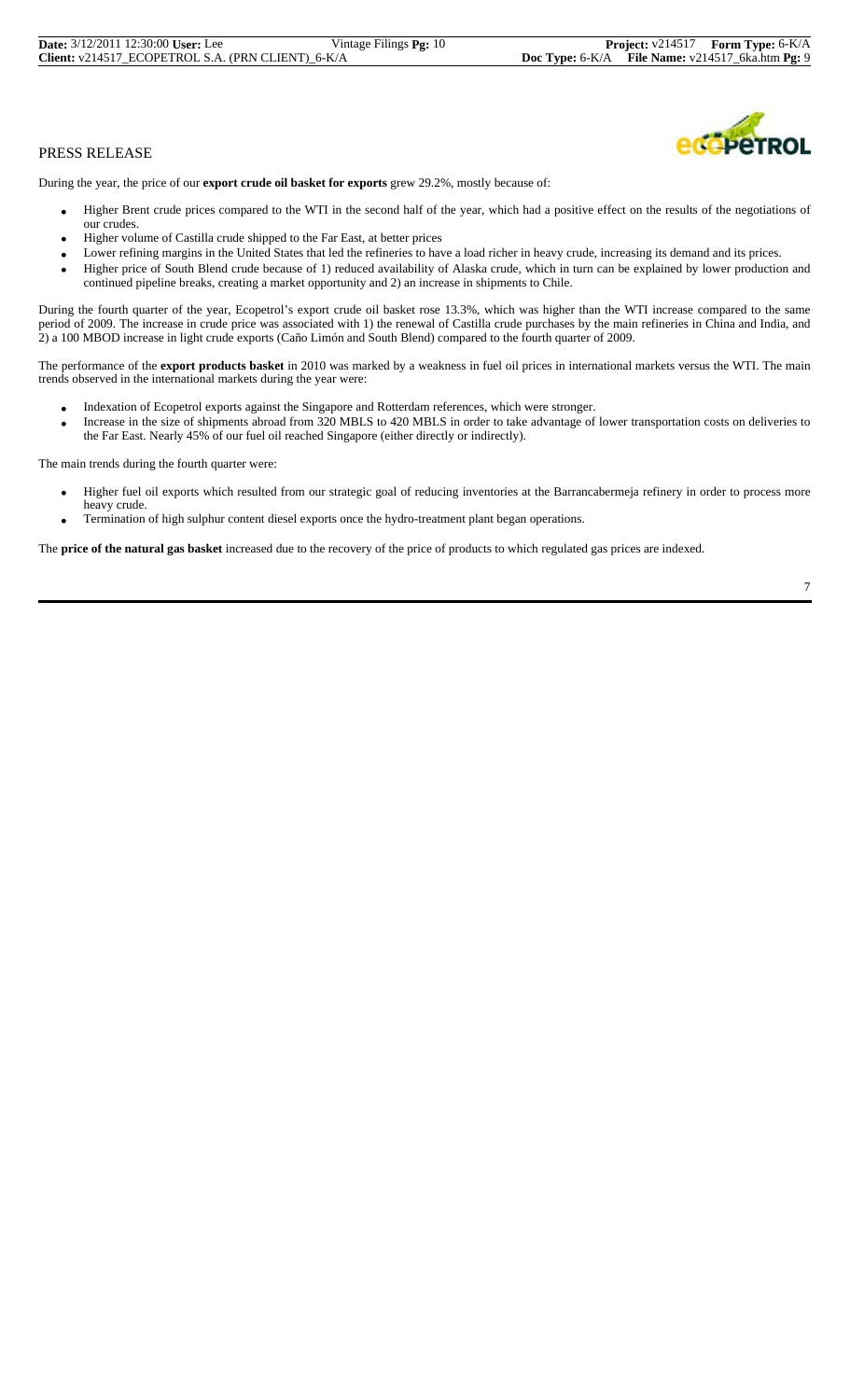| <b>Date:</b> 3/12/2011 12:30:00 User: Lee         | Vintage Filings <b>Pg:</b> 10 |
|---------------------------------------------------|-------------------------------|
| Client: v214517 ECOPETROL S.A. (PRN CLIENT) 6-K/A |                               |



During the year, the price of our **export crude oil basket for exports** grew 29.2%, mostly because of:

- Higher Brent crude prices compared to the WTI in the second half of the year, which had a positive effect on the results of the negotiations of our crudes.
- Higher volume of Castilla crude shipped to the Far East, at better prices
- Lower refining margins in the United States that led the refineries to have a load richer in heavy crude, increasing its demand and its prices.
- Higher price of South Blend crude because of 1) reduced availability of Alaska crude, which in turn can be explained by lower production and continued pipeline breaks, creating a market opportunity and 2) an increase in shipments to Chile.

During the fourth quarter of the year, Ecopetrol's export crude oil basket rose 13.3%, which was higher than the WTI increase compared to the same period of 2009. The increase in crude price was associated with 1) the renewal of Castilla crude purchases by the main refineries in China and India, and 2) a 100 MBOD increase in light crude exports (Caño Limón and South Blend) compared to the fourth quarter of 2009.

The performance of the **export products basket** in 2010 was marked by a weakness in fuel oil prices in international markets versus the WTI. The main trends observed in the international markets during the year were:

- Indexation of Ecopetrol exports against the Singapore and Rotterdam references, which were stronger.
- Increase in the size of shipments abroad from 320 MBLS to 420 MBLS in order to take advantage of lower transportation costs on deliveries to the Far East. Nearly 45% of our fuel oil reached Singapore (either directly or indirectly).

The main trends during the fourth quarter were:

- Higher fuel oil exports which resulted from our strategic goal of reducing inventories at the Barrancabermeja refinery in order to process more
- heavy crude. • Termination of high sulphur content diesel exports once the hydro-treatment plant began operations.

The **price of the natural gas basket** increased due to the recovery of the price of products to which regulated gas prices are indexed.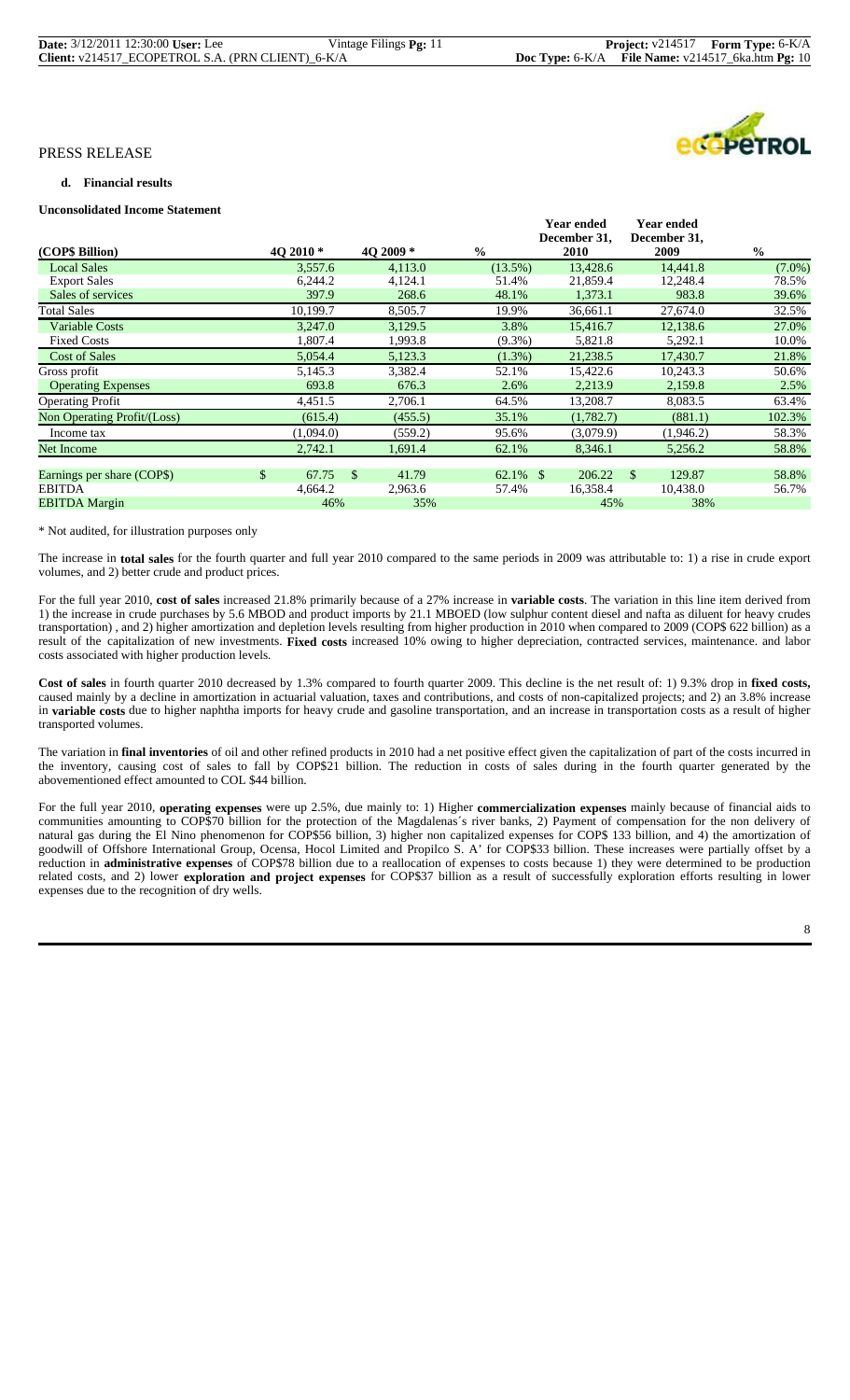| <b>Date:</b> 3/12/2011 12:30:00 User: Lee         | Vintage Filings Pg: 11 |                                                              | <b>Project:</b> $v214517$ <b>Form Type:</b> $6-K/A$ |
|---------------------------------------------------|------------------------|--------------------------------------------------------------|-----------------------------------------------------|
| Client: v214517_ECOPETROL S.A. (PRN CLIENT)_6-K/A |                        | <b>Doc Type:</b> $6-K/A$ File Name: $v214517$ 6ka.htm Pg: 10 |                                                     |

#### **d. Financial results**

# **Unconsolidated Income Statement**

|                             |             |               |           |               |             | <b>Year ended</b><br>December 31, |               | <b>Year ended</b><br>December 31, |               |           |
|-----------------------------|-------------|---------------|-----------|---------------|-------------|-----------------------------------|---------------|-----------------------------------|---------------|-----------|
| (COP\$ Billion)             | 4O 2010 *   |               | 4O 2009 * | $\frac{0}{0}$ |             | <b>2010</b>                       |               | 2009                              | $\frac{0}{0}$ |           |
| <b>Local Sales</b>          | 3,557.6     |               | 4,113.0   |               | $(13.5\%)$  | 13,428.6                          |               | 14,441.8                          |               | $(7.0\%)$ |
| <b>Export Sales</b>         | 6,244.2     |               | 4,124.1   |               | 51.4%       | 21,859.4                          |               | 12,248.4                          |               | 78.5%     |
| Sales of services           | 397.9       |               | 268.6     |               | 48.1%       | 1,373.1                           |               | 983.8                             |               | 39.6%     |
| Total Sales                 | 10,199.7    |               | 8,505.7   |               | 19.9%       | 36,661.1                          |               | 27,674.0                          |               | 32.5%     |
| <b>Variable Costs</b>       | 3,247.0     |               | 3,129.5   |               | 3.8%        | 15,416.7                          |               | 12,138.6                          |               | 27.0%     |
| <b>Fixed Costs</b>          | 1,807.4     |               | 1,993.8   |               | $(9.3\%)$   | 5,821.8                           |               | 5,292.1                           |               | 10.0%     |
| <b>Cost of Sales</b>        | 5,054.4     |               | 5,123.3   |               | $(1.3\%)$   | 21,238.5                          |               | 17,430.7                          |               | 21.8%     |
| Gross profit                | 5,145.3     |               | 3,382.4   |               | 52.1%       | 15,422.6                          |               | 10.243.3                          |               | 50.6%     |
| <b>Operating Expenses</b>   | 693.8       |               | 676.3     |               | 2.6%        | 2,213.9                           |               | 2,159.8                           |               | 2.5%      |
| <b>Operating Profit</b>     | 4,451.5     |               | 2,706.1   |               | 64.5%       | 13,208.7                          |               | 8,083.5                           |               | 63.4%     |
| Non Operating Profit/(Loss) | (615.4)     |               | (455.5)   |               | 35.1%       | (1,782.7)                         |               | (881.1)                           |               | 102.3%    |
| Income tax                  | (1,094.0)   |               | (559.2)   |               | 95.6%       | (3,079.9)                         |               | (1,946.2)                         |               | 58.3%     |
| <b>Net Income</b>           | 2,742.1     |               | 1,691.4   |               | 62.1%       | 8,346.1                           |               | 5,256.2                           |               | 58.8%     |
|                             |             |               |           |               |             |                                   |               |                                   |               |           |
| Earnings per share (COP\$)  | \$<br>67.75 | <sup>\$</sup> | 41.79     |               | $62.1\%$ \$ | 206.22                            | <sup>\$</sup> | 129.87                            |               | 58.8%     |
| <b>EBITDA</b>               | 4,664.2     |               | 2,963.6   |               | 57.4%       | 16,358.4                          |               | 10,438.0                          |               | 56.7%     |
| <b>EBITDA Margin</b>        | 46%         |               | 35%       |               |             | 45%                               |               | 38%                               |               |           |

#### \* Not audited, for illustration purposes only

The increase in **total sales** for the fourth quarter and full year 2010 compared to the same periods in 2009 was attributable to: 1) a rise in crude export volumes, and 2) better crude and product prices.

For the full year 2010, **cost of sales** increased 21.8% primarily because of a 27% increase in **variable costs**. The variation in this line item derived from 1) the increase in crude purchases by 5.6 MBOD and product imports by 21.1 MBOED (low sulphur content diesel and nafta as diluent for heavy crudes transportation) , and 2) higher amortization and depletion levels resulting from higher production in 2010 when compared to 2009 (COP\$ 622 billion) as a result of the capitalization of new investments. **Fixed costs** increased 10% owing to higher depreciation, contracted services, maintenance. and labor costs associated with higher production levels.

**Cost of sales** in fourth quarter 2010 decreased by 1.3% compared to fourth quarter 2009. This decline is the net result of: 1) 9.3% drop in **fixed costs,** caused mainly by a decline in amortization in actuarial valuation, taxes and contributions, and costs of non-capitalized projects; and 2) an 3.8% increase in **variable costs** due to higher naphtha imports for heavy crude and gasoline transportation, and an increase in transportation costs as a result of higher transported volumes.

The variation in **final inventories** of oil and other refined products in 2010 had a net positive effect given the capitalization of part of the costs incurred in the inventory, causing cost of sales to fall by COP\$21 billion. The reduction in costs of sales during in the fourth quarter generated by the abovementioned effect amounted to COL \$44 billion.

For the full year 2010, **operating expenses** were up 2.5%, due mainly to: 1) Higher **commercialization expenses** mainly because of financial aids to communities amounting to COP\$70 billion for the protection of the Magdalenas´s river banks, 2) Payment of compensation for the non delivery of natural gas during the El Nino phenomenon for COP\$56 billion, 3) higher non capitalized expenses for COP\$ 133 billion, and 4) the amortization of goodwill of Offshore International Group, Ocensa, Hocol Limited and Propilco S. A' for COP\$33 billion. These increases were partially offset by a reduction in **administrative expenses** of COP\$78 billion due to a reallocation of expenses to costs because 1) they were determined to be production related costs, and 2) lower **exploration and project expenses** for COP\$37 billion as a result of successfully exploration efforts resulting in lower expenses due to the recognition of dry wells.

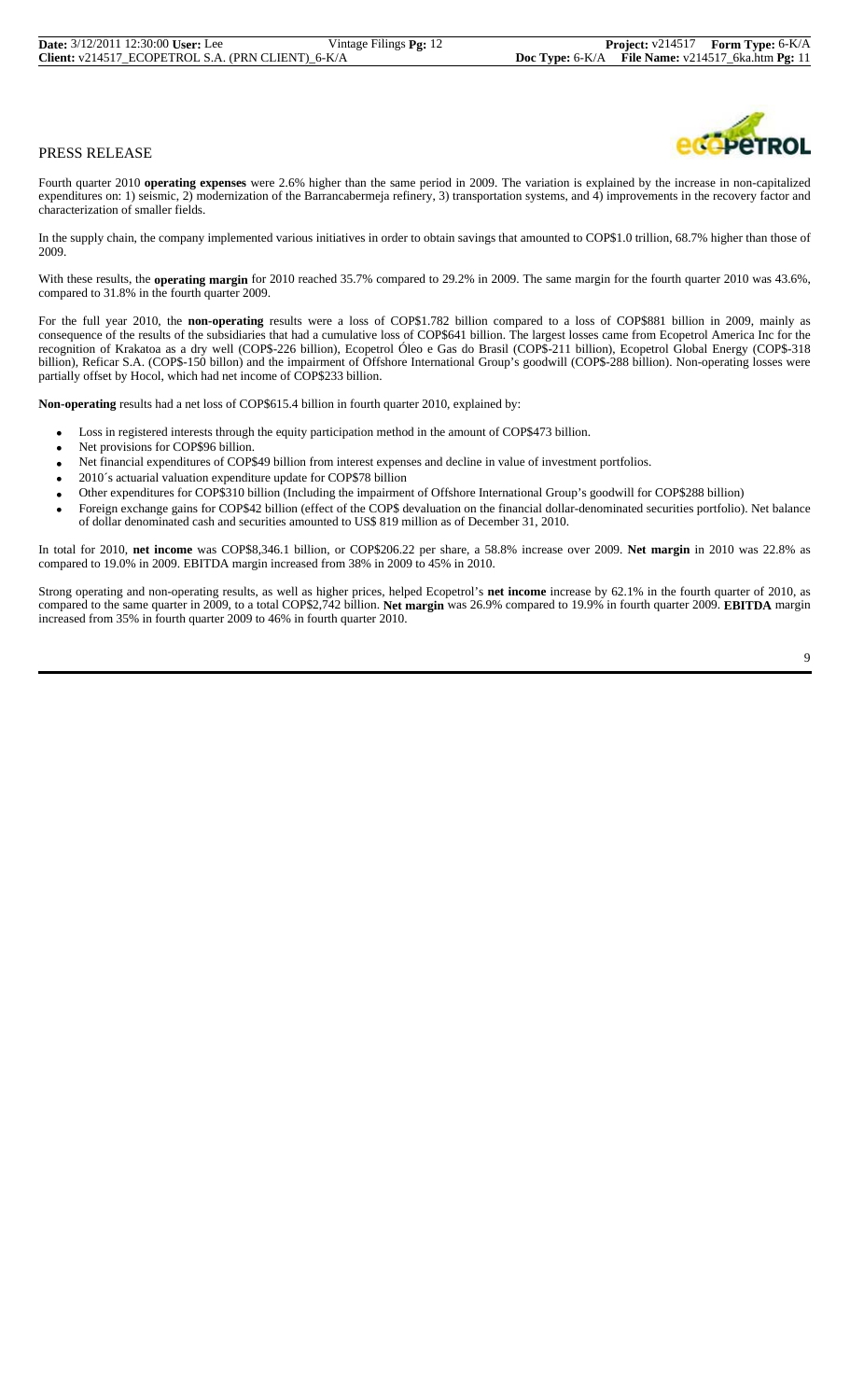Fourth quarter 2010 **operating expenses** were 2.6% higher than the same period in 2009. The variation is explained by the increase in non-capitalized expenditures on: 1) seismic, 2) modernization of the Barrancabermeja refinery, 3) transportation systems, and 4) improvements in the recovery factor and characterization of smaller fields.

In the supply chain, the company implemented various initiatives in order to obtain savings that amounted to COP\$1.0 trillion, 68.7% higher than those of 2009.

With these results, the **operating margin** for 2010 reached 35.7% compared to 29.2% in 2009. The same margin for the fourth quarter 2010 was 43.6%, compared to 31.8% in the fourth quarter 2009.

For the full year 2010, the **non-operating** results were a loss of COP\$1.782 billion compared to a loss of COP\$881 billion in 2009, mainly as consequence of the results of the subsidiaries that had a cumulative loss of COP\$641 billion. The largest losses came from Ecopetrol America Inc for the recognition of Krakatoa as a dry well (COP\$-226 billion), Ecopetrol Óleo e Gas do Brasil (COP\$-211 billion), Ecopetrol Global Energy (COP\$-318 billion), Reficar S.A. (COP\$-150 billon) and the impairment of Offshore International Group's goodwill (COP\$-288 billion). Non-operating losses were partially offset by Hocol, which had net income of COP\$233 billion.

**Non-operating** results had a net loss of COP\$615.4 billion in fourth quarter 2010, explained by:

- Loss in registered interests through the equity participation method in the amount of COP\$473 billion.
- Net provisions for COP\$96 billion.
- Net financial expenditures of COP\$49 billion from interest expenses and decline in value of investment portfolios.
- 2010´s actuarial valuation expenditure update for COP\$78 billion
- Other expenditures for COP\$310 billion (Including the impairment of Offshore International Group's goodwill for COP\$288 billion)
- Foreign exchange gains for COP\$42 billion (effect of the COP\$ devaluation on the financial dollar-denominated securities portfolio). Net balance of dollar denominated cash and securities amounted to US\$ 819 million as of December 31, 2010.

In total for 2010, **net income** was COP\$8,346.1 billion, or COP\$206.22 per share, a 58.8% increase over 2009. **Net margin** in 2010 was 22.8% as compared to 19.0% in 2009. EBITDA margin increased from 38% in 2009 to 45% in 2010.

Strong operating and non-operating results, as well as higher prices, helped Ecopetrol's **net income** increase by 62.1% in the fourth quarter of 2010, as compared to the same quarter in 2009, to a total COP\$2,742 billion. **Net margin** was 26.9% compared to 19.9% in fourth quarter 2009. **EBITDA** margin increased from 35% in fourth quarter 2009 to 46% in fourth quarter 2010.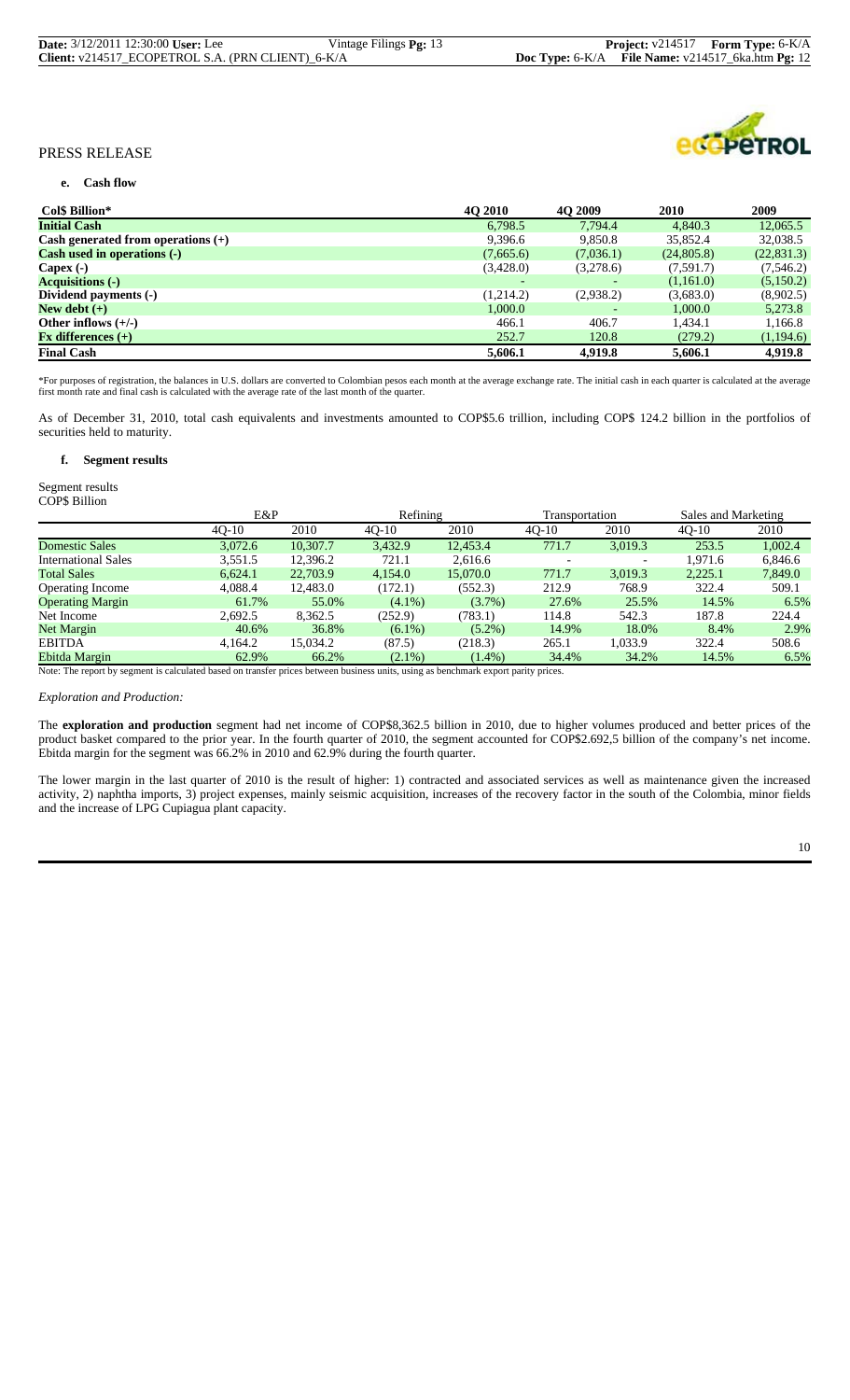| <b>Date:</b> 3/12/2011 12:30:00 <b>User:</b> Lee  | Vintage Filings Pg: 13 |                                                       | <b>Project:</b> v214517 <b>Form Type:</b> 6-K/A |  |
|---------------------------------------------------|------------------------|-------------------------------------------------------|-------------------------------------------------|--|
| Client: v214517_ECOPETROL S.A. (PRN CLIENT)_6-K/A |                        | Doc Type: $6-K/A$ File Name: $v214517$ 6ka.htm Pg: 12 |                                                 |  |



#### **e. Cash flow**

| Col\$ Billion*                       | <b>40 2010</b> | <b>40 2009</b> | 2010       | 2009        |
|--------------------------------------|----------------|----------------|------------|-------------|
| <b>Initial Cash</b>                  | 6,798.5        | 7.794.4        | 4.840.3    | 12,065.5    |
| Cash generated from operations $(+)$ | 9,396.6        | 9,850.8        | 35,852.4   | 32,038.5    |
| <b>Cash used in operations (-)</b>   | (7,665.6)      | (7,036.1)      | (24,805.8) | (22, 831.3) |
| Capex $(-)$                          | (3,428.0)      | (3,278.6)      | (7,591.7)  | (7, 546.2)  |
| <b>Acquisitions (-)</b>              |                |                | (1,161.0)  | (5,150.2)   |
| Dividend payments (-)                | (1,214.2)      | (2,938.2)      | (3,683.0)  | (8,902.5)   |
| New debt $(+)$                       | 1,000.0        |                | 1,000.0    | 5,273.8     |
| Other inflows $(+/-)$                | 466.1          | 406.7          | 1,434.1    | 1,166.8     |
| $Fx$ differences $(+)$               | 252.7          | 120.8          | (279.2)    | (1,194.6)   |
| <b>Final Cash</b>                    | 5,606.1        | 4,919.8        | 5,606.1    | 4,919.8     |

\*For purposes of registration, the balances in U.S. dollars are converted to Colombian pesos each month at the average exchange rate. The initial cash in each quarter is calculated at the average<br>first month rate and final

As of December 31, 2010, total cash equivalents and investments amounted to COP\$5.6 trillion, including COP\$ 124.2 billion in the portfolios of securities held to maturity.

#### **f. Segment results**

#### Segment results COP\$ Billion

|                            | E&P     |          | Refining  |           | Transportation |         | Sales and Marketing |         |
|----------------------------|---------|----------|-----------|-----------|----------------|---------|---------------------|---------|
|                            | $40-10$ | 2010     | $40-10$   | 2010      | $40-10$        | 2010    | $40-10$             | 2010    |
| <b>Domestic Sales</b>      | 3,072.6 | 10.307.7 | 3,432.9   | 12,453.4  | 771.7          | 3,019.3 | 253.5               | 1,002.4 |
| <b>International Sales</b> | 3,551.5 | 12,396.2 | 721.1     | 2,616.6   |                |         | 1.971.6             | 6,846.6 |
| <b>Total Sales</b>         | 6,624.1 | 22,703.9 | 4,154.0   | 15,070.0  | 771.7          | 3,019.3 | 2,225.1             | 7,849.0 |
| <b>Operating Income</b>    | 4.088.4 | 12.483.0 | (172.1)   | (552.3)   | 212.9          | 768.9   | 322.4               | 509.1   |
| <b>Operating Margin</b>    | 61.7%   | 55.0%    | $(4.1\%)$ | $(3.7\%)$ | 27.6%          | 25.5%   | 14.5%               | 6.5%    |
| Net Income                 | 2.692.5 | 8.362.5  | (252.9)   | (783.1)   | 114.8          | 542.3   | 187.8               | 224.4   |
| Net Margin                 | 40.6%   | 36.8%    | $(6.1\%)$ | $(5.2\%)$ | 14.9%          | 18.0%   | 8.4%                | 2.9%    |
| <b>EBITDA</b>              | 4.164.2 | 15.034.2 | (87.5)    | (218.3)   | 265.1          | 1.033.9 | 322.4               | 508.6   |
| Ebitda Margin              | 62.9%   | 66.2%    | $(2.1\%)$ | $(1.4\%)$ | 34.4%          | 34.2%   | 14.5%               | 6.5%    |

Note: The report by segment is calculated based on transfer prices between business units, using as benchmark export parity prices.

#### *Exploration and Production:*

The **exploration and production** segment had net income of COP\$8,362.5 billion in 2010, due to higher volumes produced and better prices of the product basket compared to the prior year. In the fourth quarter of 2010, the segment accounted for COP\$2.692,5 billion of the company's net income. Ebitda margin for the segment was 66.2% in 2010 and 62.9% during the fourth quarter.

The lower margin in the last quarter of 2010 is the result of higher: 1) contracted and associated services as well as maintenance given the increased activity, 2) naphtha imports, 3) project expenses, mainly seismic acquisition, increases of the recovery factor in the south of the Colombia, minor fields and the increase of LPG Cupiagua plant capacity.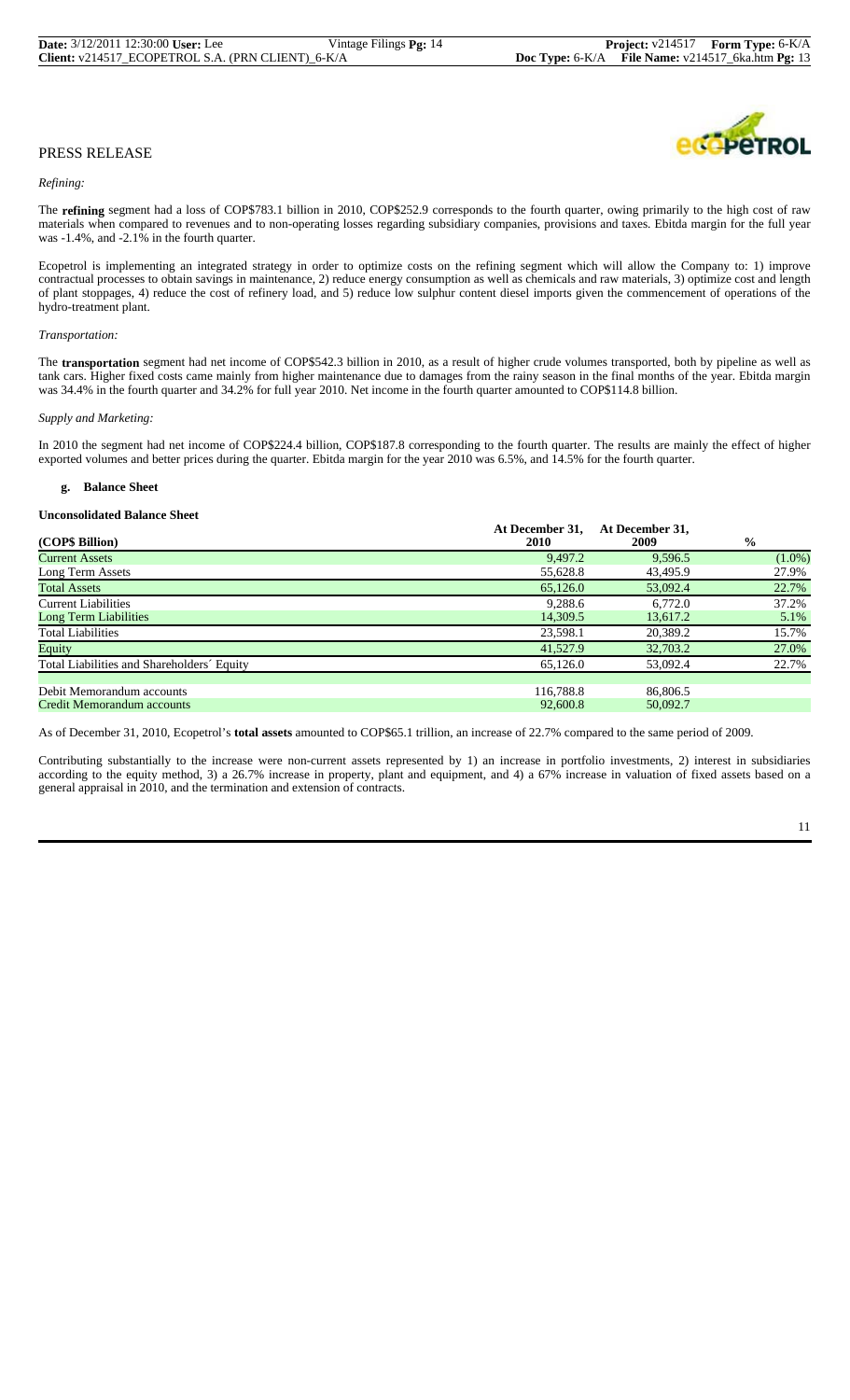# **OPPTROL**

# PRESS RELEASE

#### *Refining:*

The **refining** segment had a loss of COP\$783.1 billion in 2010, COP\$252.9 corresponds to the fourth quarter, owing primarily to the high cost of raw materials when compared to revenues and to non-operating losses regarding subsidiary companies, provisions and taxes. Ebitda margin for the full year was -1.4%, and -2.1% in the fourth quarter.

Ecopetrol is implementing an integrated strategy in order to optimize costs on the refining segment which will allow the Company to: 1) improve contractual processes to obtain savings in maintenance, 2) reduce energy consumption as well as chemicals and raw materials, 3) optimize cost and length of plant stoppages, 4) reduce the cost of refinery load, and 5) reduce low sulphur content diesel imports given the commencement of operations of the hydro-treatment plant.

#### *Transportation:*

The **transportation** segment had net income of COP\$542.3 billion in 2010, as a result of higher crude volumes transported, both by pipeline as well as tank cars. Higher fixed costs came mainly from higher maintenance due to damages from the rainy season in the final months of the year. Ebitda margin was 34.4% in the fourth quarter and 34.2% for full year 2010. Net income in the fourth quarter amounted to COP\$114.8 billion.

#### *Supply and Marketing:*

In 2010 the segment had net income of COP\$224.4 billion, COP\$187.8 corresponding to the fourth quarter. The results are mainly the effect of higher exported volumes and better prices during the quarter. Ebitda margin for the year 2010 was 6.5%, and 14.5% for the fourth quarter.

#### **g. Balance Sheet**

#### **Unconsolidated Balance Sheet**

| (COP\$ Billion)                            | At December 31.<br><b>2010</b> | At December 31,<br>2009 | $\frac{6}{9}$ |
|--------------------------------------------|--------------------------------|-------------------------|---------------|
| <b>Current Assets</b>                      | 9.497.2                        | 9.596.5                 | $(1.0\%)$     |
| Long Term Assets                           | 55,628.8                       | 43,495.9                | 27.9%         |
| <b>Total Assets</b>                        | 65,126.0                       | 53,092.4                | 22.7%         |
| <b>Current Liabilities</b>                 | 9,288.6                        | 6.772.0                 | 37.2%         |
| <b>Long Term Liabilities</b>               | 14,309.5                       | 13,617.2                | 5.1%          |
| <b>Total Liabilities</b>                   | 23,598.1                       | 20,389.2                | 15.7%         |
| Equity                                     | 41,527.9                       | 32,703.2                | 27.0%         |
| Total Liabilities and Shareholders' Equity | 65,126.0                       | 53,092.4                | 22.7%         |
|                                            |                                |                         |               |
| Debit Memorandum accounts                  | 116.788.8                      | 86,806.5                |               |
| Credit Memorandum accounts                 | 92,600.8                       | 50,092.7                |               |

As of December 31, 2010, Ecopetrol's **total assets** amounted to COP\$65.1 trillion, an increase of 22.7% compared to the same period of 2009.

Contributing substantially to the increase were non-current assets represented by 1) an increase in portfolio investments, 2) interest in subsidiaries according to the equity method, 3) a 26.7% increase in property, plant and equipment, and 4) a 67% increase in valuation of fixed assets based on a general appraisal in 2010, and the termination and extension of contracts.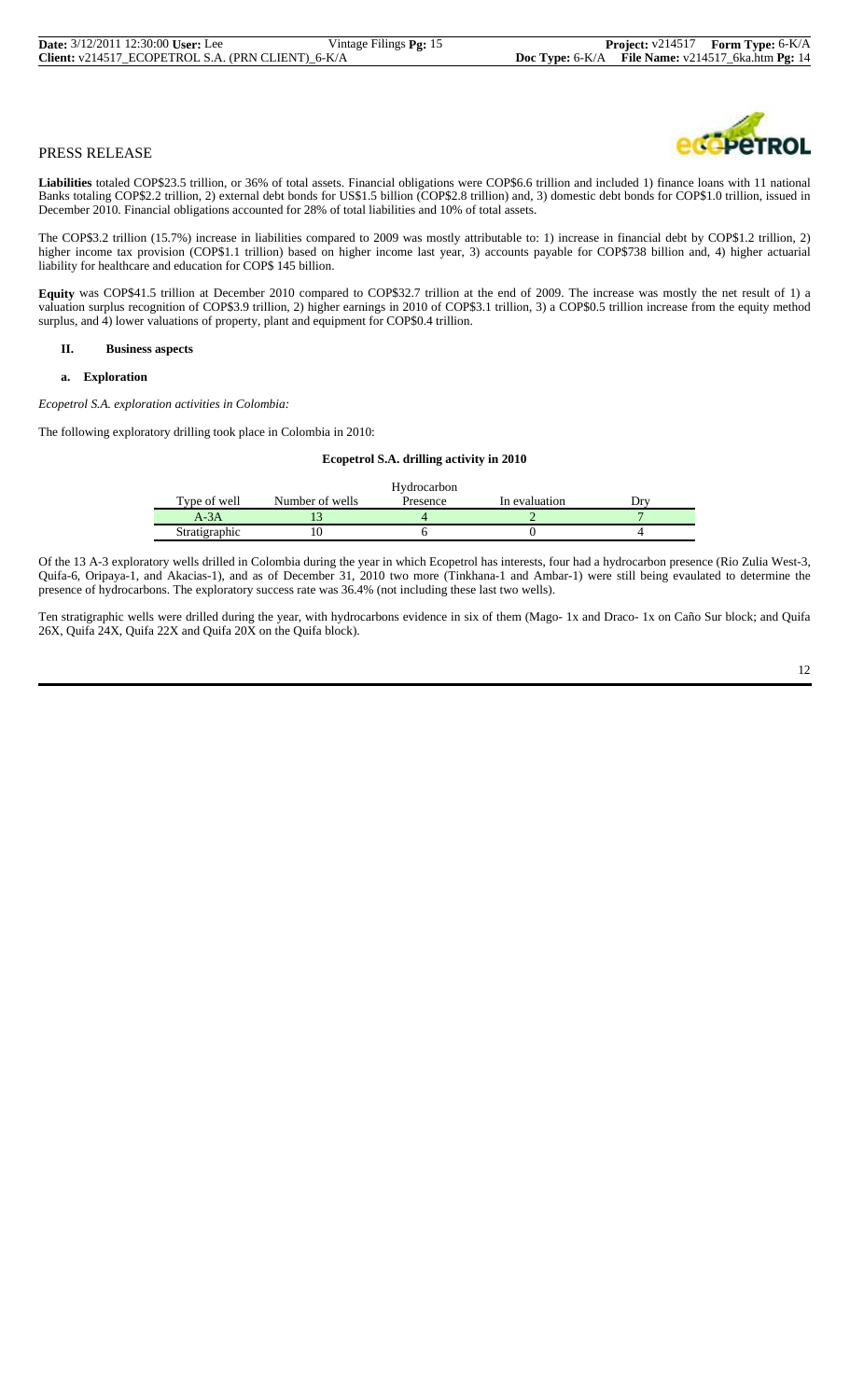Liabilities totaled COP\$23.5 trillion, or 36% of total assets. Financial obligations were COP\$6.6 trillion and included 1) finance loans with 11 national Banks totaling COP\$2.2 trillion, 2) external debt bonds for US\$1.5 billion (COP\$2.8 trillion) and, 3) domestic debt bonds for COP\$1.0 trillion, issued in December 2010. Financial obligations accounted for 28% of total liabilities and 10% of total assets.

The COP\$3.2 trillion (15.7%) increase in liabilities compared to 2009 was mostly attributable to: 1) increase in financial debt by COP\$1.2 trillion, 2) higher income tax provision (COP\$1.1 trillion) based on higher income last year, 3) accounts payable for COP\$738 billion and, 4) higher actuarial liability for healthcare and education for COP\$ 145 billion.

**Equity** was COP\$41.5 trillion at December 2010 compared to COP\$32.7 trillion at the end of 2009. The increase was mostly the net result of 1) a valuation surplus recognition of COP\$3.9 trillion, 2) higher earnings in 2010 of COP\$3.1 trillion, 3) a COP\$0.5 trillion increase from the equity method surplus, and 4) lower valuations of property, plant and equipment for COP\$0.4 trillion.

#### **II. Business aspects**

#### **a. Exploration**

*Ecopetrol S.A. exploration activities in Colombia:*

The following exploratory drilling took place in Colombia in 2010:

#### **Ecopetrol S.A. drilling activity in 2010**

|               |                 | Hydrocarbon |               |  |
|---------------|-----------------|-------------|---------------|--|
| Type of well  | Number of wells | Presence    | In evaluation |  |
| A-3A          |                 |             |               |  |
| Stratigraphic |                 |             |               |  |

Of the 13 A-3 exploratory wells drilled in Colombia during the year in which Ecopetrol has interests, four had a hydrocarbon presence (Rio Zulia West-3, Quifa-6, Oripaya-1, and Akacias-1), and as of December 31, 2010 two more (Tinkhana-1 and Ambar-1) were still being evaulated to determine the presence of hydrocarbons. The exploratory success rate was 36.4% (not including these last two wells).

Ten stratigraphic wells were drilled during the year, with hydrocarbons evidence in six of them (Mago- 1x and Draco- 1x on Caño Sur block; and Quifa 26X, Quifa 24X, Quifa 22X and Quifa 20X on the Quifa block).

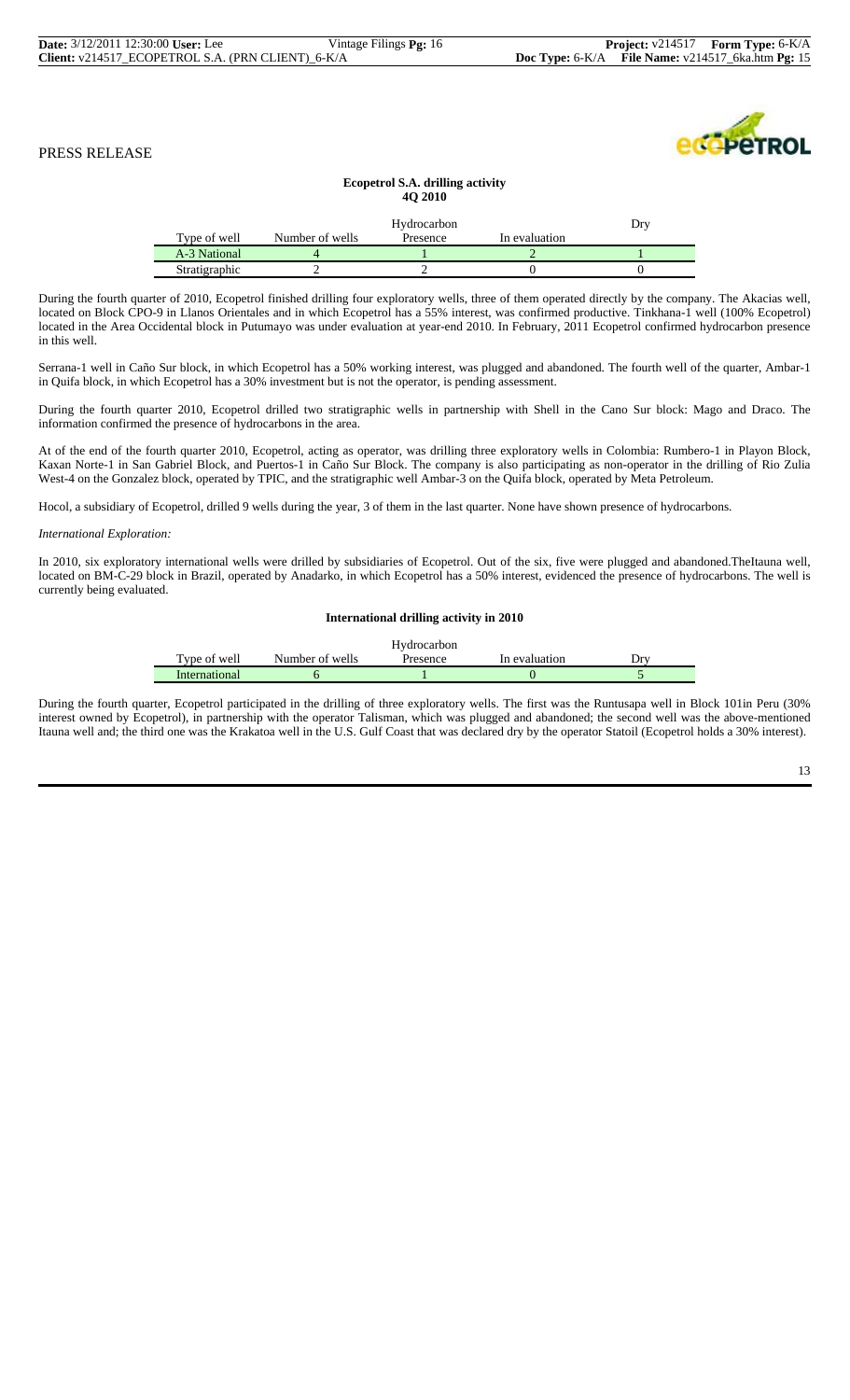#### **Ecopetrol S.A. drilling activity 4Q 2010**

|               |                 | Dry      |               |  |
|---------------|-----------------|----------|---------------|--|
| Type of well  | Number of wells | Presence | In evaluation |  |
| A-3 National  |                 |          |               |  |
| Stratigraphic |                 |          |               |  |

During the fourth quarter of 2010, Ecopetrol finished drilling four exploratory wells, three of them operated directly by the company. The Akacias well, located on Block CPO-9 in Llanos Orientales and in which Ecopetrol has a 55% interest, was confirmed productive. Tinkhana-1 well (100% Ecopetrol) located in the Area Occidental block in Putumayo was under evaluation at year-end 2010. In February, 2011 Ecopetrol confirmed hydrocarbon presence in this well.

Serrana-1 well in Caño Sur block, in which Ecopetrol has a 50% working interest, was plugged and abandoned. The fourth well of the quarter, Ambar-1 in Quifa block, in which Ecopetrol has a 30% investment but is not the operator, is pending assessment.

During the fourth quarter 2010, Ecopetrol drilled two stratigraphic wells in partnership with Shell in the Cano Sur block: Mago and Draco. The information confirmed the presence of hydrocarbons in the area.

At of the end of the fourth quarter 2010, Ecopetrol, acting as operator, was drilling three exploratory wells in Colombia: Rumbero-1 in Playon Block, Kaxan Norte-1 in San Gabriel Block, and Puertos-1 in Caño Sur Block. The company is also participating as non-operator in the drilling of Rio Zulia West-4 on the Gonzalez block, operated by TPIC, and the stratigraphic well Ambar-3 on the Quifa block, operated by Meta Petroleum.

Hocol, a subsidiary of Ecopetrol, drilled 9 wells during the year, 3 of them in the last quarter. None have shown presence of hydrocarbons.

#### *International Exploration:*

In 2010, six exploratory international wells were drilled by subsidiaries of Ecopetrol. Out of the six, five were plugged and abandoned.TheItauna well, located on BM-C-29 block in Brazil, operated by Anadarko, in which Ecopetrol has a 50% interest, evidenced the presence of hydrocarbons. The well is currently being evaluated.

#### **International drilling activity in 2010**

|               |                 | Hydrocarbon |               |     |
|---------------|-----------------|-------------|---------------|-----|
| Type of well  | Number of wells | Presence    | In evaluation | Drv |
| International |                 |             |               |     |

During the fourth quarter, Ecopetrol participated in the drilling of three exploratory wells. The first was the Runtusapa well in Block 101in Peru (30% interest owned by Ecopetrol), in partnership with the operator Talisman, which was plugged and abandoned; the second well was the above-mentioned Itauna well and; the third one was the Krakatoa well in the U.S. Gulf Coast that was declared dry by the operator Statoil (Ecopetrol holds a 30% interest).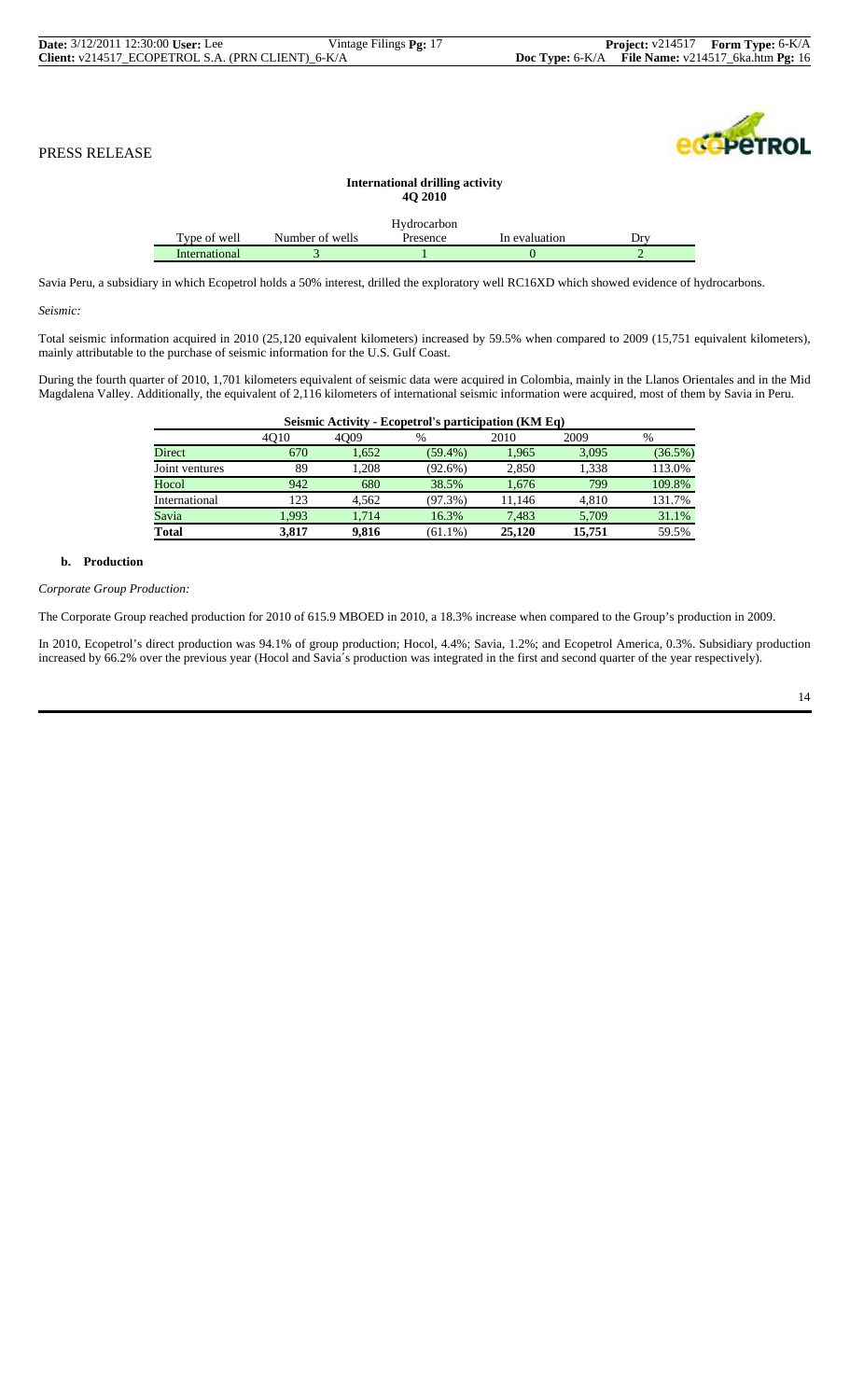| <b>Date:</b> 3/12/2011 12:30:00 User: Lee |                                                   | Vintage Filings <b>Pg:</b> 17 |                                                       | <b>Project:</b> $v214517$ <b>Form Type:</b> $6-K/A$ |
|-------------------------------------------|---------------------------------------------------|-------------------------------|-------------------------------------------------------|-----------------------------------------------------|
|                                           | Client: v214517 ECOPETROL S.A. (PRN CLIENT) 6-K/A |                               | Doc Type: $6-K/A$ File Name: $v214517_Gka.htm$ Pg: 16 |                                                     |

| <b>PETROL</b> |  |
|---------------|--|

| <b>International drilling activity</b><br><b>40 2010</b> |                 |             |               |     |  |  |  |
|----------------------------------------------------------|-----------------|-------------|---------------|-----|--|--|--|
|                                                          |                 | Hydrocarbon |               |     |  |  |  |
| Type of well                                             | Number of wells | Presence    | In evaluation | Drv |  |  |  |
| <b>International</b>                                     |                 |             |               |     |  |  |  |

Savia Peru, a subsidiary in which Ecopetrol holds a 50% interest, drilled the exploratory well RC16XD which showed evidence of hydrocarbons.

*Seismic:*

Total seismic information acquired in 2010 (25,120 equivalent kilometers) increased by 59.5% when compared to 2009 (15,751 equivalent kilometers), mainly attributable to the purchase of seismic information for the U.S. Gulf Coast.

During the fourth quarter of 2010, 1,701 kilometers equivalent of seismic data were acquired in Colombia, mainly in the Llanos Orientales and in the Mid Magdalena Valley. Additionally, the equivalent of 2,116 kilometers of international seismic information were acquired, most of them by Savia in Peru.

| Seismic Activity - Ecopetrol's participation (KM Eq) |       |       |            |        |        |         |  |  |
|------------------------------------------------------|-------|-------|------------|--------|--------|---------|--|--|
|                                                      | 4010  | 4009  | $\%$       | 2010   | 2009   | %       |  |  |
| Direct                                               | 670   | 1.652 | $(59.4\%)$ | 1,965  | 3,095  | (36.5%) |  |  |
| Joint ventures                                       | 89    | 1.208 | $(92.6\%)$ | 2.850  | 1.338  | 113.0%  |  |  |
| Hocol                                                | 942   | 680   | 38.5%      | 1.676  | 799    | 109.8%  |  |  |
| International                                        | 123   | 4.562 | $(97.3\%)$ | 11.146 | 4.810  | 131.7%  |  |  |
| Savia                                                | 1.993 | 1.714 | 16.3%      | 7.483  | 5.709  | 31.1%   |  |  |
| <b>Total</b>                                         | 3.817 | 9.816 | $(61.1\%)$ | 25,120 | 15,751 | 59.5%   |  |  |

# **b. Production**

*Corporate Group Production:*

The Corporate Group reached production for 2010 of 615.9 MBOED in 2010, a 18.3% increase when compared to the Group's production in 2009.

In 2010, Ecopetrol's direct production was 94.1% of group production; Hocol, 4.4%; Savia, 1.2%; and Ecopetrol America, 0.3%. Subsidiary production increased by 66.2% over the previous year (Hocol and Savia´s production was integrated in the first and second quarter of the year respectively).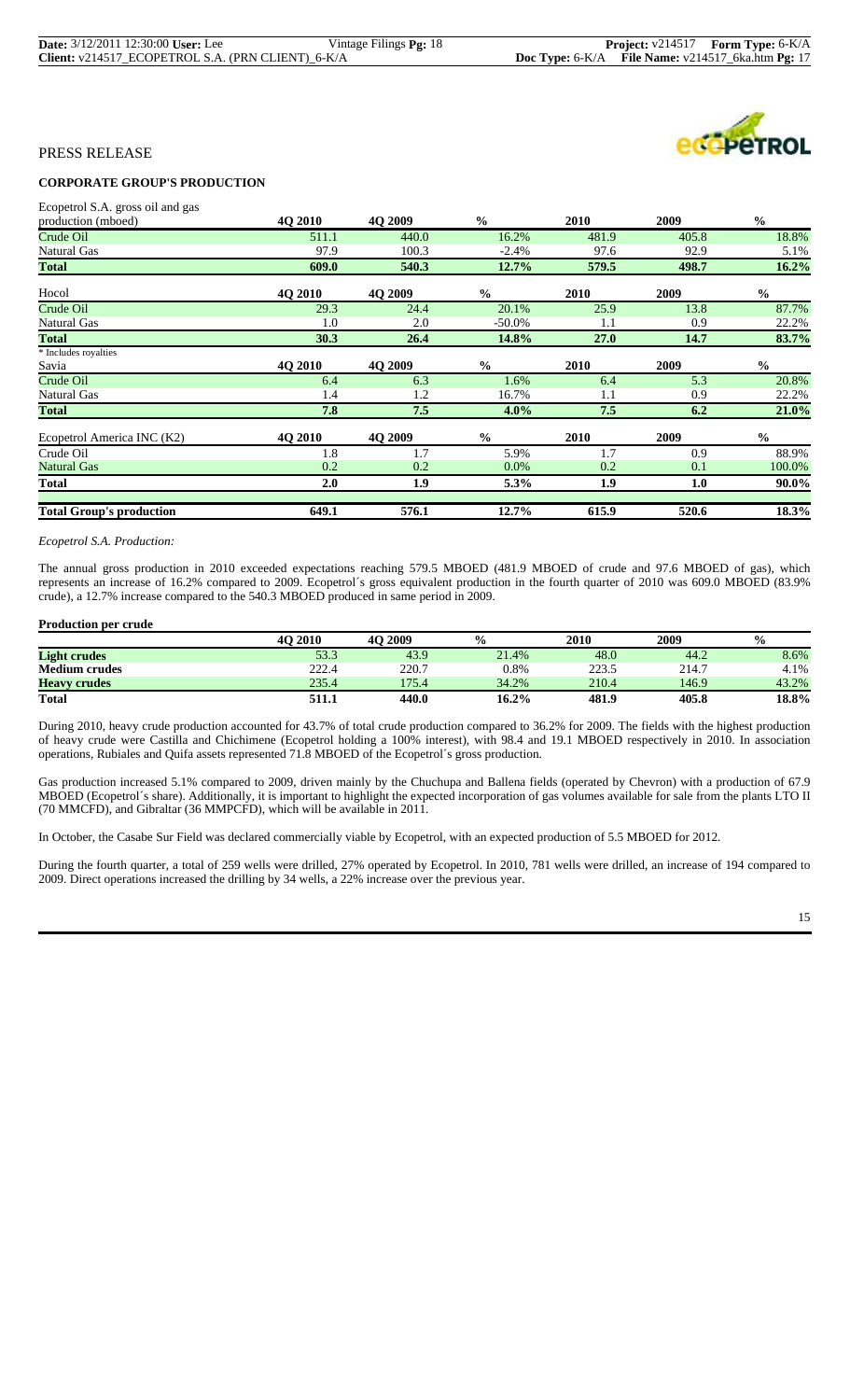| <b>Date:</b> 3/12/2011 12:30:00 User: Lee         | Vintage Filings <b>Pg:</b> 18 |                                                       | <b>Project:</b> v214517 <b>Form Type:</b> 6-K/A |
|---------------------------------------------------|-------------------------------|-------------------------------------------------------|-------------------------------------------------|
| Client: v214517_ECOPETROL S.A. (PRN CLIENT)_6-K/A |                               | Doc Type: $6-K/A$ File Name: $v214517$ 6ka.htm Pg: 17 |                                                 |



# **CORPORATE GROUP'S PRODUCTION**

Ecopetrol S.A. gross oil and gas

| production (mboed)              | <b>4O 2010</b> | 4O 2009        | $\frac{0}{0}$ | 2010        | 2009  | $\frac{0}{0}$ |
|---------------------------------|----------------|----------------|---------------|-------------|-------|---------------|
| Crude Oil                       | 511.1          | 440.0          | 16.2%         | 481.9       | 405.8 | 18.8%         |
| Natural Gas                     | 97.9           | 100.3          | $-2.4%$       | 97.6        | 92.9  | 5.1%          |
| <b>Total</b>                    | 609.0          | 540.3          | 12.7%         | 579.5       | 498.7 | 16.2%         |
| Hocol                           | 4O 2010        | 4O 2009        | $\frac{0}{0}$ | 2010        | 2009  | $\frac{0}{0}$ |
| Crude Oil                       | 29.3           | 24.4           | 20.1%         | 25.9        | 13.8  | 87.7%         |
| Natural Gas                     | 1.0            | 2.0            | -50.0%        | 1.1         | 0.9   | 22.2%         |
| <b>Total</b>                    | 30.3           | 26.4           | 14.8%         | 27.0        | 14.7  | 83.7%         |
| * Includes royalties            |                |                |               |             |       |               |
| Savia                           | <b>4O 2010</b> | 4O 2009        | $\frac{0}{0}$ | 2010        | 2009  | $\frac{6}{6}$ |
| Crude Oil                       | 6.4            | 6.3            | 1.6%          | 6.4         | 5.3   | 20.8%         |
| <b>Natural Gas</b>              | 1.4            | 1.2            | 16.7%         | 1.1         | 0.9   | 22.2%         |
| <b>Total</b>                    | 7.8            | 7.5            | 4.0%          | 7.5         | 6.2   | 21.0%         |
| Ecopetrol America INC (K2)      | <b>40 2010</b> | <b>40 2009</b> | $\frac{6}{6}$ | <b>2010</b> | 2009  | $\frac{0}{0}$ |
| Crude Oil                       | 1.8            | 1.7            | 5.9%          | 1.7         | 0.9   | 88.9%         |
| <b>Natural Gas</b>              | 0.2            | 0.2            | $0.0\%$       | 0.2         | 0.1   | 100.0%        |
| <b>Total</b>                    | 2.0            | 1.9            | 5.3%          | 1.9         | 1.0   | 90.0%         |
| <b>Total Group's production</b> | 649.1          | 576.1          | 12.7%         | 615.9       | 520.6 | 18.3%         |

#### *Ecopetrol S.A. Production:*

The annual gross production in 2010 exceeded expectations reaching 579.5 MBOED (481.9 MBOED of crude and 97.6 MBOED of gas), which represents an increase of 16.2% compared to 2009. Ecopetrol´s gross equivalent production in the fourth quarter of 2010 was 609.0 MBOED (83.9% crude), a 12.7% increase compared to the 540.3 MBOED produced in same period in 2009.

#### **Production per crude**

|                      | <b>4O 2010</b> | 4O 2009 | $\frac{0}{0}$ | <b>2010</b> | 2009  | $\frac{0}{0}$ |
|----------------------|----------------|---------|---------------|-------------|-------|---------------|
| <b>Light crudes</b>  | 53.3           | 43.9    | 21.4%         | 48.0        | 44.2  | 8.6%          |
| <b>Medium crudes</b> | 222.4          | 220.7   | 0.8%          | 223.5       | 214.7 | 4.1%          |
| <b>Heavy crudes</b>  | 235.4          | 175.4   | 34.2%         | 210.4       | 146.9 | 43.2%         |
| <b>Total</b>         | 511.1          | 440.0   | $16.2\%$      | 481.9       | 405.8 | 18.8%         |

During 2010, heavy crude production accounted for 43.7% of total crude production compared to 36.2% for 2009. The fields with the highest production of heavy crude were Castilla and Chichimene (Ecopetrol holding a 100% interest), with 98.4 and 19.1 MBOED respectively in 2010. In association operations, Rubiales and Quifa assets represented 71.8 MBOED of the Ecopetrol´s gross production.

Gas production increased 5.1% compared to 2009, driven mainly by the Chuchupa and Ballena fields (operated by Chevron) with a production of 67.9 MBOED (Ecopetrol´s share). Additionally, it is important to highlight the expected incorporation of gas volumes available for sale from the plants LTO II (70 MMCFD), and Gibraltar (36 MMPCFD), which will be available in 2011.

In October, the Casabe Sur Field was declared commercially viable by Ecopetrol, with an expected production of 5.5 MBOED for 2012.

During the fourth quarter, a total of 259 wells were drilled, 27% operated by Ecopetrol. In 2010, 781 wells were drilled, an increase of 194 compared to 2009. Direct operations increased the drilling by 34 wells, a 22% increase over the previous year.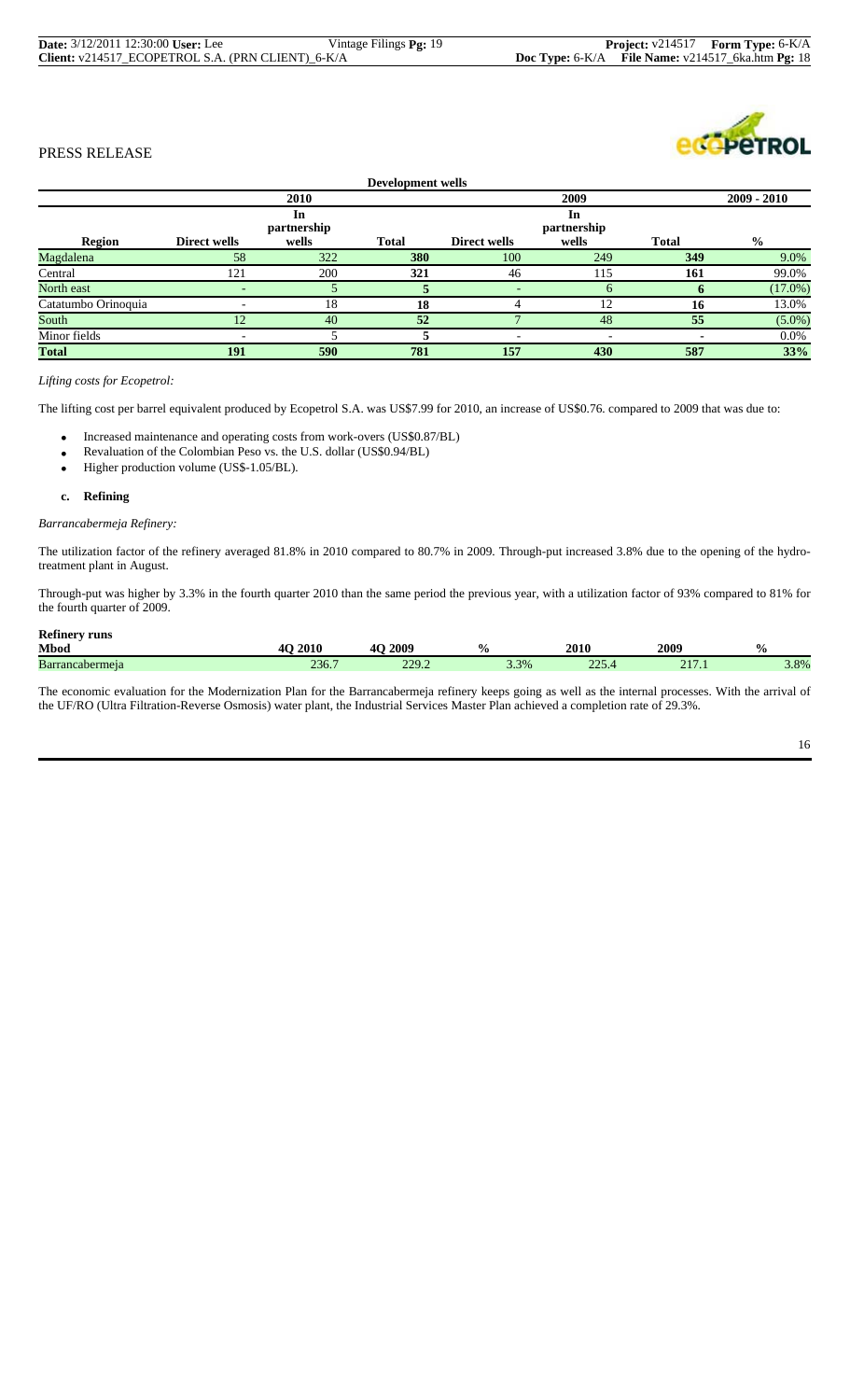| <b>Date:</b> 3/12/2011 12:30:00 User: Lee         | Vintage Filings Pg: 19 |  | <b>Project:</b> v214517 <b>Form Type:</b> 6-K/A       |
|---------------------------------------------------|------------------------|--|-------------------------------------------------------|
| Client: v214517_ECOPETROL S.A. (PRN CLIENT)_6-K/A |                        |  | Doc Type: $6-K/A$ File Name: $v214517$ 6ka.htm Pg: 18 |



| Development wells   |              |                            |              |                          |                            |              |               |
|---------------------|--------------|----------------------------|--------------|--------------------------|----------------------------|--------------|---------------|
|                     |              | 2010                       |              |                          | 2009                       |              | $2009 - 2010$ |
| Region              | Direct wells | In<br>partnership<br>wells | <b>Total</b> | Direct wells             | In<br>partnership<br>wells | <b>Total</b> | $\frac{0}{0}$ |
| Magdalena           | 58           | 322                        | 380          | 100                      | 249                        | 349          | 9.0%          |
| Central             | 121          | 200                        | 321          | 46                       | 115                        | 161          | 99.0%         |
| North east          |              |                            |              |                          | <sub>0</sub>               |              | $(17.0\%)$    |
| Catatumbo Orinoquia |              | 18                         | 18           |                          | 12                         | 16           | 13.0%         |
| South               | 12           | 40                         | 52           |                          | 48                         | 55           | $(5.0\%)$     |
| Minor fields        |              |                            |              | $\overline{\phantom{a}}$ | -                          |              | $0.0\%$       |
| <b>Total</b>        | 191          | 590                        | 781          | 157                      | 430                        | 587          | 33%           |

# *Lifting costs for Ecopetrol:*

The lifting cost per barrel equivalent produced by Ecopetrol S.A. was US\$7.99 for 2010, an increase of US\$0.76. compared to 2009 that was due to:

- Increased maintenance and operating costs from work-overs (US\$0.87/BL)
- Revaluation of the Colombian Peso vs. the U.S. dollar (US\$0.94/BL)
- Higher production volume (US\$-1.05/BL).

#### **c. Refining**

#### *Barrancabermeja Refinery:*

The utilization factor of the refinery averaged 81.8% in 2010 compared to 80.7% in 2009. Through-put increased 3.8% due to the opening of the hydrotreatment plant in August.

Through-put was higher by 3.3% in the fourth quarter 2010 than the same period the previous year, with a utilization factor of 93% compared to 81% for the fourth quarter of 2009.

# **Refinery runs**

| <b>Mbod</b>    | 201 <sup>c</sup>      | 2009<br>⁄∎≀           |      | 2010             | 2009                         | $\mathbf{0}_{L}$<br>∕0 |
|----------------|-----------------------|-----------------------|------|------------------|------------------------------|------------------------|
| Barr<br>ermeia | $\omega$ $\upsilon$ . | ,,,<br>$\overline{L}$ | 3.3% | $\Delta$<br>---- | $\sqrt{15}$<br>$\sim$ 1<br>. | 3.8%                   |

The economic evaluation for the Modernization Plan for the Barrancabermeja refinery keeps going as well as the internal processes. With the arrival of the UF/RO (Ultra Filtration-Reverse Osmosis) water plant, the Industrial Services Master Plan achieved a completion rate of 29.3%.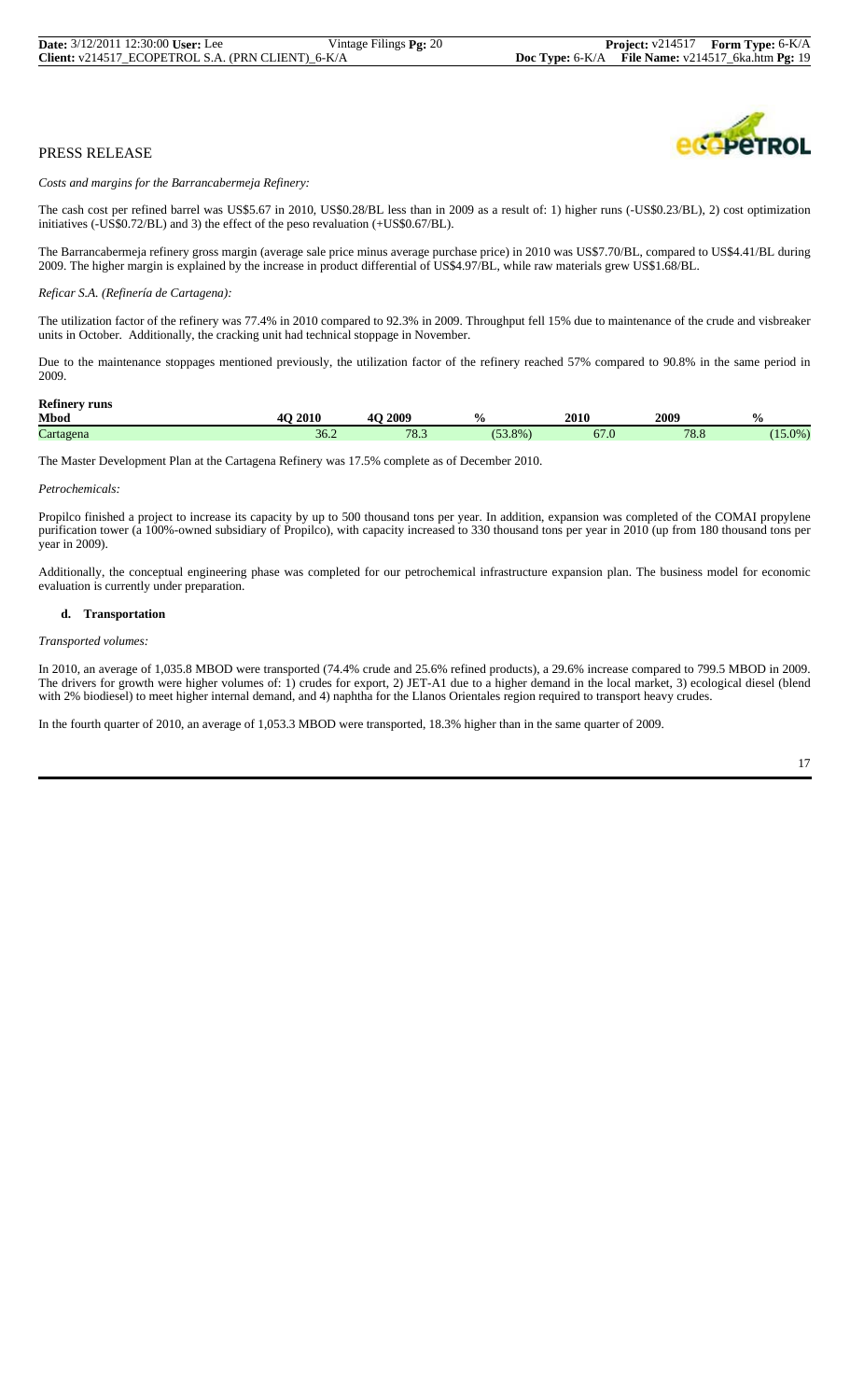

*Costs and margins for the Barrancabermeja Refinery:*

The cash cost per refined barrel was US\$5.67 in 2010, US\$0.28/BL less than in 2009 as a result of: 1) higher runs (-US\$0.23/BL), 2) cost optimization initiatives (-US\$0.72/BL) and 3) the effect of the peso revaluation (+US\$0.67/BL).

The Barrancabermeja refinery gross margin (average sale price minus average purchase price) in 2010 was US\$7.70/BL, compared to US\$4.41/BL during 2009. The higher margin is explained by the increase in product differential of US\$4.97/BL, while raw materials grew US\$1.68/BL.

#### *Reficar S.A. (Refinería de Cartagena):*

The utilization factor of the refinery was 77.4% in 2010 compared to 92.3% in 2009. Throughput fell 15% due to maintenance of the crude and visbreaker units in October. Additionally, the cracking unit had technical stoppage in November.

Due to the maintenance stoppages mentioned previously, the utilization factor of the refinery reached 57% compared to 90.8% in the same period in 2009.

#### **Refinery runs**

| Mbod                | 2010<br>40 | 2009<br>AC<br>- -       | $\frac{1}{2}$ | 2010 | 2009        | $\frac{0}{0}$ |
|---------------------|------------|-------------------------|---------------|------|-------------|---------------|
| $\sim$<br>$\arctan$ | 30.2       | 70 <sub>2</sub><br>18.3 | $53.8\%$      | 07.U | 70c<br>0.0' | $(15.0\%)$    |

The Master Development Plan at the Cartagena Refinery was 17.5% complete as of December 2010.

#### *Petrochemicals:*

Propilco finished a project to increase its capacity by up to 500 thousand tons per year. In addition, expansion was completed of the COMAI propylene purification tower (a 100%-owned subsidiary of Propilco), with capacity increased to 330 thousand tons per year in 2010 (up from 180 thousand tons per year in 2009).

Additionally, the conceptual engineering phase was completed for our petrochemical infrastructure expansion plan. The business model for economic evaluation is currently under preparation.

#### **d. Transportation**

#### *Transported volumes:*

In 2010, an average of 1,035.8 MBOD were transported (74.4% crude and 25.6% refined products), a 29.6% increase compared to 799.5 MBOD in 2009. The drivers for growth were higher volumes of: 1) crudes for export, 2) JET-A1 due to a higher demand in the local market, 3) ecological diesel (blend with 2% biodiesel) to meet higher internal demand, and 4) naphtha for the Llanos Orientales region required to transport heavy crudes.

In the fourth quarter of 2010, an average of 1,053.3 MBOD were transported, 18.3% higher than in the same quarter of 2009.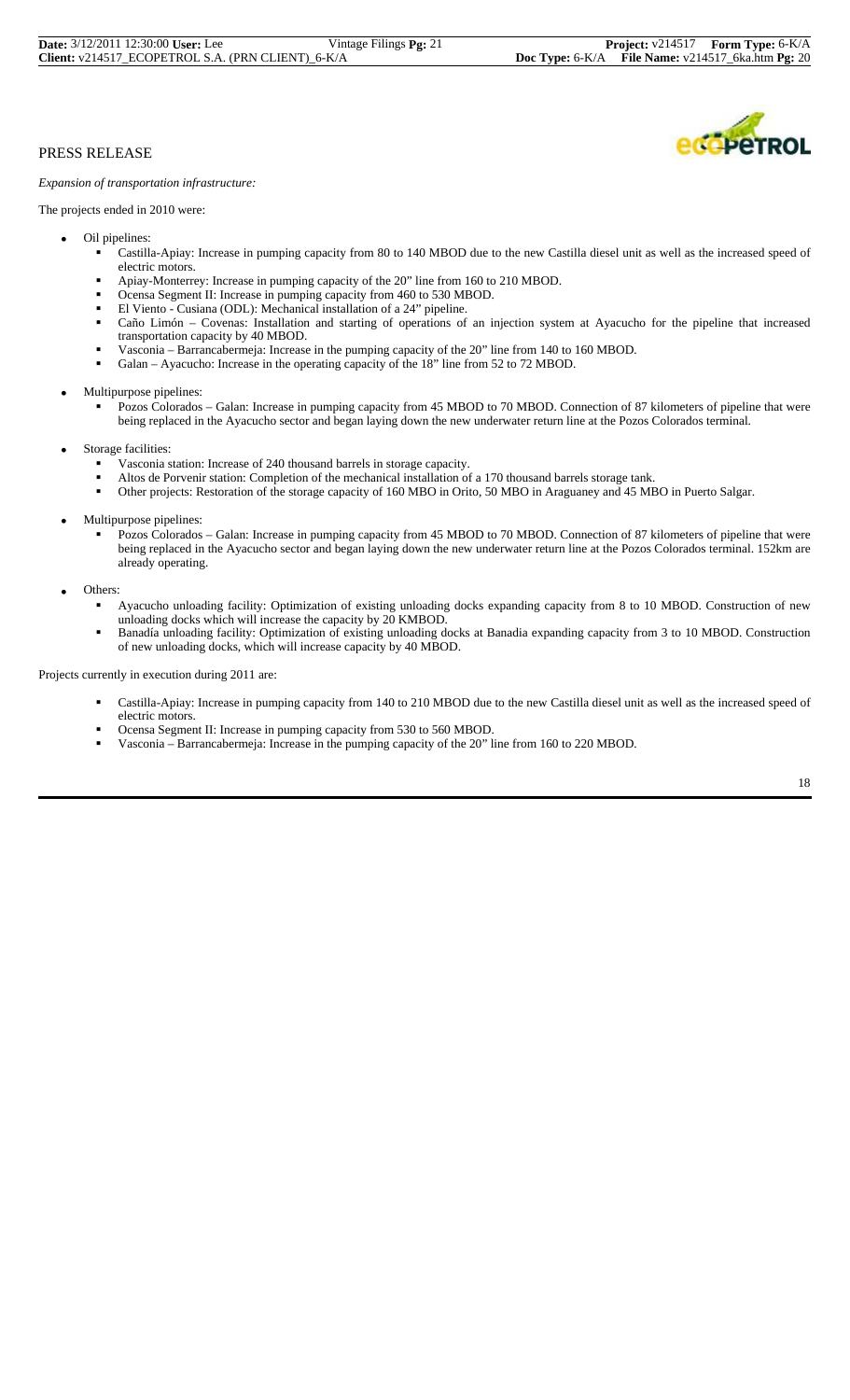# COPETROL

# PRESS RELEASE

*Expansion of transportation infrastructure:*

The projects ended in 2010 were:

- Oil pipelines:
	- Castilla-Apiay: Increase in pumping capacity from 80 to 140 MBOD due to the new Castilla diesel unit as well as the increased speed of
	- electric motors.<br>Apiay-Monterrey: Increase in pumping capacity of the 20" line from 160 to 210 MBOD.
	-
	-
	- Ocensa Segment II: Increase in pumping capacity from 460 to 530 MBOD.<br>El Viento Cusiana (ODL): Mechanical installation of a 24" pipeline.<br>Caño Limón Covenas: Installation and starting of operations of an injection syst transportation capacity by 40 MBOD.
	- Vasconia Barrancabermeja: Increase in the pumping capacity of the 20" line from 140 to 160 MBOD.
	- Galan Ayacucho: Increase in the operating capacity of the 18" line from 52 to 72 MBOD.

• Multipurpose pipelines:

- Pozos Colorados Galan: Increase in pumping capacity from 45 MBOD to 70 MBOD. Connection of 87 kilometers of pipeline that were being replaced in the Ayacucho sector and began laying down the new underwater return line at the Pozos Colorados terminal.
- - Storage facilities:<br>
	 Vasconia station: Increase of 240 thousand barrels in storage capacity.
		- Altos de Porvenir station: Completion of the mechanical installation of a 170 thousand barrels storage tank.
		- Other projects: Restoration of the storage capacity of 160 MBO in Orito, 50 MBO in Araguaney and 45 MBO in Puerto Salgar.
- Multipurpose pipelines:
	- Pozos Colorados Galan: Increase in pumping capacity from 45 MBOD to 70 MBOD. Connection of 87 kilometers of pipeline that were being replaced in the Ayacucho sector and began laying down the new underwater return line at the Pozos Colorados terminal. 152km are already operating.

Others:

- Ayacucho unloading facility: Optimization of existing unloading docks expanding capacity from 8 to 10 MBOD. Construction of new unloading docks which will increase the capacity by 20 KMBOD.<br>
• Banadía unloading facility: Optimization of existing unloading docks at Banadia expanding capacity from 3 to 10 MBOD. Construction
- of new unloading docks, which will increase capacity by 40 MBOD.

Projects currently in execution during 2011 are:

- Castilla-Apiay: Increase in pumping capacity from 140 to 210 MBOD due to the new Castilla diesel unit as well as the increased speed of electric motors.
- 
- Ocensa Segment II: Increase in pumping capacity from 530 to 560 MBOD. Vasconia Barrancabermeja: Increase in the pumping capacity of the 20" line from 160 to 220 MBOD.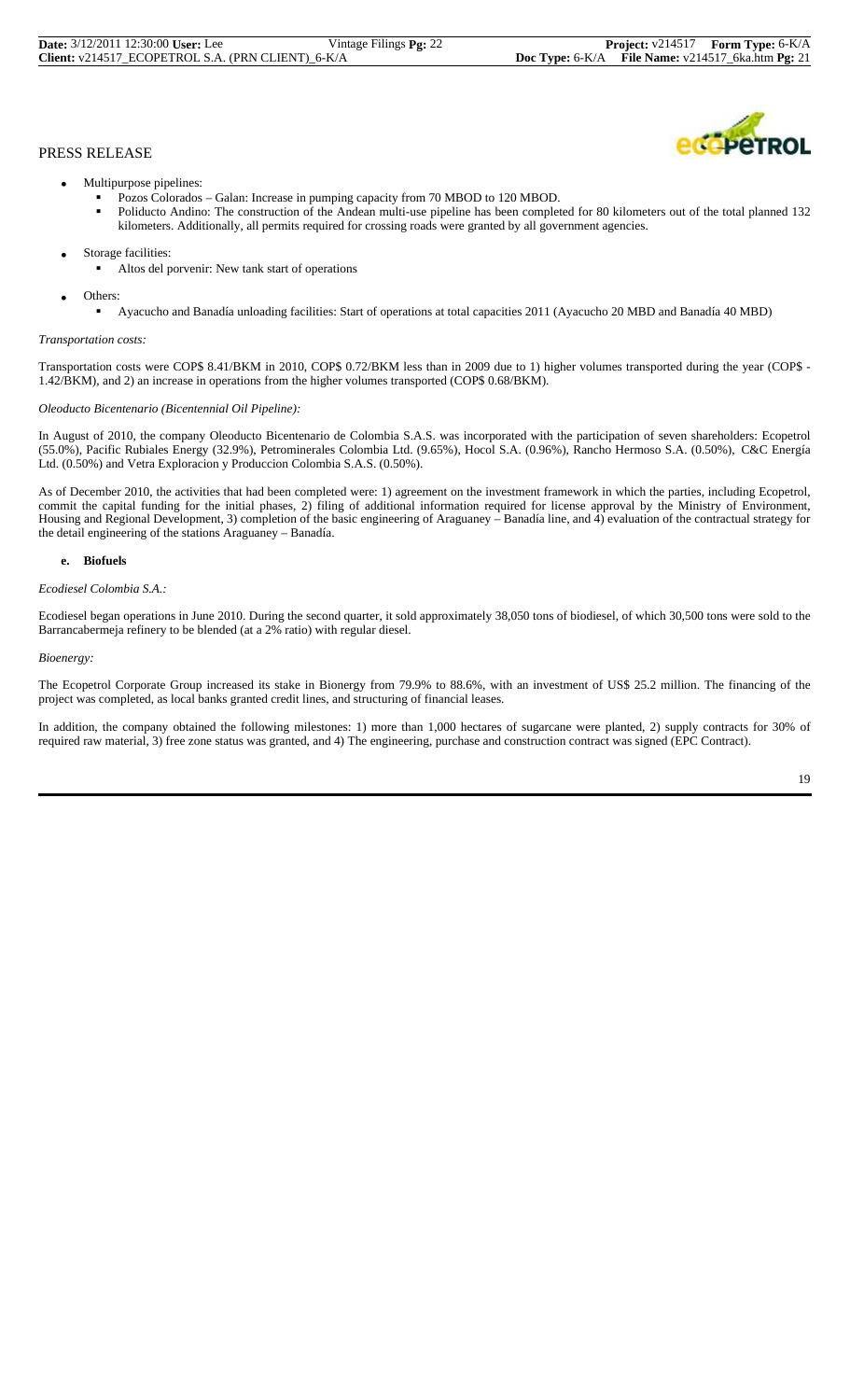| <b>Date:</b> 3/12/2011 12:30:00 User: Lee         | Vintage Filings <b>Pg:</b> 22 |
|---------------------------------------------------|-------------------------------|
| Client: v214517 ECOPETROL S.A. (PRN CLIENT) 6-K/A |                               |

**COPETROL** 

- Multipurpose pipelines:
	-
	- Pozos Colorados Galan: Increase in pumping capacity from 70 MBOD to 120 MBOD. Poliducto Andino: The construction of the Andean multi-use pipeline has been completed for 80 kilometers out of the total planned 132 kilometers. Additionally, all permits required for crossing roads were granted by all government agencies.
- Storage facilities:
	- Altos del porvenir: New tank start of operations
- Others:
- Ayacucho and Banadía unloading facilities: Start of operations at total capacities 2011 (Ayacucho 20 MBD and Banadía 40 MBD)

# *Transportation costs:*

Transportation costs were COP\$ 8.41/BKM in 2010, COP\$ 0.72/BKM less than in 2009 due to 1) higher volumes transported during the year (COP\$ - 1.42/BKM), and 2) an increase in operations from the higher volumes transported (COP\$ 0.68/BKM).

#### *Oleoducto Bicentenario (Bicentennial Oil Pipeline):*

In August of 2010, the company Oleoducto Bicentenario de Colombia S.A.S. was incorporated with the participation of seven shareholders: Ecopetrol (55.0%), Pacific Rubiales Energy (32.9%), Petrominerales Colombia Ltd. (9.65%), Hocol S.A. (0.96%), Rancho Hermoso S.A. (0.50%), C&C Energía Ltd. (0.50%) and Vetra Exploracion y Produccion Colombia S.A.S. (0.50%).

As of December 2010, the activities that had been completed were: 1) agreement on the investment framework in which the parties, including Ecopetrol, commit the capital funding for the initial phases, 2) filing of additional information required for license approval by the Ministry of Environment, Housing and Regional Development, 3) completion of the basic engineering of Araguaney – Banadía line, and 4) evaluation of the contractual strategy for the detail engineering of the stations Araguaney – Banadía.

#### **e. Biofuels**

#### *Ecodiesel Colombia S.A.:*

Ecodiesel began operations in June 2010. During the second quarter, it sold approximately 38,050 tons of biodiesel, of which 30,500 tons were sold to the Barrancabermeja refinery to be blended (at a 2% ratio) with regular diesel.

#### *Bioenergy:*

The Ecopetrol Corporate Group increased its stake in Bionergy from 79.9% to 88.6%, with an investment of US\$ 25.2 million. The financing of the project was completed, as local banks granted credit lines, and structuring of financial leases.

In addition, the company obtained the following milestones: 1) more than 1,000 hectares of sugarcane were planted, 2) supply contracts for 30% of required raw material, 3) free zone status was granted, and 4) The engineering, purchase and construction contract was signed (EPC Contract).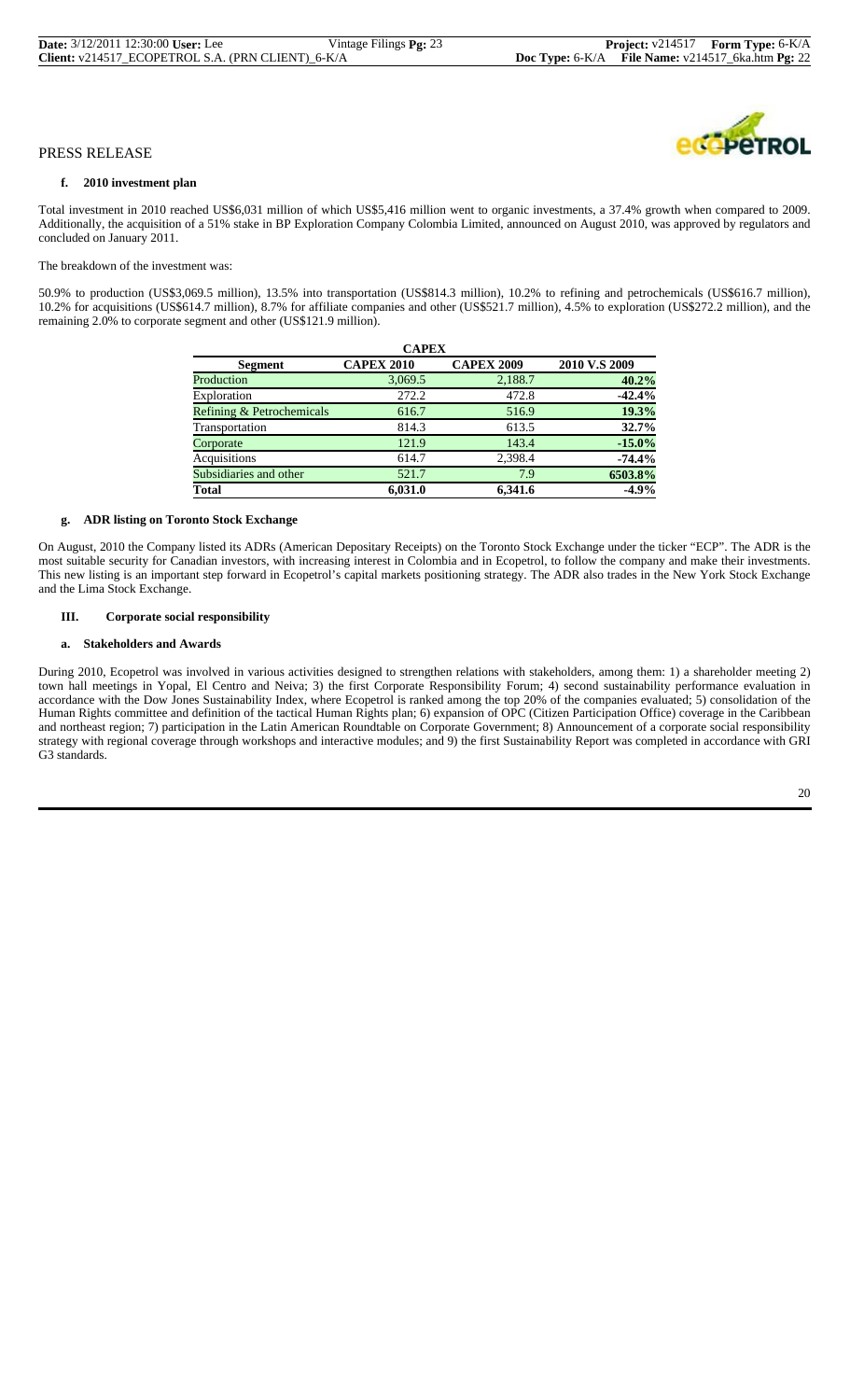#### **f. 2010 investment plan**

Total investment in 2010 reached US\$6,031 million of which US\$5,416 million went to organic investments, a 37.4% growth when compared to 2009. Additionally, the acquisition of a 51% stake in BP Exploration Company Colombia Limited, announced on August 2010, was approved by regulators and concluded on January 2011.

The breakdown of the investment was:

50.9% to production (US\$3,069.5 million), 13.5% into transportation (US\$814.3 million), 10.2% to refining and petrochemicals (US\$616.7 million), 10.2% for acquisitions (US\$614.7 million), 8.7% for affiliate companies and other (US\$521.7 million), 4.5% to exploration (US\$272.2 million), and the remaining 2.0% to corporate segment and other (US\$121.9 million).

| <b>CAPEX</b>                         |                   |                   |               |  |  |  |  |
|--------------------------------------|-------------------|-------------------|---------------|--|--|--|--|
| Segment                              | <b>CAPEX 2010</b> | <b>CAPEX 2009</b> | 2010 V.S 2009 |  |  |  |  |
| Production                           | 3,069.5           | 2,188.7           | 40.2%         |  |  |  |  |
| Exploration                          | 272.2             | 472.8             | $-42.4%$      |  |  |  |  |
| <b>Refining &amp; Petrochemicals</b> | 616.7             | 516.9             | 19.3%         |  |  |  |  |
| Transportation                       | 814.3             | 613.5             | 32.7%         |  |  |  |  |
| Corporate                            | 121.9             | 143.4             | $-15.0%$      |  |  |  |  |
| Acquisitions                         | 614.7             | 2,398.4           | $-74.4%$      |  |  |  |  |
| Subsidiaries and other               | 521.7             | 7.9               | 6503.8%       |  |  |  |  |
| <b>Total</b>                         | 6.031.0           | 6.341.6           | $-4.9%$       |  |  |  |  |

#### **g. ADR listing on Toronto Stock Exchange**

On August, 2010 the Company listed its ADRs (American Depositary Receipts) on the Toronto Stock Exchange under the ticker "ECP". The ADR is the most suitable security for Canadian investors, with increasing interest in Colombia and in Ecopetrol, to follow the company and make their investments. This new listing is an important step forward in Ecopetrol's capital markets positioning strategy. The ADR also trades in the New York Stock Exchange and the Lima Stock Exchange.

# **III. Corporate social responsibility**

#### **a. Stakeholders and Awards**

During 2010, Ecopetrol was involved in various activities designed to strengthen relations with stakeholders, among them: 1) a shareholder meeting 2) town hall meetings in Yopal, El Centro and Neiva; 3) the first Corporate Responsibility Forum; 4) second sustainability performance evaluation in accordance with the Dow Jones Sustainability Index, where Ecopetrol is ranked among the top 20% of the companies evaluated; 5) consolidation of the Human Rights committee and definition of the tactical Human Rights plan; 6) expansion of OPC (Citizen Participation Office) coverage in the Caribbean and northeast region; 7) participation in the Latin American Roundtable on Corporate Government; 8) Announcement of a corporate social responsibility strategy with regional coverage through workshops and interactive modules; and 9) the first Sustainability Report was completed in accordance with GRI G3 standards.

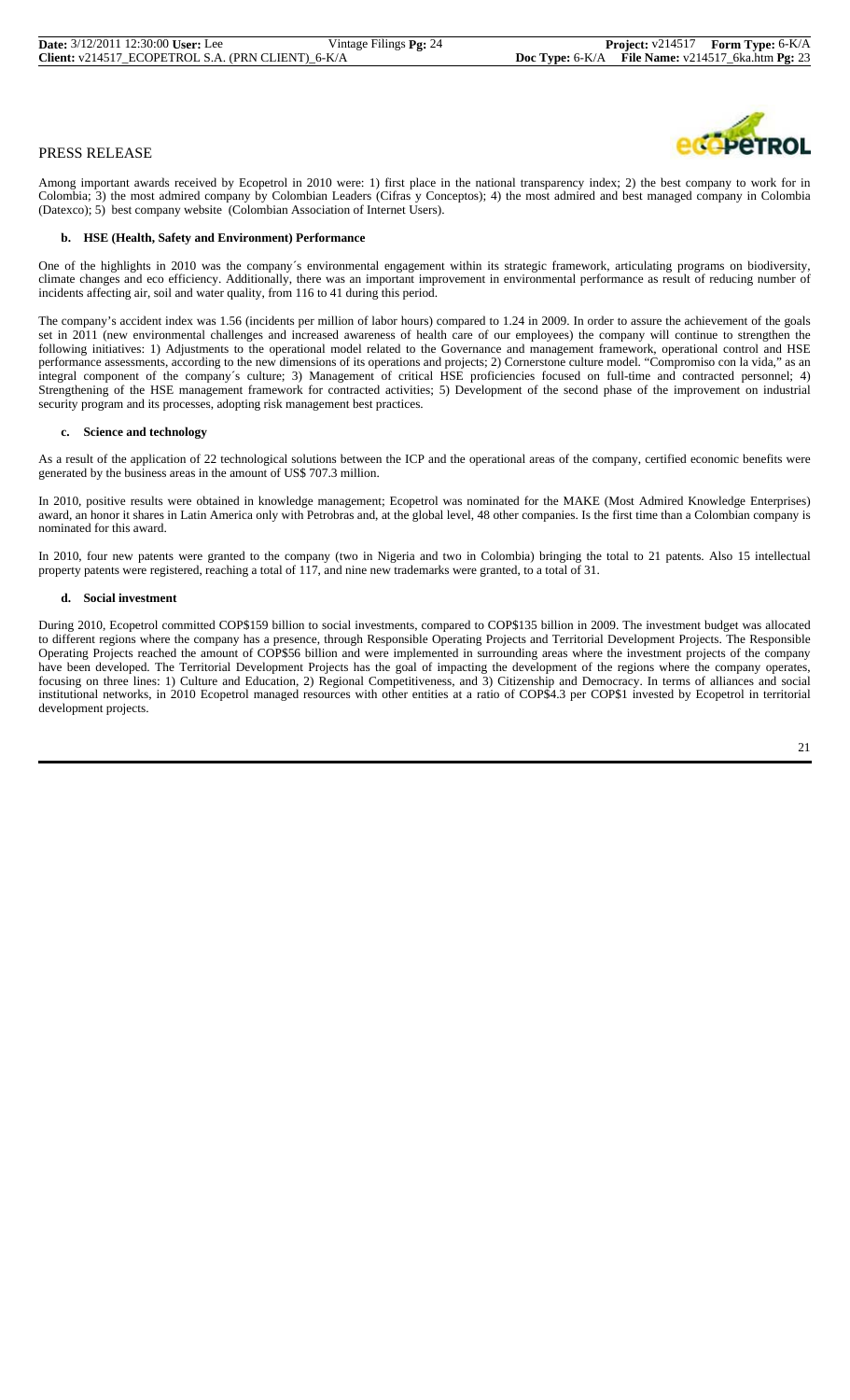

Among important awards received by Ecopetrol in 2010 were: 1) first place in the national transparency index; 2) the best company to work for in Colombia; 3) the most admired company by Colombian Leaders (Cifras y Conceptos); 4) the most admired and best managed company in Colombia (Datexco); 5) best company website (Colombian Association of Internet Users).

#### **b. HSE (Health, Safety and Environment) Performance**

One of the highlights in 2010 was the company´s environmental engagement within its strategic framework, articulating programs on biodiversity, climate changes and eco efficiency. Additionally, there was an important improvement in environmental performance as result of reducing number of incidents affecting air, soil and water quality, from 116 to 41 during this period.

The company's accident index was 1.56 (incidents per million of labor hours) compared to 1.24 in 2009. In order to assure the achievement of the goals set in 2011 (new environmental challenges and increased awareness of health care of our employees) the company will continue to strengthen the following initiatives: 1) Adjustments to the operational model related to the Governance and management framework, operational control and HSE performance assessments, according to the new dimensions of its operations and projects; 2) Cornerstone culture model. "Compromiso con la vida," as an integral component of the company´s culture; 3) Management of critical HSE proficiencies focused on full-time and contracted personnel; 4) Strengthening of the HSE management framework for contracted activities; 5) Development of the second phase of the improvement on industrial security program and its processes, adopting risk management best practices.

#### **c. Science and technology**

As a result of the application of 22 technological solutions between the ICP and the operational areas of the company, certified economic benefits were generated by the business areas in the amount of US\$ 707.3 million.

In 2010, positive results were obtained in knowledge management; Ecopetrol was nominated for the MAKE (Most Admired Knowledge Enterprises) award, an honor it shares in Latin America only with Petrobras and, at the global level, 48 other companies. Is the first time than a Colombian company is nominated for this award.

In 2010, four new patents were granted to the company (two in Nigeria and two in Colombia) bringing the total to 21 patents. Also 15 intellectual property patents were registered, reaching a total of 117, and nine new trademarks were granted, to a total of 31.

#### **d. Social investment**

During 2010, Ecopetrol committed COP\$159 billion to social investments, compared to COP\$135 billion in 2009. The investment budget was allocated to different regions where the company has a presence, through Responsible Operating Projects and Territorial Development Projects. The Responsible Operating Projects reached the amount of COP\$56 billion and were implemented in surrounding areas where the investment projects of the company have been developed. The Territorial Development Projects has the goal of impacting the development of the regions where the company operates, focusing on three lines: 1) Culture and Education, 2) Regional Competitiveness, and 3) Citizenship and Democracy. In terms of alliances and social institutional networks, in 2010 Ecopetrol managed resources with other entities at a ratio of COP\$4.3 per COP\$1 invested by Ecopetrol in territorial development projects.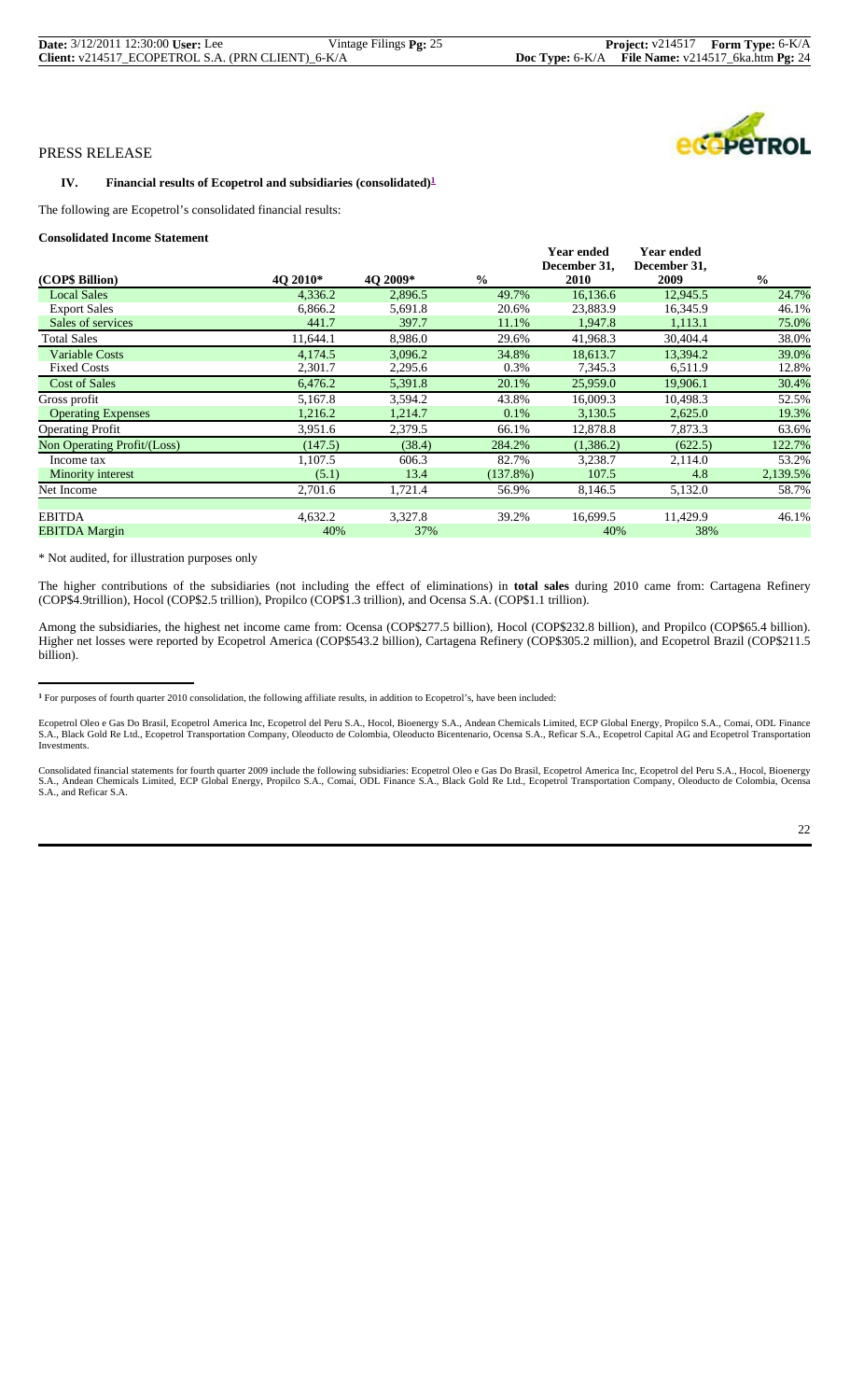| <b>Date:</b> 3/12/2011 12:30:00 User: Lee                    | Vintage Filings $Pg: 25$ |
|--------------------------------------------------------------|--------------------------|
| <b>Client:</b> $v214517$ ECOPETROL S.A. (PRN CLIENT) $6-K/A$ |                          |

#### **IV.** Financial results of Ecopetrol and subsidiaries (consolidated)<sup>1</sup>

The following are Ecopetrol's consolidated financial results:

**Consolidated Income Statement**

| <b>Year ended</b><br>December 31,<br>$\frac{0}{0}$<br>2009<br>12,945.5<br>24.7%<br>46.1%<br>16,345.9 |
|------------------------------------------------------------------------------------------------------|
|                                                                                                      |
|                                                                                                      |
|                                                                                                      |
|                                                                                                      |
| 75.0%<br>1,113.1                                                                                     |
| 30,404.4<br>38.0%                                                                                    |
| 13,394.2<br>39.0%                                                                                    |
| 12.8%<br>6,511.9                                                                                     |
| 19,906.1<br>30.4%                                                                                    |
| 52.5%<br>10,498.3                                                                                    |
| 2,625.0<br>19.3%                                                                                     |
| 7,873.3<br>63.6%                                                                                     |
| (622.5)<br>122.7%                                                                                    |
| 2,114.0<br>53.2%                                                                                     |
| 2,139.5%<br>4.8                                                                                      |
| 5,132.0<br>58.7%                                                                                     |
|                                                                                                      |
| 11,429.9<br>46.1%                                                                                    |
| 38%                                                                                                  |
|                                                                                                      |

\* Not audited, for illustration purposes only

The higher contributions of the subsidiaries (not including the effect of eliminations) in **total sales** during 2010 came from: Cartagena Refinery (COP\$4.9trillion), Hocol (COP\$2.5 trillion), Propilco (COP\$1.3 trillion), and Ocensa S.A. (COP\$1.1 trillion).

Among the subsidiaries, the highest net income came from: Ocensa (COP\$277.5 billion), Hocol (COP\$232.8 billion), and Propilco (COP\$65.4 billion). Higher net losses were reported by Ecopetrol America (COP\$543.2 billion), Cartagena Refinery (COP\$305.2 million), and Ecopetrol Brazil (COP\$211.5 billion).

Consolidated financial statements for fourth quarter 2009 include the following subsidiaries: Ecopetrol Oleo e Gas Do Brasil, Ecopetrol America Inc, Ecopetrol del Peru S.A., Hocol, Bioenergy<br>S.A., Andean Chemicals Limited, S.A., and Reficar S.A.



**<sup>1</sup>** For purposes of fourth quarter 2010 consolidation, the following affiliate results, in addition to Ecopetrol's, have been included:

Ecopetrol Oleo e Gas Do Brasil, Ecopetrol America Inc, Ecopetrol del Peru S.A., Hocol, Bioenergy S.A., Andean Chemicals Limited, ECP Global Energy, Propilco S.A., Comai, ODL Finance<br>S.A., Black Gold Re Ltd., Ecopetrol Tran Investments.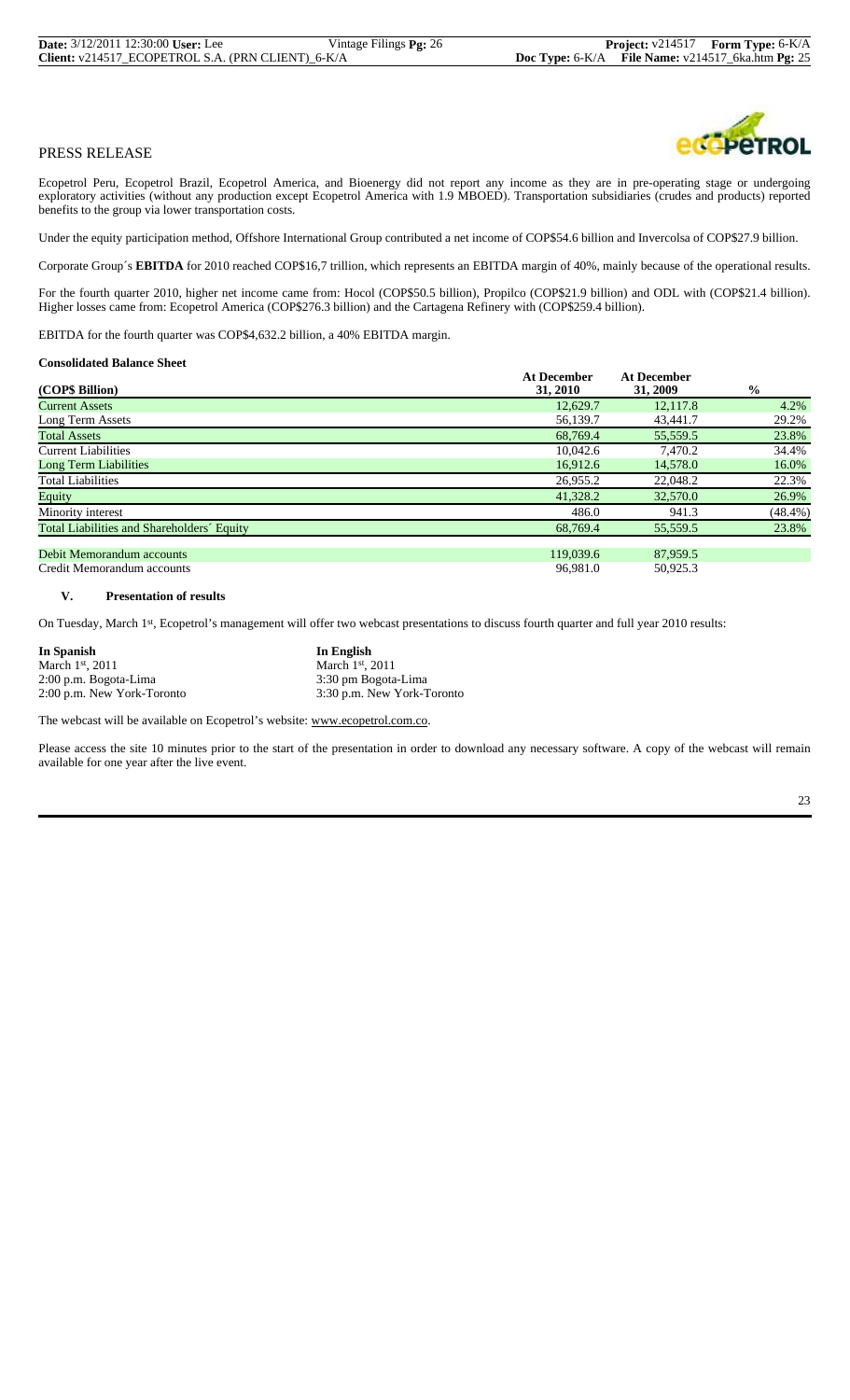Ecopetrol Peru, Ecopetrol Brazil, Ecopetrol America, and Bioenergy did not report any income as they are in pre-operating stage or undergoing exploratory activities (without any production except Ecopetrol America with 1.9 MBOED). Transportation subsidiaries (crudes and products) reported benefits to the group via lower transportation costs.

Under the equity participation method, Offshore International Group contributed a net income of COP\$54.6 billion and Invercolsa of COP\$27.9 billion.

Corporate Group´s **EBITDA** for 2010 reached COP\$16,7 trillion, which represents an EBITDA margin of 40%, mainly because of the operational results.

For the fourth quarter 2010, higher net income came from: Hocol (COP\$50.5 billion), Propilco (COP\$21.9 billion) and ODL with (COP\$21.4 billion). Higher losses came from: Ecopetrol America (COP\$276.3 billion) and the Cartagena Refinery with (COP\$259.4 billion).

EBITDA for the fourth quarter was COP\$4,632.2 billion, a 40% EBITDA margin.

#### **Consolidated Balance Sheet**

|                                            | <b>At December</b> | <b>At December</b> |               |
|--------------------------------------------|--------------------|--------------------|---------------|
| (COP\$ Billion)                            | 31, 2010           | 31, 2009           | $\frac{6}{9}$ |
| <b>Current Assets</b>                      | 12,629.7           | 12.117.8           | 4.2%          |
| Long Term Assets                           | 56,139.7           | 43,441.7           | 29.2%         |
| <b>Total Assets</b>                        | 68.769.4           | 55,559.5           | 23.8%         |
| <b>Current Liabilities</b>                 | 10.042.6           | 7.470.2            | 34.4%         |
| Long Term Liabilities                      | 16,912.6           | 14,578.0           | 16.0%         |
| <b>Total Liabilities</b>                   | 26,955.2           | 22,048.2           | 22.3%         |
| Equity                                     | 41,328.2           | 32,570.0           | 26.9%         |
| Minority interest                          | 486.0              | 941.3              | $(48.4\%)$    |
| Total Liabilities and Shareholders' Equity | 68,769.4           | 55,559.5           | 23.8%         |
| Debit Memorandum accounts                  | 119,039.6          | 87,959.5           |               |
| Credit Memorandum accounts                 | 96,981.0           | 50.925.3           |               |

#### **V. Presentation of results**

On Tuesday, March 1st, Ecopetrol's management will offer two webcast presentations to discuss fourth quarter and full year 2010 results:

2:00 p.m. New York-Toronto **In Spanish 11 In English In English** March 1<sup>st</sup>, 2011 2:00 p.m. Bogota-Lima 3:30 pm Bogota-Lima

March 1st, 2011 2:00 p.m. New York-Toronto 3:30 p.m. New York-Toronto

The webcast will be available on Ecopetrol's website: www.ecopetrol.com.co.

Please access the site 10 minutes prior to the start of the presentation in order to download any necessary software. A copy of the webcast will remain available for one year after the live event.

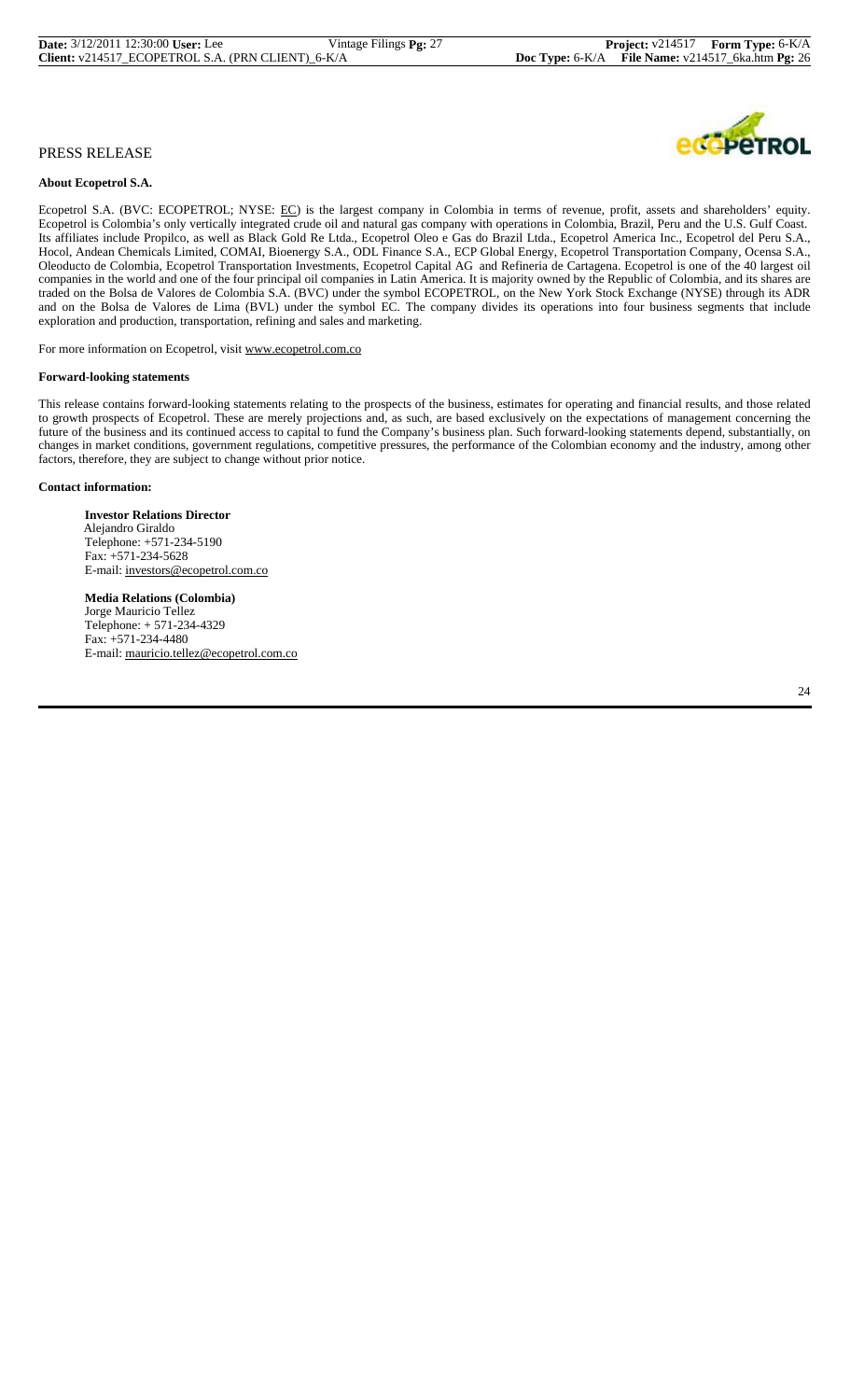#### **About Ecopetrol S.A.**

Ecopetrol S.A. (BVC: ECOPETROL; NYSE: EC) is the largest company in Colombia in terms of revenue, profit, assets and shareholders' equity. Ecopetrol is Colombia's only vertically integrated crude oil and natural gas company with operations in Colombia, Brazil, Peru and the U.S. Gulf Coast. Its affiliates include Propilco, as well as Black Gold Re Ltda., Ecopetrol Oleo e Gas do Brazil Ltda., Ecopetrol America Inc., Ecopetrol del Peru S.A., Hocol, Andean Chemicals Limited, COMAI, Bioenergy S.A., ODL Finance S.A., ECP Global Energy, Ecopetrol Transportation Company, Ocensa S.A., Oleoducto de Colombia, Ecopetrol Transportation Investments, Ecopetrol Capital AG and Refineria de Cartagena. Ecopetrol is one of the 40 largest oil companies in the world and one of the four principal oil companies in Latin America. It is majority owned by the Republic of Colombia, and its shares are traded on the Bolsa de Valores de Colombia S.A. (BVC) under the symbol ECOPETROL, on the New York Stock Exchange (NYSE) through its ADR and on the Bolsa de Valores de Lima (BVL) under the symbol EC. The company divides its operations into four business segments that include exploration and production, transportation, refining and sales and marketing.

For more information on Ecopetrol, visit www.ecopetrol.com.co

#### **Forward-looking statements**

This release contains forward-looking statements relating to the prospects of the business, estimates for operating and financial results, and those related to growth prospects of Ecopetrol. These are merely projections and, as such, are based exclusively on the expectations of management concerning the future of the business and its continued access to capital to fund the Company's business plan. Such forward-looking statements depend, substantially, on changes in market conditions, government regulations, competitive pressures, the performance of the Colombian economy and the industry, among other factors, therefore, they are subject to change without prior notice.

#### **Contact information:**

 **Investor Relations Director** Alejandro Giraldo Telephone: +571-234-5190 Fax: +571-234-5628 E-mail: investors@ecopetrol.com.co

 **Media Relations (Colombia)** Jorge Mauricio Tellez Telephone: + 571-234-4329 Fax: +571-234-4480 E-mail: mauricio.tellez@ecopetrol.com.co

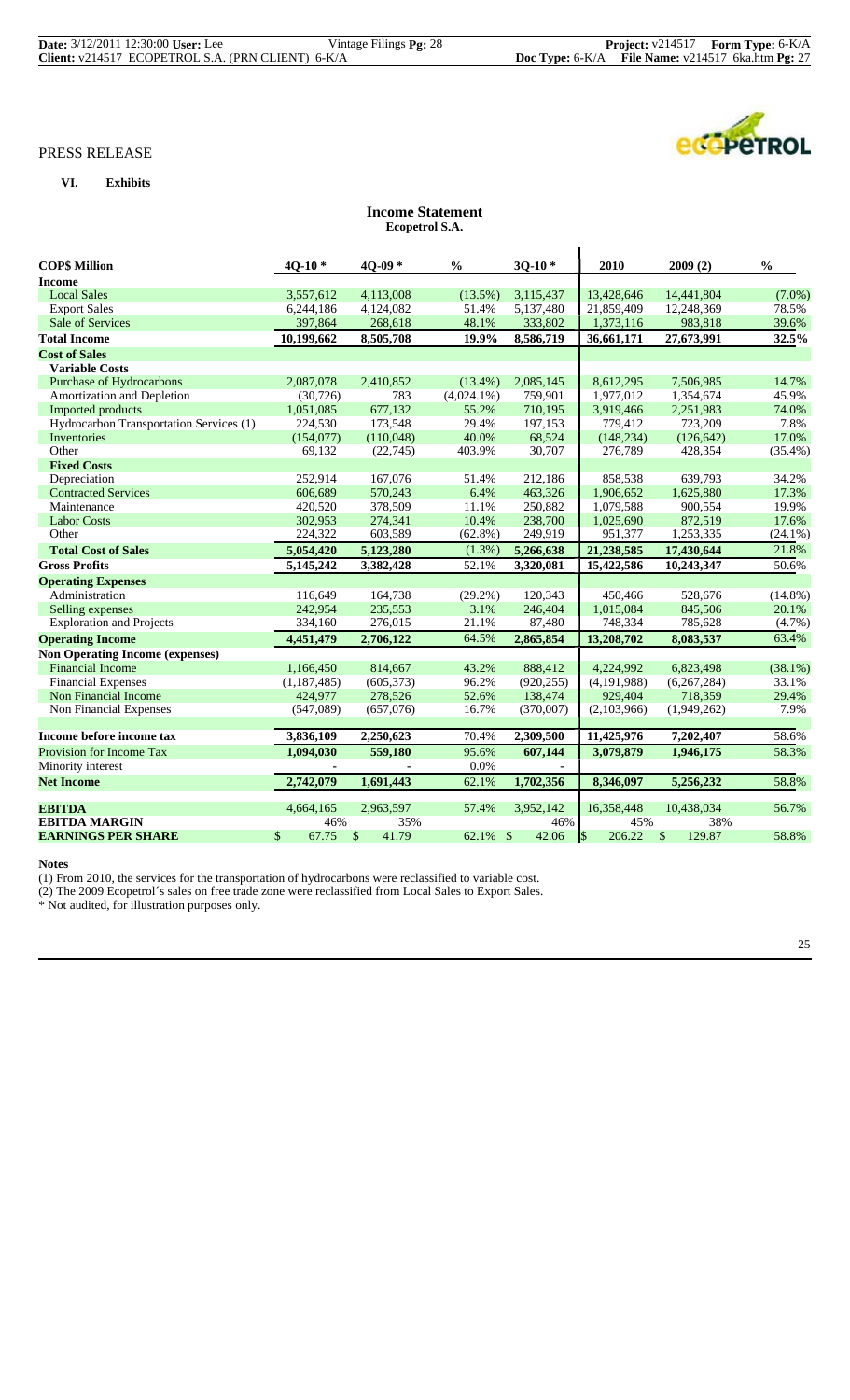# **VI. Exhibits**



# **Income Statement Ecopetrol S.A.**

| <b>COPS Million</b>                     | $40-10*$      | $40-09*$    | $\frac{0}{0}$ | $30-10*$                         | 2010         | 2009(2)                | $\frac{0}{0}$ |
|-----------------------------------------|---------------|-------------|---------------|----------------------------------|--------------|------------------------|---------------|
| <b>Income</b>                           |               |             |               |                                  |              |                        |               |
| <b>Local Sales</b>                      | 3,557,612     | 4,113,008   | $(13.5\%)$    | 3,115,437                        | 13,428,646   | 14,441,804             | $(7.0\%)$     |
| <b>Export Sales</b>                     | 6,244,186     | 4,124,082   | 51.4%         | 5,137,480                        | 21,859,409   | 12,248,369             | 78.5%         |
| Sale of Services                        | 397,864       | 268,618     | 48.1%         | 333,802                          | 1,373,116    | 983,818                | 39.6%         |
| <b>Total Income</b>                     | 10,199,662    | 8,505,708   | 19.9%         | 8,586,719                        | 36,661,171   | 27,673,991             | 32.5%         |
| <b>Cost of Sales</b>                    |               |             |               |                                  |              |                        |               |
| <b>Variable Costs</b>                   |               |             |               |                                  |              |                        |               |
| Purchase of Hydrocarbons                | 2,087,078     | 2,410,852   | $(13.4\%)$    | 2,085,145                        | 8,612,295    | 7,506,985              | 14.7%         |
| Amortization and Depletion              | (30, 726)     | 783         | $(4,024.1\%)$ | 759,901                          | 1,977,012    | 1,354,674              | 45.9%         |
| Imported products                       | 1,051,085     | 677,132     | 55.2%         | 710,195                          | 3,919,466    | 2,251,983              | 74.0%         |
| Hydrocarbon Transportation Services (1) | 224,530       | 173,548     | 29.4%         | 197,153                          | 779,412      | 723,209                | 7.8%          |
| Inventories                             | (154,077)     | (110,048)   | 40.0%         | 68,524                           | (148, 234)   | (126, 642)             | 17.0%         |
| Other                                   | 69,132        | (22, 745)   | 403.9%        | 30,707                           | 276,789      | 428,354                | $(35.4\%)$    |
| <b>Fixed Costs</b>                      |               |             |               |                                  |              |                        |               |
| Depreciation                            | 252,914       | 167,076     | 51.4%         | 212,186                          | 858,538      | 639,793                | 34.2%         |
| <b>Contracted Services</b>              | 606,689       | 570,243     | 6.4%          | 463,326                          | 1,906,652    | 1,625,880              | 17.3%         |
| Maintenance                             | 420,520       | 378,509     | 11.1%         | 250,882                          | 1,079,588    | 900,554                | 19.9%         |
| <b>Labor Costs</b>                      | 302,953       | 274,341     | 10.4%         | 238,700                          | 1,025,690    | 872,519                | 17.6%         |
| Other                                   | 224,322       | 603,589     | $(62.8\%)$    | 249,919                          | 951,377      | 1,253,335              | $(24.1\%)$    |
| <b>Total Cost of Sales</b>              | 5,054,420     | 5,123,280   | $(1.3\%)$     | 5,266,638                        | 21,238,585   | 17,430,644             | 21.8%         |
| <b>Gross Profits</b>                    | 5,145,242     | 3,382,428   | 52.1%         | 3,320,081                        | 15,422,586   | 10,243,347             | 50.6%         |
| <b>Operating Expenses</b>               |               |             |               |                                  |              |                        |               |
| Administration                          | 116,649       | 164,738     | $(29.2\%)$    | 120,343                          | 450,466      | 528,676                | $(14.8\%)$    |
| Selling expenses                        | 242,954       | 235,553     | 3.1%          | 246,404                          | 1,015,084    | 845,506                | 20.1%         |
| <b>Exploration and Projects</b>         | 334,160       | 276,015     | 21.1%         | 87,480                           | 748,334      | 785,628                | $(4.7\%)$     |
| <b>Operating Income</b>                 | 4,451,479     | 2,706,122   | 64.5%         | 2,865,854                        | 13,208,702   | 8,083,537              | 63.4%         |
| <b>Non Operating Income (expenses)</b>  |               |             |               |                                  |              |                        |               |
| <b>Financial Income</b>                 | 1,166,450     | 814,667     | 43.2%         | 888,412                          | 4,224,992    | 6,823,498              | $(38.1\%)$    |
| <b>Financial Expenses</b>               | (1, 187, 485) | (605, 373)  | 96.2%         | (920, 255)                       | (4,191,988)  | (6,267,284)            | 33.1%         |
| Non Financial Income                    | 424,977       | 278,526     | 52.6%         | 138,474                          | 929,404      | 718,359                | 29.4%         |
| Non Financial Expenses                  | (547,089)     | (657,076)   | 16.7%         | (370,007)                        | (2,103,966)  | (1,949,262)            | 7.9%          |
|                                         |               |             |               |                                  |              |                        |               |
| Income before income tax                | 3,836,109     | 2,250,623   | 70.4%         | 2,309,500                        | 11,425,976   | 7,202,407              | 58.6%         |
| Provision for Income Tax                | 1,094,030     | 559,180     | 95.6%         | 607,144                          | 3,079,879    | 1,946,175              | 58.3%         |
| Minority interest                       |               |             | 0.0%          |                                  |              |                        |               |
| <b>Net Income</b>                       | 2,742,079     | 1,691,443   | 62.1%         | 1,702,356                        | 8,346,097    | 5,256,232              | 58.8%         |
| <b>EBITDA</b>                           | 4,664,165     | 2,963,597   | 57.4%         | 3,952,142                        | 16,358,448   | 10,438,034             | 56.7%         |
| <b>EBITDA MARGIN</b>                    | 46%           | 35%         |               | 46%                              | 45%          | 38%                    |               |
| <b>EARNINGS PER SHARE</b>               | \$<br>67.75   | \$<br>41.79 | 62.1%         | $\sqrt[6]{\frac{1}{2}}$<br>42.06 | \$<br>206.22 | $\mathbb{S}$<br>129.87 | 58.8%         |

**Notes**

(1) From 2010, the services for the transportation of hydrocarbons were reclassified to variable cost.

(2) The 2009 Ecopetrol´s sales on free trade zone were reclassified from Local Sales to Export Sales.

\* Not audited, for illustration purposes only.

25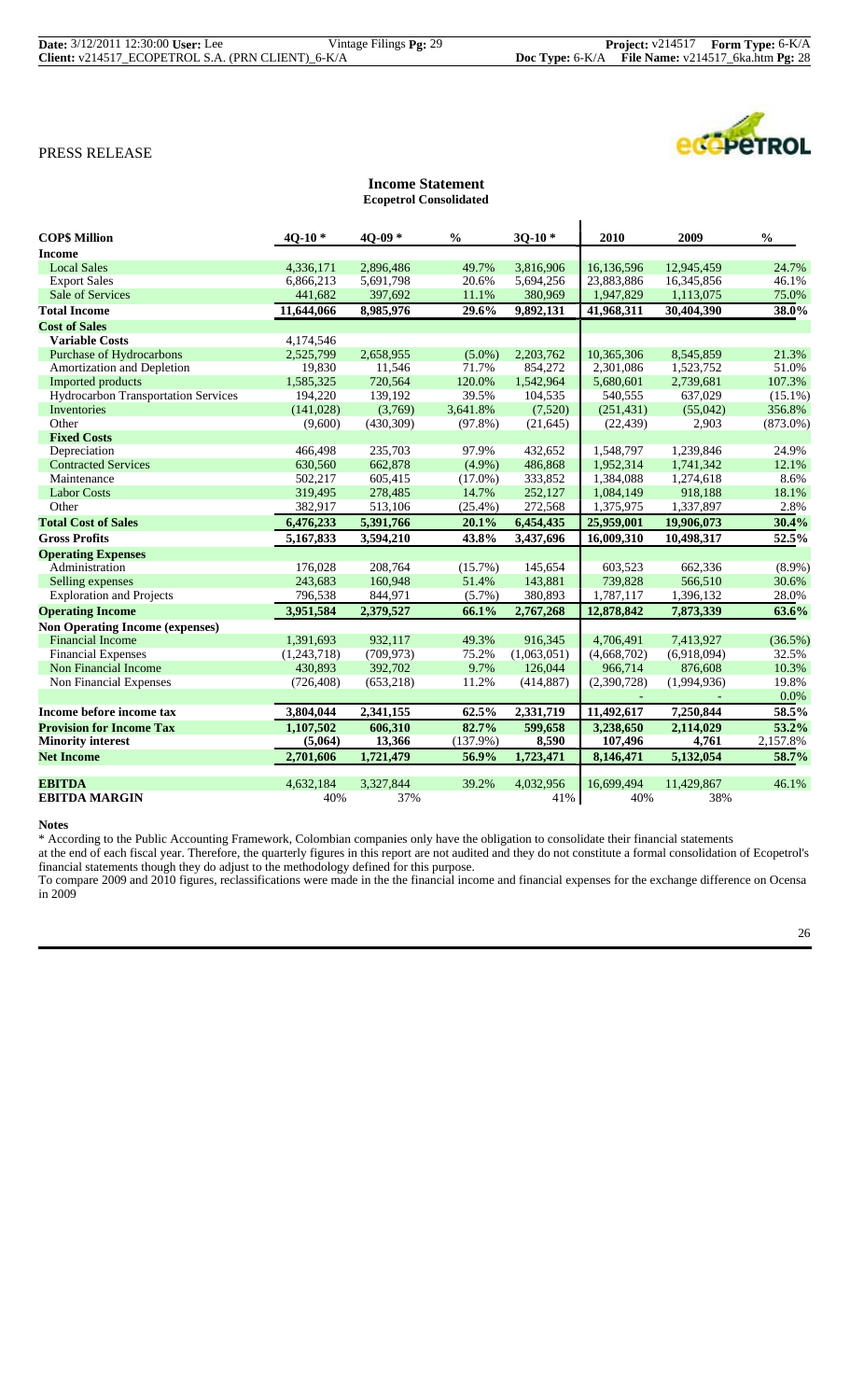| <b>Date:</b> 3/12/2011 12:30:00 User: Lee |                                                   | Vintage Filings $Pg: 29$ |
|-------------------------------------------|---------------------------------------------------|--------------------------|
|                                           | Client: v214517 ECOPETROL S.A. (PRN CLIENT) 6-K/A |                          |

| PETROL |  |
|--------|--|

| <b>COPS Million</b>                    | $40-10*$    | $40-09*$   | $\frac{0}{0}$ | $30-10*$    | 2010        | 2009        | $\frac{0}{0}$ |
|----------------------------------------|-------------|------------|---------------|-------------|-------------|-------------|---------------|
| <b>Income</b>                          |             |            |               |             |             |             |               |
| <b>Local Sales</b>                     | 4,336,171   | 2,896,486  | 49.7%         | 3,816,906   | 16,136,596  | 12,945,459  | 24.7%         |
| <b>Export Sales</b>                    | 6,866,213   | 5,691,798  | 20.6%         | 5,694,256   | 23,883,886  | 16,345,856  | 46.1%         |
| Sale of Services                       | 441,682     | 397,692    | 11.1%         | 380,969     | 1,947,829   | 1,113,075   | 75.0%         |
| <b>Total Income</b>                    | 11,644,066  | 8.985.976  | 29.6%         | 9.892.131   | 41,968,311  | 30,404,390  | 38.0%         |
| <b>Cost of Sales</b>                   |             |            |               |             |             |             |               |
| <b>Variable Costs</b>                  | 4.174.546   |            |               |             |             |             |               |
| Purchase of Hydrocarbons               | 2,525,799   | 2,658,955  | $(5.0\%)$     | 2,203,762   | 10,365,306  | 8,545,859   | 21.3%         |
| Amortization and Depletion             | 19,830      | 11,546     | 71.7%         | 854,272     | 2,301,086   | 1,523,752   | 51.0%         |
| Imported products                      | 1,585,325   | 720,564    | 120.0%        | 1,542,964   | 5,680,601   | 2,739,681   | 107.3%        |
| Hydrocarbon Transportation Services    | 194,220     | 139,192    | 39.5%         | 104,535     | 540,555     | 637,029     | $(15.1\%)$    |
| Inventories                            | (141, 028)  | (3,769)    | 3.641.8%      | (7,520)     | (251, 431)  | (55,042)    | 356.8%        |
| Other                                  | (9,600)     | (430, 309) | $(97.8\%)$    | (21,645)    | (22, 439)   | 2.903       | $(873.0\%)$   |
| <b>Fixed Costs</b>                     |             |            |               |             |             |             |               |
| Depreciation                           | 466,498     | 235,703    | 97.9%         | 432,652     | 1,548,797   | 1,239,846   | 24.9%         |
| <b>Contracted Services</b>             | 630,560     | 662,878    | $(4.9\%)$     | 486,868     | 1,952,314   | 1,741,342   | 12.1%         |
| Maintenance                            | 502,217     | 605.415    | $(17.0\%)$    | 333,852     | 1,384,088   | 1,274,618   | 8.6%          |
| <b>Labor Costs</b>                     | 319,495     | 278,485    | 14.7%         | 252,127     | 1,084,149   | 918,188     | 18.1%         |
| Other                                  | 382,917     | 513,106    | $(25.4\%)$    | 272,568     | 1,375,975   | 1,337,897   | 2.8%          |
| <b>Total Cost of Sales</b>             | 6,476,233   | 5,391,766  | 20.1%         | 6,454,435   | 25,959,001  | 19,906,073  | 30.4%         |
| <b>Gross Profits</b>                   | 5,167,833   | 3,594,210  | 43.8%         | 3,437,696   | 16,009,310  | 10,498,317  | 52.5%         |
| <b>Operating Expenses</b>              |             |            |               |             |             |             |               |
| Administration                         | 176,028     | 208,764    | $(15.7\%)$    | 145,654     | 603,523     | 662,336     | $(8.9\%)$     |
| Selling expenses                       | 243,683     | 160,948    | 51.4%         | 143,881     | 739,828     | 566,510     | 30.6%         |
| <b>Exploration and Projects</b>        | 796,538     | 844,971    | $(5.7\%)$     | 380,893     | 1,787,117   | 1,396,132   | 28.0%         |
| <b>Operating Income</b>                | 3,951,584   | 2,379,527  | 66.1%         | 2,767,268   | 12,878,842  | 7,873,339   | 63.6%         |
| <b>Non Operating Income (expenses)</b> |             |            |               |             |             |             |               |
| <b>Financial Income</b>                | 1,391,693   | 932,117    | 49.3%         | 916,345     | 4,706,491   | 7,413,927   | $(36.5\%)$    |
| <b>Financial Expenses</b>              | (1,243,718) | (709, 973) | 75.2%         | (1,063,051) | (4,668,702) | (6,918,094) | 32.5%         |
| Non Financial Income                   | 430.893     | 392,702    | 9.7%          | 126,044     | 966,714     | 876,608     | 10.3%         |
| Non Financial Expenses                 | (726, 408)  | (653, 218) | 11.2%         | (414, 887)  | (2,390,728) | (1,994,936) | 19.8%         |
|                                        |             |            |               |             |             |             | 0.0%          |
| Income before income tax               | 3,804,044   | 2,341,155  | 62.5%         | 2,331,719   | 11,492,617  | 7.250.844   | 58.5%         |
| <b>Provision for Income Tax</b>        | 1,107,502   | 606,310    | 82.7%         | 599,658     | 3,238,650   | 2,114,029   | 53.2%         |
| <b>Minority interest</b>               | (5,064)     | 13,366     | (137.9%)      | 8,590       | 107,496     | 4,761       | 2,157.8%      |
| <b>Net Income</b>                      | 2,701,606   | 1,721,479  | 56.9%         | 1,723,471   | 8,146,471   | 5,132,054   | 58.7%         |
| <b>EBITDA</b>                          | 4.632.184   | 3.327.844  | 39.2%         | 4,032,956   | 16.699.494  | 11.429.867  | 46.1%         |
| <b>EBITDA MARGIN</b>                   | 40%         | 37%        |               | 41%         | 40%         | 38%         |               |
|                                        |             |            |               |             |             |             |               |

**Income Statement Ecopetrol Consolidated**

### **Notes**

\* According to the Public Accounting Framework, Colombian companies only have the obligation to consolidate their financial statements

at the end of each fiscal year. Therefore, the quarterly figures in this report are not audited and they do not constitute a formal consolidation of Ecopetrol's financial statements though they do adjust to the methodology defined for this purpose.

To compare 2009 and 2010 figures, reclassifications were made in the the financial income and financial expenses for the exchange difference on Ocensa in 2009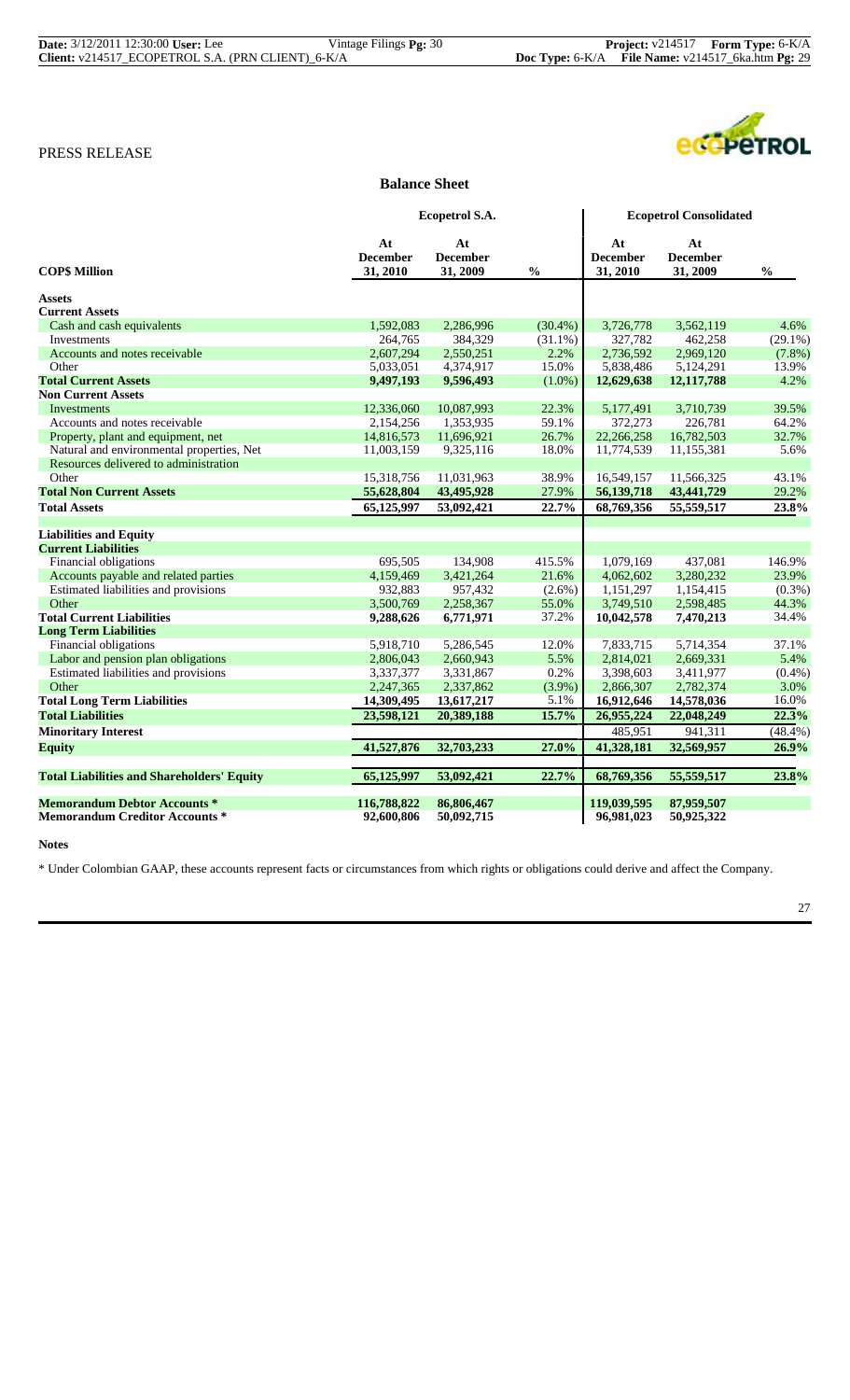| <b>Date:</b> 3/12/2011 12:30:00 User: Lee         | Vintage Filings <b>Pg:</b> 30 |                                                              | <b>Project:</b> $v214517$ <b>Form Type:</b> $6-K/A$ |
|---------------------------------------------------|-------------------------------|--------------------------------------------------------------|-----------------------------------------------------|
| Client: v214517 ECOPETROL S.A. (PRN CLIENT) 6-K/A |                               | <b>Doc Type:</b> $6-K/A$ File Name: $v214517$ 6ka.htm Pg: 29 |                                                     |



#### **Balance Sheet**

|                                                   |                                   | Ecopetrol S.A.                    |               |                                   | <b>Ecopetrol Consolidated</b>     |               |  |
|---------------------------------------------------|-----------------------------------|-----------------------------------|---------------|-----------------------------------|-----------------------------------|---------------|--|
| <b>COP\$ Million</b>                              | At<br><b>December</b><br>31, 2010 | At<br><b>December</b><br>31, 2009 | $\frac{0}{0}$ | At<br><b>December</b><br>31, 2010 | At<br><b>December</b><br>31, 2009 | $\frac{0}{0}$ |  |
| <b>Assets</b>                                     |                                   |                                   |               |                                   |                                   |               |  |
| <b>Current Assets</b>                             |                                   |                                   |               |                                   |                                   |               |  |
| Cash and cash equivalents                         | 1,592,083                         | 2,286,996                         | $(30.4\%)$    | 3,726,778                         | 3,562,119                         | 4.6%          |  |
| Investments                                       | 264,765                           | 384,329                           | $(31.1\%)$    | 327,782                           | 462,258                           | $(29.1\%)$    |  |
| Accounts and notes receivable                     | 2,607,294                         | 2,550,251                         | 2.2%          | 2,736,592                         | 2,969,120                         | $(7.8\%)$     |  |
| Other                                             | 5,033,051                         | 4,374,917                         | 15.0%         | 5,838,486                         | 5,124,291                         | 13.9%         |  |
| <b>Total Current Assets</b>                       | 9,497,193                         | 9,596,493                         | $(1.0\%)$     | 12,629,638                        | 12,117,788                        | 4.2%          |  |
| <b>Non Current Assets</b>                         |                                   |                                   |               |                                   |                                   |               |  |
| Investments                                       | 12,336,060                        | 10,087,993                        | 22.3%         | 5,177,491                         | 3,710,739                         | 39.5%         |  |
| Accounts and notes receivable                     | 2,154,256                         | 1,353,935                         | 59.1%         | 372,273                           | 226,781                           | 64.2%         |  |
| Property, plant and equipment, net                | 14,816,573                        | 11,696,921                        | 26.7%         | 22,266,258                        | 16,782,503                        | 32.7%         |  |
| Natural and environmental properties, Net         | 11,003,159                        | 9,325,116                         | 18.0%         | 11,774,539                        | 11,155,381                        | 5.6%          |  |
| Resources delivered to administration             |                                   |                                   |               |                                   |                                   |               |  |
| Other                                             | 15,318,756                        | 11,031,963                        | 38.9%         | 16,549,157                        | 11,566,325                        | 43.1%         |  |
| <b>Total Non Current Assets</b>                   | 55,628,804                        | 43,495,928                        | 27.9%         | 56,139,718                        | 43,441,729                        | 29.2%         |  |
| <b>Total Assets</b>                               | 65,125,997                        | 53,092,421                        | 22.7%         | 68,769,356                        | 55,559,517                        | 23.8%         |  |
| <b>Liabilities and Equity</b>                     |                                   |                                   |               |                                   |                                   |               |  |
| <b>Current Liabilities</b>                        |                                   |                                   |               |                                   |                                   |               |  |
| <b>Financial obligations</b>                      | 695,505                           | 134,908                           | 415.5%        | 1,079,169                         | 437,081                           | 146.9%        |  |
| Accounts payable and related parties              | 4,159,469                         | 3,421,264                         | 21.6%         | 4,062,602                         | 3,280,232                         | 23.9%         |  |
| Estimated liabilities and provisions              | 932,883                           | 957,432                           | $(2.6\%)$     | 1,151,297                         | 1,154,415                         | $(0.3\%)$     |  |
| Other                                             | 3,500,769                         | 2,258,367                         | 55.0%         | 3,749,510                         | 2,598,485                         | 44.3%         |  |
| <b>Total Current Liabilities</b>                  | 9,288,626                         | 6,771,971                         | 37.2%         | 10,042,578                        | 7,470,213                         | 34.4%         |  |
| <b>Long Term Liabilities</b>                      |                                   |                                   |               |                                   |                                   |               |  |
| Financial obligations                             | 5,918,710                         | 5,286,545                         | 12.0%         | 7,833,715                         | 5,714,354                         | 37.1%         |  |
| Labor and pension plan obligations                | 2,806,043                         | 2,660,943                         | 5.5%          | 2,814,021                         | 2,669,331                         | 5.4%          |  |
| Estimated liabilities and provisions              | 3,337,377                         | 3,331,867                         | 0.2%          | 3,398,603                         | 3,411,977                         | (0.4%         |  |
| Other                                             | 2,247,365                         | 2,337,862                         | $(3.9\%)$     | 2,866,307                         | 2,782,374                         | 3.0%          |  |
| <b>Total Long Term Liabilities</b>                | 14,309,495                        | 13,617,217                        | 5.1%          | 16,912,646                        | 14,578,036                        | 16.0%         |  |
| <b>Total Liabilities</b>                          | 23,598,121                        | 20,389,188                        | 15.7%         | 26,955,224                        | 22,048,249                        | 22.3%         |  |
| <b>Minoritary Interest</b>                        |                                   |                                   |               | 485,951                           | 941,311                           | (48.4%)       |  |
| <b>Equity</b>                                     | 41,527,876                        | 32,703,233                        | 27.0%         | 41,328,181                        | 32,569,957                        | 26.9%         |  |
| <b>Total Liabilities and Shareholders' Equity</b> | 65,125,997                        | 53,092,421                        | 22.7%         | 68,769,356                        | 55,559,517                        | 23.8%         |  |
| <b>Memorandum Debtor Accounts *</b>               | 116,788,822                       | 86,806,467                        |               | 119,039,595                       | 87,959,507                        |               |  |
| <b>Memorandum Creditor Accounts *</b>             | 92,600,806                        | 50,092,715                        |               | 96,981,023                        | 50,925,322                        |               |  |

**Notes**

\* Under Colombian GAAP, these accounts represent facts or circumstances from which rights or obligations could derive and affect the Company.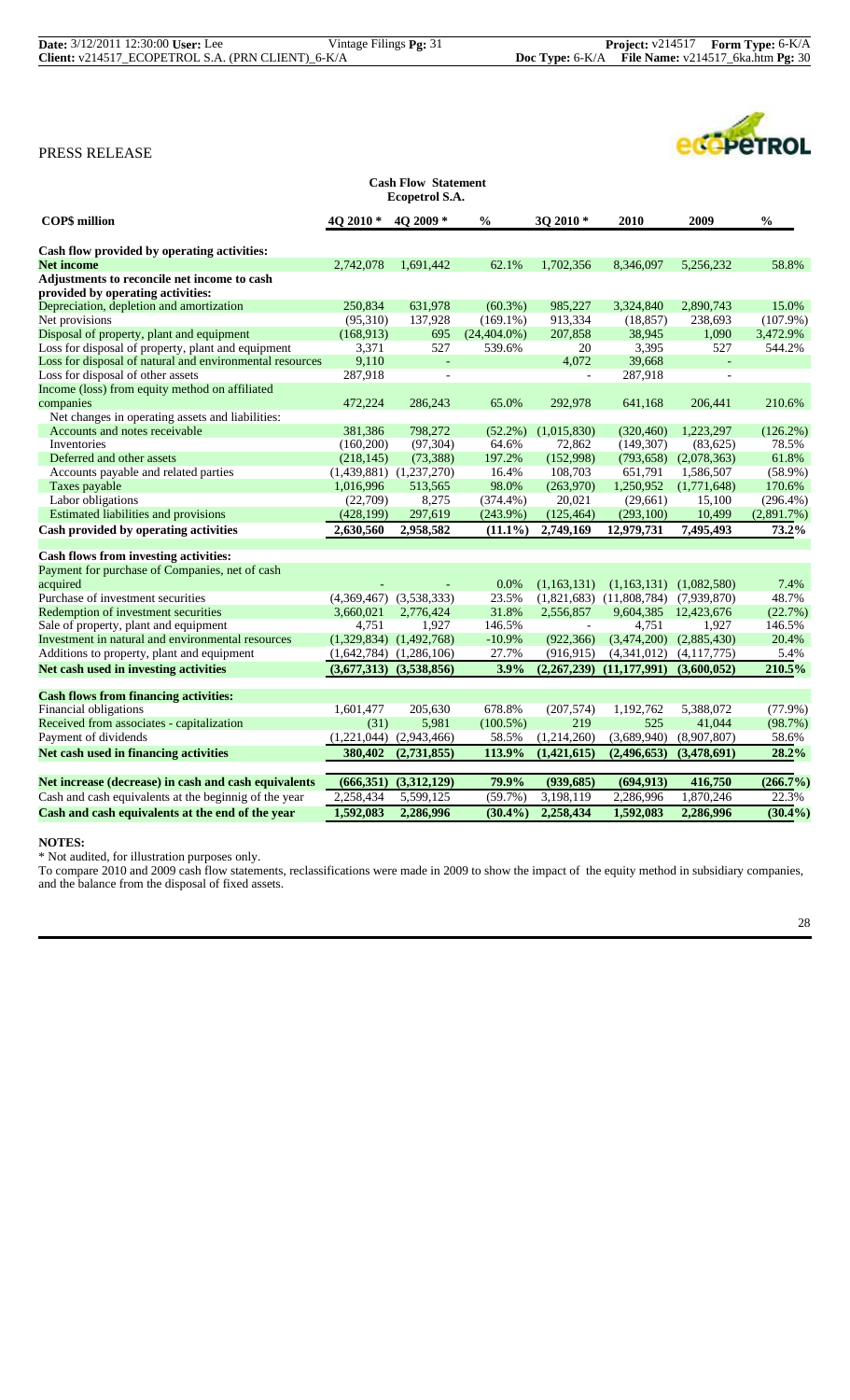|                                                                                  |                             | <b>Cash Flow Statement</b><br>Ecopetrol S.A. |                 |                          |                              |             |               |
|----------------------------------------------------------------------------------|-----------------------------|----------------------------------------------|-----------------|--------------------------|------------------------------|-------------|---------------|
| <b>COPS</b> million                                                              | 4Q 2010 $*$                 | 40 2009 *                                    | $\frac{6}{6}$   | 3Q 2010 *                | 2010                         | 2009        | $\frac{6}{6}$ |
| Cash flow provided by operating activities:                                      |                             |                                              |                 |                          |                              |             |               |
| <b>Net income</b>                                                                | 2,742,078                   | 1,691,442                                    | 62.1%           | 1,702,356                | 8,346,097                    | 5,256,232   | 58.8%         |
| Adjustments to reconcile net income to cash<br>provided by operating activities: |                             |                                              |                 |                          |                              |             |               |
| Depreciation, depletion and amortization                                         | 250,834                     | 631,978                                      | $(60.3\%)$      | 985,227                  | 3,324,840                    | 2,890,743   | 15.0%         |
| Net provisions                                                                   | (95,310)                    | 137,928                                      | $(169.1\%)$     | 913,334                  | (18, 857)                    | 238,693     | $(107.9\%)$   |
| Disposal of property, plant and equipment                                        | (168,913)                   | 695                                          | $(24, 404.0\%)$ | 207,858                  | 38,945                       | 1,090       | 3,472.9%      |
| Loss for disposal of property, plant and equipment                               | 3,371                       | 527                                          | 539.6%          | 20                       | 3,395                        | 527         | 544.2%        |
| Loss for disposal of natural and environmental resources                         | 9,110                       | $\blacksquare$                               |                 | 4,072                    | 39,668                       | $\sim$      |               |
| Loss for disposal of other assets                                                | 287,918                     |                                              |                 | $\overline{a}$           | 287,918                      |             |               |
| Income (loss) from equity method on affiliated                                   |                             |                                              |                 |                          |                              |             |               |
| companies                                                                        | 472.224                     | 286,243                                      | 65.0%           | 292,978                  | 641.168                      | 206,441     | 210.6%        |
| Net changes in operating assets and liabilities:                                 |                             |                                              |                 |                          |                              |             |               |
| Accounts and notes receivable                                                    | 381,386                     | 798,272                                      | $(52.2\%)$      | (1,015,830)              | (320, 460)                   | 1,223,297   | $(126.2\%)$   |
| Inventories                                                                      | (160, 200)                  | (97, 304)                                    | 64.6%           | 72,862                   | (149, 307)                   | (83,625)    | 78.5%         |
| Deferred and other assets                                                        | (218, 145)                  | (73, 388)                                    | 197.2%          | (152,998)                | (793, 658)                   | (2,078,363) | 61.8%         |
| Accounts payable and related parties                                             | (1,439,881)                 | (1,237,270)                                  | 16.4%           | 108,703                  | 651,791                      | 1,586,507   | $(58.9\%)$    |
| Taxes payable                                                                    | 1,016,996                   | 513,565                                      | 98.0%           | (263,970)                | 1,250,952                    | (1,771,648) | 170.6%        |
| Labor obligations                                                                | (22,709)                    | 8,275                                        | $(374.4\%)$     | 20,021                   | (29,661)                     | 15,100      | $(296.4\%)$   |
| Estimated liabilities and provisions                                             | (428, 199)                  | 297,619                                      | $(243.9\%)$     | (125, 464)               | (293,100)                    | 10,499      | $(2,891.7\%)$ |
| Cash provided by operating activities                                            | 2,630,560                   | 2,958,582                                    | $(11.1\%)$      | 2,749,169                | 12,979,731                   | 7,495,493   | 73.2%         |
|                                                                                  |                             |                                              |                 |                          |                              |             |               |
| Cash flows from investing activities:                                            |                             |                                              |                 |                          |                              |             |               |
| Payment for purchase of Companies, net of cash                                   |                             |                                              |                 |                          |                              |             |               |
| acquired                                                                         |                             |                                              | 0.0%            | (1,163,131)              | (1.163.131)                  | (1.082.580) | 7.4%          |
| Purchase of investment securities                                                | (4,369,467)                 | (3,538,333)                                  | 23.5%           |                          | $(1,821,683)$ $(11,808,784)$ | (7,939,870) | 48.7%         |
| Redemption of investment securities                                              | 3.660.021                   | 2.776.424                                    | 31.8%           | 2,556,857                | 9,604,385                    | 12,423,676  | (22.7%)       |
| Sale of property, plant and equipment                                            | 4,751                       | 1,927                                        | 146.5%          | $\overline{\phantom{a}}$ | 4,751                        | 1,927       | 146.5%        |
| Investment in natural and environmental resources                                | (1,329,834)                 | (1,492,768)                                  | $-10.9%$        | (922, 366)               | (3,474,200)                  | (2,885,430) | 20.4%         |
| Additions to property, plant and equipment                                       |                             | $(1,642,784)$ $(1,286,106)$                  | 27.7%           | (916, 915)               | (4,341,012)                  | (4,117,775) | 5.4%          |
| Net cash used in investing activities                                            | $(3,677,313)$ $(3,538,856)$ |                                              | 3.9%            | (2,267,239)              | (11, 177, 991)               | (3,600,052) | 210.5%        |

| <b>Cash flows from financing activities:</b>          |             |             |               |             |             |             |             |
|-------------------------------------------------------|-------------|-------------|---------------|-------------|-------------|-------------|-------------|
| Financial obligations                                 | 1.601.477   | 205,630     | 678.8%        | (207.574)   | 1.192.762   | 5.388,072   | $(77.9\%)$  |
| Received from associates - capitalization             | (31)        | 5.981       | $(100.5\%)$   | 219         | 525         | 41,044      | (98.7%)     |
| Payment of dividends                                  | (1,221,044) | (2,943,466) | 58.5%         | (1.214.260) | (3.689.940) | (8.907.807) | 58.6%       |
| Net cash used in financing activities                 | 380,402     | (2,731,855) | <b>113.9%</b> | (1,421,615) | (2,496,653) | (3,478,691) | $28.2\%$    |
|                                                       |             |             |               |             |             |             |             |
| Net increase (decrease) in cash and cash equivalents  | (666,351)   | (3,312,129) | 79.9%         | (939, 685)  | (694, 913)  | 416,750     | $(266.7\%)$ |
| Cash and cash equivalents at the beginnig of the year | 2,258,434   | 5,599,125   | $(59.7\%)$    | 3,198,119   | 2,286,996   | 1,870,246   | 22.3%       |
| Cash and cash equivalents at the end of the year      | 1,592,083   | 2,286,996   | $(30.4\%)$    | 2,258,434   | 1,592,083   | 2,286,996   | $(30.4\%)$  |

#### **NOTES:**

\* Not audited, for illustration purposes only.

To compare 2010 and 2009 cash flow statements, reclassifications were made in 2009 to show the impact of the equity method in subsidiary companies, and the balance from the disposal of fixed assets.

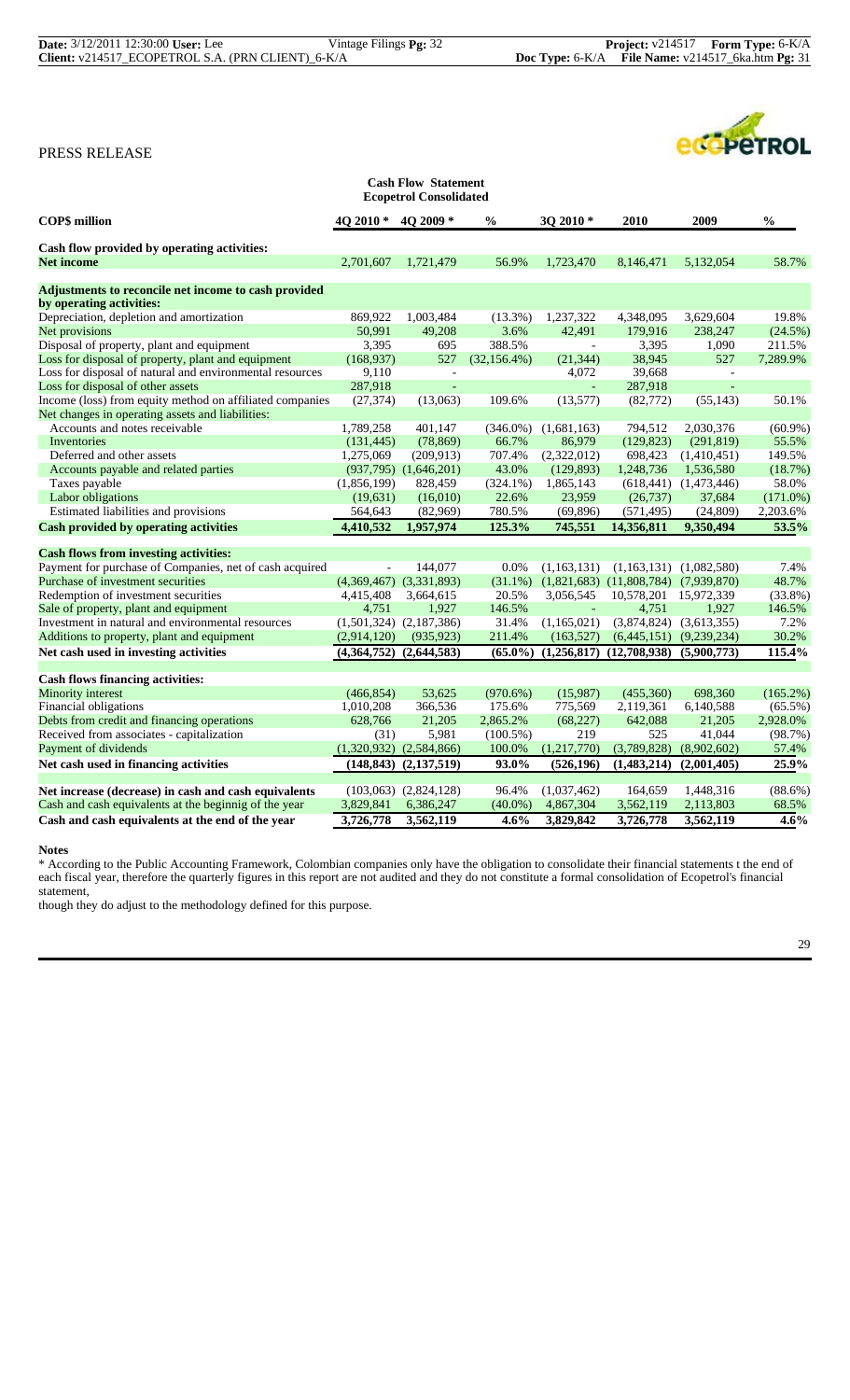|                                                          |             | <b>Cash Flow Statement</b><br><b>Ecopetrol Consolidated</b> |                 |             |                                            |                              |               |
|----------------------------------------------------------|-------------|-------------------------------------------------------------|-----------------|-------------|--------------------------------------------|------------------------------|---------------|
| <b>COP\$</b> million                                     | 4O 2010 *   | 4Q 2009*                                                    | $\frac{0}{0}$   | $302010*$   | 2010                                       | 2009                         | $\frac{0}{0}$ |
| Cash flow provided by operating activities:              |             |                                                             |                 |             |                                            |                              |               |
| <b>Net income</b>                                        | 2,701,607   | 1.721.479                                                   | 56.9%           | 1,723,470   | 8.146.471                                  | 5.132,054                    | 58.7%         |
| Adjustments to reconcile net income to cash provided     |             |                                                             |                 |             |                                            |                              |               |
| by operating activities:                                 |             |                                                             |                 |             |                                            |                              |               |
| Depreciation, depletion and amortization                 | 869,922     | 1,003,484                                                   | $(13.3\%)$      | 1,237,322   | 4,348,095                                  | 3,629,604                    | 19.8%         |
| Net provisions                                           | 50.991      | 49.208                                                      | 3.6%            | 42.491      | 179,916                                    | 238,247                      | $(24.5\%)$    |
| Disposal of property, plant and equipment                | 3,395       | 695                                                         | 388.5%          | $\sim$      | 3,395                                      | 1,090                        | 211.5%        |
| Loss for disposal of property, plant and equipment       | (168,937)   | 527                                                         | $(32, 156.4\%)$ | (21, 344)   | 38,945                                     | 527                          | 7,289.9%      |
| Loss for disposal of natural and environmental resources | 9,110       | $\overline{\phantom{a}}$                                    |                 | 4,072       | 39,668                                     | $\mathbf{r}$                 |               |
| Loss for disposal of other assets                        | 287,918     | $\overline{a}$                                              |                 |             | 287,918                                    | L.                           |               |
| Income (loss) from equity method on affiliated companies | (27, 374)   | (13,063)                                                    | 109.6%          | (13,577)    | (82, 772)                                  | (55, 143)                    | 50.1%         |
| Net changes in operating assets and liabilities:         |             |                                                             |                 |             |                                            |                              |               |
| Accounts and notes receivable                            | 1,789,258   | 401,147                                                     | $(346.0\%)$     | (1,681,163) | 794,512                                    | 2,030,376                    | $(60.9\%)$    |
| Inventories                                              | (131, 445)  | (78, 869)                                                   | 66.7%           | 86,979      | (129, 823)                                 | (291, 819)                   | 55.5%         |
| Deferred and other assets                                | 1,275,069   | (209, 913)                                                  | 707.4%          | (2,322,012) | 698,423                                    | (1,410,451)                  | 149.5%        |
| Accounts payable and related parties                     |             | $(937,795)$ $(1,646,201)$                                   | 43.0%           | (129, 893)  | 1,248,736                                  | 1,536,580                    | (18.7%)       |
| Taxes payable                                            | (1,856,199) | 828,459                                                     | $(324.1\%)$     | 1,865,143   |                                            | $(618, 441)$ $(1, 473, 446)$ | 58.0%         |
| Labor obligations                                        | (19,631)    | (16,010)                                                    | 22.6%           | 23,959      | (26, 737)                                  | 37,684                       | $(171.0\%)$   |
| Estimated liabilities and provisions                     | 564,643     | (82,969)                                                    | 780.5%          | (69, 896)   | (571, 495)                                 | (24, 809)                    | 2,203.6%      |
| <b>Cash provided by operating activities</b>             | 4,410,532   | 1,957,974                                                   | 125.3%          | 745,551     | 14,356,811                                 | 9,350,494                    | 53.5%         |
|                                                          |             |                                                             |                 |             |                                            |                              |               |
| <b>Cash flows from investing activities:</b>             |             |                                                             |                 |             |                                            |                              |               |
| Payment for purchase of Companies, net of cash acquired  |             | 144,077                                                     | 0.0%            | (1,163,131) | (1,163,131)                                | (1,082,580)                  | 7.4%          |
| Purchase of investment securities                        |             | $(4,369,467)$ $(3,331,893)$                                 | $(31.1\%)$      |             | $(1,821,683)$ $(11,808,784)$ $(7,939,870)$ |                              | 48.7%         |
| Redemption of investment securities                      | 4,415,408   | 3,664,615                                                   | 20.5%           | 3,056,545   | 10,578,201                                 | 15,972,339                   | $(33.8\%)$    |
| Sale of property, plant and equipment                    | 4,751       | 1,927                                                       | 146.5%          |             | 4,751                                      | 1,927                        | 146.5%        |
| Investment in natural and environmental resources        |             | $(1,501,324)$ $(2,187,386)$                                 | 31.4%           | (1,165,021) |                                            | $(3,874,824)$ $(3,613,355)$  | 7.2%          |
| Additions to property, plant and equipment               | (2,914,120) | (935, 923)                                                  | 211.4%          | (163, 527)  |                                            | $(6,445,151)$ $(9,239,234)$  | 30.2%         |
| Net cash used in investing activities                    |             | $(4,364,752)$ $(2,644,583)$                                 | $(65.0\%)$      |             | $(1,256,817)$ $(12,708,938)$               | (5,900,773)                  | 115.4%        |
| <b>Cash flows financing activities:</b>                  |             |                                                             |                 |             |                                            |                              |               |
| <b>Minority</b> interest                                 | (466, 854)  | 53,625                                                      | (970.6%)        | (15,987)    | (455,360)                                  | 698,360                      | $(165.2\%)$   |
| Financial obligations                                    | 1,010,208   | 366,536                                                     | 175.6%          | 775,569     | 2,119,361                                  | 6,140,588                    | $(65.5\%)$    |
| Debts from credit and financing operations               | 628,766     | 21,205                                                      | 2,865.2%        | (68, 227)   | 642,088                                    | 21,205                       | 2,928.0%      |
| Received from associates - capitalization                | (31)        | 5,981                                                       | $(100.5\%)$     | 219         | 525                                        | 41,044                       | (98.7%)       |
| Payment of dividends                                     |             | $(1,320,932)$ $(2,584,866)$                                 | 100.0%          | (1,217,770) | (3,789,828)                                | (8,902,602)                  | 57.4%         |
| Net cash used in financing activities                    |             | $(148, 843)$ $(2, 137, 519)$                                | 93.0%           | (526, 196)  | (1,483,214)                                | (2,001,405)                  | 25.9%         |
|                                                          |             |                                                             |                 |             |                                            |                              |               |
| Net increase (decrease) in cash and cash equivalents     |             | $(103,063)$ $(2,824,128)$                                   | 96.4%           | (1,037,462) | 164,659                                    | 1,448,316                    | $(88.6\%)$    |
| Cash and cash equivalents at the beginnig of the year    | 3,829,841   | 6,386,247                                                   | $(40.0\%)$      | 4,867,304   | 3,562,119                                  | 2,113,803                    | 68.5%         |
| Cash and cash equivalents at the end of the year         | 3,726,778   | 3.562,119                                                   | 4.6%            | 3,829,842   | 3,726,778                                  | 3,562,119                    | 4.6%          |

#### **Notes**

\* According to the Public Accounting Framework, Colombian companies only have the obligation to consolidate their financial statements t the end of each fiscal year, therefore the quarterly figures in this report are not audited and they do not constitute a formal consolidation of Ecopetrol's financial statement,

though they do adjust to the methodology defined for this purpose.

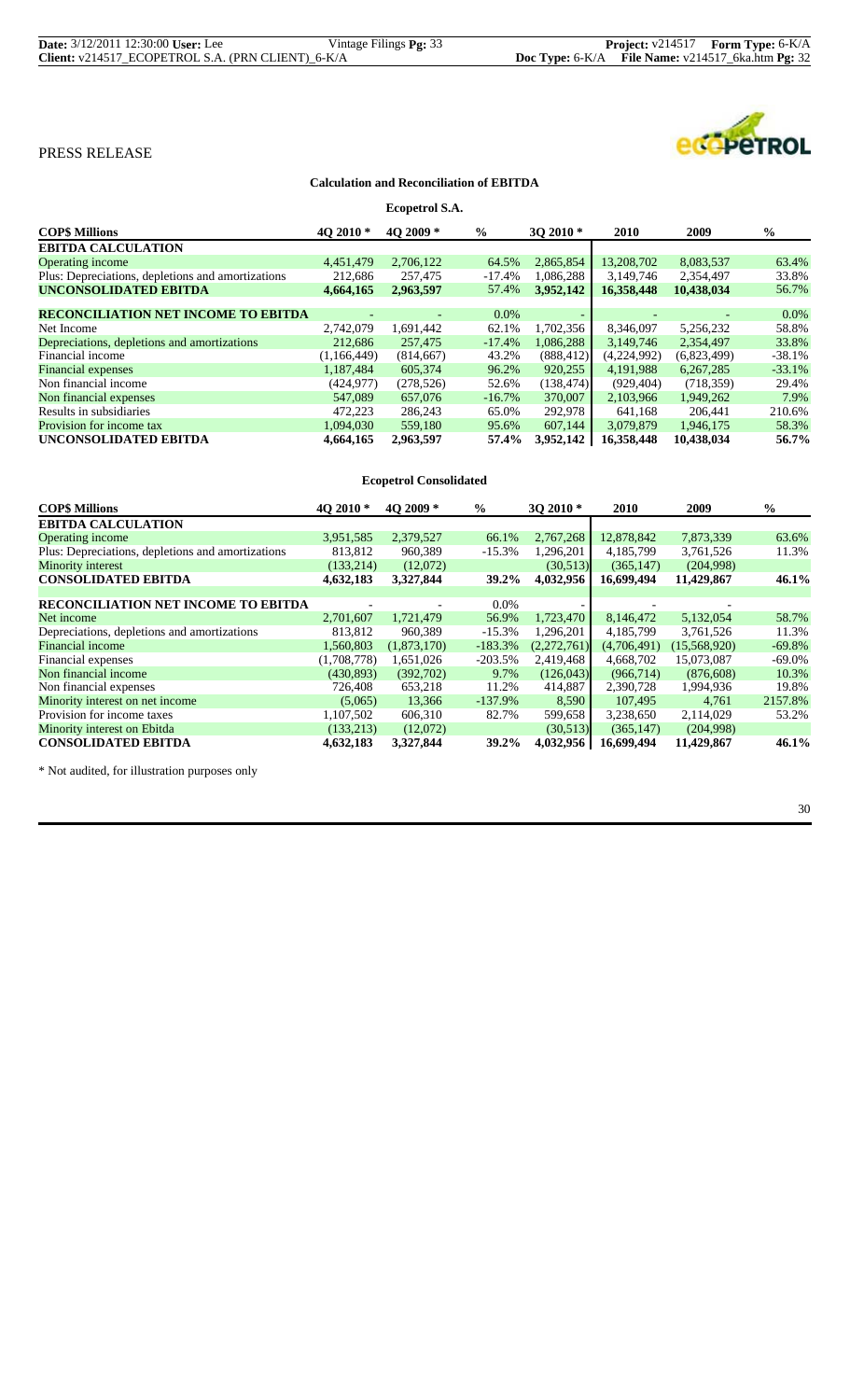| <b>Date:</b> 3/12/2011 12:30:00 User: Lee         | Vintage Filings Pg: 33 |                                                       | <b>Project:</b> v214517 <b>Form Type:</b> 6-K/A |
|---------------------------------------------------|------------------------|-------------------------------------------------------|-------------------------------------------------|
| Client: v214517_ECOPETROL S.A. (PRN CLIENT)_6-K/A |                        | Doc Type: $6-K/A$ File Name: $v214517$ 6ka.htm Pg: 32 |                                                 |

# ecopeTROL

# PRESS RELEASE

#### **Calculation and Reconciliation of EBITDA**

|                                                   |             | Ecopetrol S.A. |           |            |             |             |               |
|---------------------------------------------------|-------------|----------------|-----------|------------|-------------|-------------|---------------|
| <b>COP\$ Millions</b>                             | 40 2010 $*$ | 40 2009 *      | $\%$      | 3O 2010 *  | <b>2010</b> | 2009        | $\frac{0}{0}$ |
| <b>EBITDA CALCULATION</b>                         |             |                |           |            |             |             |               |
| <b>Operating income</b>                           | 4,451,479   | 2,706,122      | 64.5%     | 2,865,854  | 13,208,702  | 8,083,537   | 63.4%         |
| Plus: Depreciations, depletions and amortizations | 212,686     | 257,475        | $-17.4%$  | 1,086,288  | 3,149,746   | 2,354,497   | 33.8%         |
| <b>UNCONSOLIDATED EBITDA</b>                      | 4,664,165   | 2,963,597      | 57.4%     | 3.952.142  | 16.358.448  | 10.438.034  | 56.7%         |
|                                                   |             |                |           |            |             |             |               |
| <b>RECONCILIATION NET INCOME TO EBITDA</b>        |             |                | $0.0\%$   |            |             |             | $0.0\%$       |
| Net Income                                        | 2,742,079   | 1,691,442      | 62.1%     | 1,702,356  | 8,346,097   | 5,256,232   | 58.8%         |
| Depreciations, depletions and amortizations       | 212,686     | 257,475        | $-17.4%$  | 1,086,288  | 3,149,746   | 2,354,497   | 33.8%         |
| Financial income                                  | (1,166,449) | (814, 667)     | 43.2%     | (888, 412) | (4,224,992) | (6,823,499) | $-38.1%$      |
| <b>Financial</b> expenses                         | 1,187,484   | 605,374        | 96.2%     | 920,255    | 4, 191, 988 | 6,267,285   | $-33.1%$      |
| Non financial income                              | (424, 977)  | (278, 526)     | 52.6%     | (138, 474) | (929, 404)  | (718, 359)  | 29.4%         |
| Non financial expenses                            | 547,089     | 657,076        | $-16.7\%$ | 370,007    | 2.103.966   | 1.949.262   | 7.9%          |
| Results in subsidiaries                           | 472,223     | 286,243        | 65.0%     | 292,978    | 641.168     | 206,441     | 210.6%        |
| Provision for income tax                          | 1,094,030   | 559,180        | 95.6%     | 607.144    | 3,079,879   | 1,946,175   | 58.3%         |
| UNCONSOLIDATED EBITDA                             | 4,664,165   | 2,963,597      | 57.4%     | 3,952,142  | 16,358,448  | 10,438,034  | 56.7%         |

|                                                   |             | <b>Ecopetrol Consolidated</b> |               |             |             |              |          |
|---------------------------------------------------|-------------|-------------------------------|---------------|-------------|-------------|--------------|----------|
| <b>COP\$ Millions</b>                             | 4O 2010 *   | 4O 2009 *                     | $\frac{0}{0}$ | $302010*$   | 2010        | 2009         | $\%$     |
| <b>EBITDA CALCULATION</b>                         |             |                               |               |             |             |              |          |
| <b>Operating income</b>                           | 3,951,585   | 2,379,527                     | 66.1%         | 2,767,268   | 12,878,842  | 7,873,339    | 63.6%    |
| Plus: Depreciations, depletions and amortizations | 813,812     | 960,389                       | $-15.3%$      | 1,296,201   | 4, 185, 799 | 3,761,526    | 11.3%    |
| Minority interest                                 | (133, 214)  | (12,072)                      |               | (30,513)    | (365, 147)  | (204,998)    |          |
| <b>CONSOLIDATED EBITDA</b>                        | 4,632,183   | 3,327,844                     | 39.2%         | 4,032,956   | 16,699,494  | 11,429,867   | 46.1%    |
|                                                   |             |                               |               |             |             |              |          |
| <b>RECONCILIATION NET INCOME TO EBITDA</b>        |             |                               | $0.0\%$       |             |             |              |          |
| Net income                                        | 2.701.607   | 1,721,479                     | 56.9%         | 1,723,470   | 8,146,472   | 5,132,054    | 58.7%    |
| Depreciations, depletions and amortizations       | 813.812     | 960.389                       | $-15.3%$      | 1,296,201   | 4.185.799   | 3,761,526    | 11.3%    |
| <b>Financial income</b>                           | 1,560,803   | (1,873,170)                   | $-183.3%$     | (2,272,761) | (4,706,491) | (15,568,920) | $-69.8%$ |
| Financial expenses                                | (1,708,778) | 1,651,026                     | $-203.5%$     | 2,419,468   | 4,668,702   | 15,073,087   | $-69.0%$ |
| Non financial income                              | (430, 893)  | (392,702)                     | 9.7%          | (126, 043)  | (966, 714)  | (876,608)    | 10.3%    |
| Non financial expenses                            | 726,408     | 653,218                       | 11.2%         | 414,887     | 2,390,728   | 1,994,936    | 19.8%    |
| Minority interest on net income                   | (5,065)     | 13.366                        | $-137.9\%$    | 8,590       | 107.495     | 4.761        | 2157.8%  |
| Provision for income taxes                        | 1,107,502   | 606,310                       | 82.7%         | 599,658     | 3,238,650   | 2,114,029    | 53.2%    |
| Minority interest on Ebitda                       | (133, 213)  | (12,072)                      |               | (30,513)    | (365, 147)  | (204,998)    |          |
| <b>CONSOLIDATED EBITDA</b>                        | 4,632,183   | 3,327,844                     | 39.2%         | 4,032,956   | 16,699,494  | 11,429,867   | 46.1%    |

\* Not audited, for illustration purposes only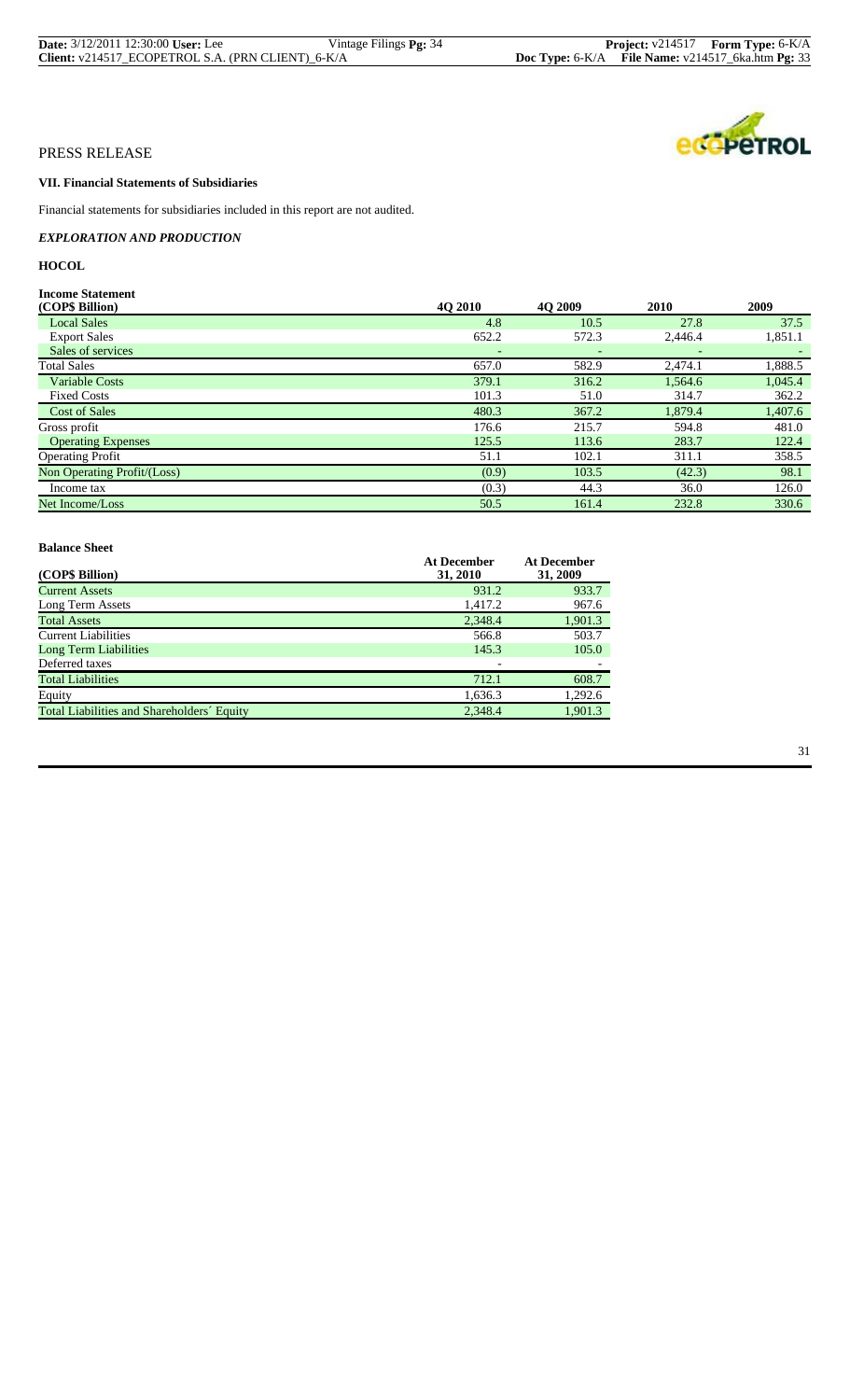| <b>Date:</b> 3/12/2011 12:30:00 User: Lee         | Vintage Filings <b>Pg:</b> 34 |                                                              | <b>Project:</b> $v214517$ <b>Form Type:</b> $6-K/A$ |
|---------------------------------------------------|-------------------------------|--------------------------------------------------------------|-----------------------------------------------------|
| Client: v214517_ECOPETROL S.A. (PRN CLIENT)_6-K/A |                               | <b>Doc Type:</b> $6-K/A$ File Name: $v214517$ 6ka.htm Pg: 33 |                                                     |



# **VII. Financial Statements of Subsidiaries**

Financial statements for subsidiaries included in this report are not audited.

*EXPLORATION AND PRODUCTION*

# **HOCOL**

| <b>Income Statement</b>     |                |                |             |         |
|-----------------------------|----------------|----------------|-------------|---------|
| (COP\$ Billion)             | <b>40 2010</b> | <b>40 2009</b> | <b>2010</b> | 2009    |
| <b>Local Sales</b>          | 4.8            | 10.5           | 27.8        | 37.5    |
| <b>Export Sales</b>         | 652.2          | 572.3          | 2,446.4     | 1,851.1 |
| Sales of services           |                |                |             |         |
| <b>Total Sales</b>          | 657.0          | 582.9          | 2,474.1     | 1,888.5 |
| <b>Variable Costs</b>       | 379.1          | 316.2          | 1,564.6     | 1,045.4 |
| <b>Fixed Costs</b>          | 101.3          | 51.0           | 314.7       | 362.2   |
| <b>Cost of Sales</b>        | 480.3          | 367.2          | 1,879.4     | 1,407.6 |
| Gross profit                | 176.6          | 215.7          | 594.8       | 481.0   |
| <b>Operating Expenses</b>   | 125.5          | 113.6          | 283.7       | 122.4   |
| <b>Operating Profit</b>     | 51.1           | 102.1          | 311.1       | 358.5   |
| Non Operating Profit/(Loss) | (0.9)          | 103.5          | (42.3)      | 98.1    |
| Income tax                  | (0.3)          | 44.3           | 36.0        | 126.0   |
| Net Income/Loss             | 50.5           | 161.4          | 232.8       | 330.6   |

| (COP\$ Billion)                            | <b>At December</b><br>31, 2010 | <b>At December</b><br>31, 2009 |
|--------------------------------------------|--------------------------------|--------------------------------|
| <b>Current Assets</b>                      | 931.2                          | 933.7                          |
| Long Term Assets                           | 1,417.2                        | 967.6                          |
| <b>Total Assets</b>                        | 2,348.4                        | 1,901.3                        |
| <b>Current Liabilities</b>                 | 566.8                          | 503.7                          |
| <b>Long Term Liabilities</b>               | 145.3                          | 105.0                          |
| Deferred taxes                             |                                |                                |
| <b>Total Liabilities</b>                   | 712.1                          | 608.7                          |
| Equity                                     | 1.636.3                        | 1,292.6                        |
| Total Liabilities and Shareholders' Equity | 2.348.4                        | 1,901.3                        |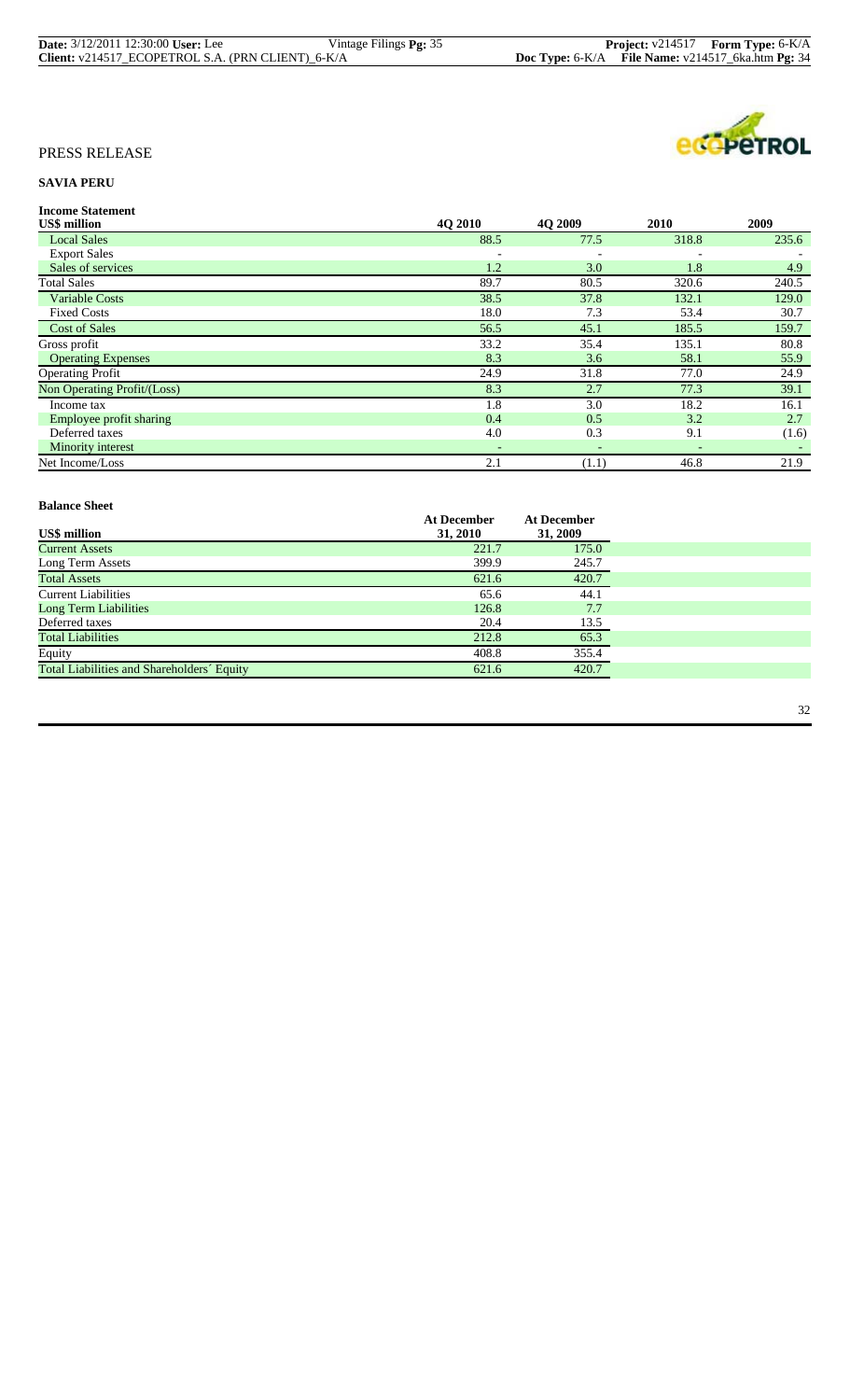| <b>Date:</b> 3/12/2011 12:30:00 User: Lee         | Vintage Filings <b>Pg:</b> 35 |                                                              | <b>Project:</b> $v214517$ <b>Form Type:</b> $6-K/A$ |
|---------------------------------------------------|-------------------------------|--------------------------------------------------------------|-----------------------------------------------------|
| Client: v214517_ECOPETROL S.A. (PRN CLIENT)_6-K/A |                               | <b>Doc Type:</b> $6-K/A$ File Name: $v214517$ 6ka.htm Pg: 34 |                                                     |



# **SAVIA PERU**

| <b>Income Statement</b>     |                          |                          |       |       |
|-----------------------------|--------------------------|--------------------------|-------|-------|
| <b>US\$</b> million         | 4O 2010                  | 4O 2009                  | 2010  | 2009  |
| <b>Local Sales</b>          | 88.5                     | 77.5                     | 318.8 | 235.6 |
| <b>Export Sales</b>         | $\overline{\phantom{a}}$ |                          |       |       |
| Sales of services           | 1.2                      | 3.0                      | 1.8   | 4.9   |
| <b>Total Sales</b>          | 89.7                     | 80.5                     | 320.6 | 240.5 |
| <b>Variable Costs</b>       | 38.5                     | 37.8                     | 132.1 | 129.0 |
| <b>Fixed Costs</b>          | 18.0                     | 7.3                      | 53.4  | 30.7  |
| <b>Cost of Sales</b>        | 56.5                     | 45.1                     | 185.5 | 159.7 |
| Gross profit                | 33.2                     | 35.4                     | 135.1 | 80.8  |
| <b>Operating Expenses</b>   | 8.3                      | 3.6                      | 58.1  | 55.9  |
| <b>Operating Profit</b>     | 24.9                     | 31.8                     | 77.0  | 24.9  |
| Non Operating Profit/(Loss) | 8.3                      | 2.7                      | 77.3  | 39.1  |
| Income tax                  | 1.8                      | 3.0                      | 18.2  | 16.1  |
| Employee profit sharing     | 0.4                      | 0.5                      | 3.2   | 2.7   |
| Deferred taxes              | 4.0                      | 0.3                      | 9.1   | (1.6) |
| Minority interest           | $\overline{\phantom{a}}$ | $\overline{\phantom{0}}$ |       |       |
| Net Income/Loss             | 2.1                      | (1.1)                    | 46.8  | 21.9  |

| ратансе энест                              |                    |                    |
|--------------------------------------------|--------------------|--------------------|
|                                            | <b>At December</b> | <b>At December</b> |
| <b>US\$</b> million                        | 31, 2010           | 31, 2009           |
| <b>Current Assets</b>                      | 221.7              | 175.0              |
| Long Term Assets                           | 399.9              | 245.7              |
| <b>Total Assets</b>                        | 621.6              | 420.7              |
| <b>Current Liabilities</b>                 | 65.6               | 44.1               |
| Long Term Liabilities                      | 126.8              | 7.7                |
| Deferred taxes                             | 20.4               | 13.5               |
| <b>Total Liabilities</b>                   | 212.8              | 65.3               |
| Equity                                     | 408.8              | 355.4              |
| Total Liabilities and Shareholders' Equity | 621.6              | 420.7              |
|                                            |                    |                    |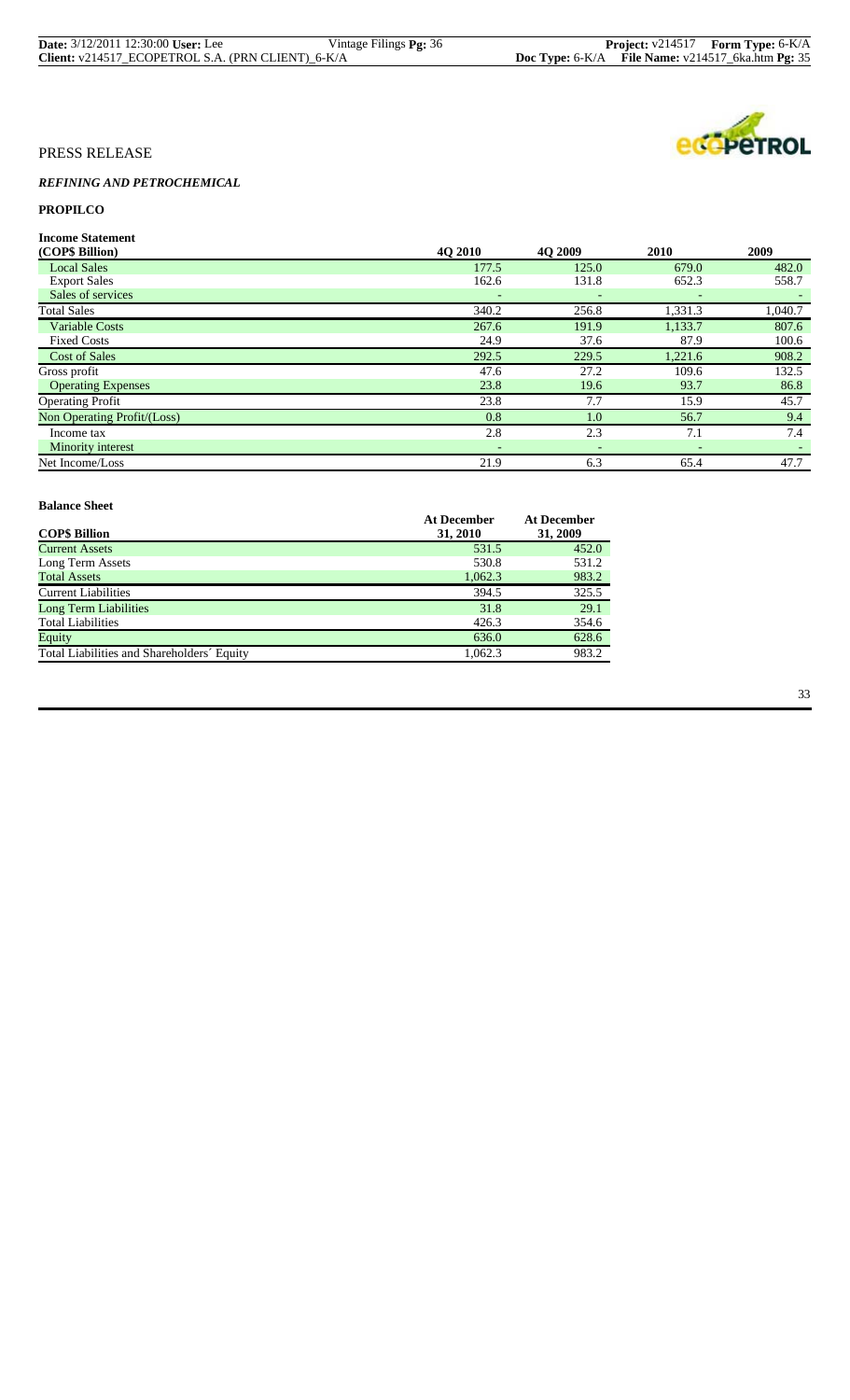| <b>Date:</b> 3/12/2011 12:30:00 User: Lee         | Vintage Filings Pg: 36 |                                                       | <b>Project:</b> $v214517$ <b>Form Type:</b> $6-K/A$ |
|---------------------------------------------------|------------------------|-------------------------------------------------------|-----------------------------------------------------|
| Client: v214517_ECOPETROL S.A. (PRN CLIENT)_6-K/A |                        | Doc Type: $6-K/A$ File Name: $v214517$ 6ka.htm Pg: 35 |                                                     |



# *REFINING AND PETROCHEMICAL*

# **PROPILCO**

**Income Statement**

| (COP\$ Billion)             | 4O 2010                  | 4O 2009                  | 2010    | 2009    |
|-----------------------------|--------------------------|--------------------------|---------|---------|
| <b>Local Sales</b>          | 177.5                    | 125.0                    | 679.0   | 482.0   |
| <b>Export Sales</b>         | 162.6                    | 131.8                    | 652.3   | 558.7   |
| Sales of services           |                          |                          |         |         |
| <b>Total Sales</b>          | 340.2                    | 256.8                    | 1,331.3 | 1,040.7 |
| <b>Variable Costs</b>       | 267.6                    | 191.9                    | 1,133.7 | 807.6   |
| <b>Fixed Costs</b>          | 24.9                     | 37.6                     | 87.9    | 100.6   |
| <b>Cost of Sales</b>        | 292.5                    | 229.5                    | 1,221.6 | 908.2   |
| Gross profit                | 47.6                     | 27.2                     | 109.6   | 132.5   |
| <b>Operating Expenses</b>   | 23.8                     | 19.6                     | 93.7    | 86.8    |
| <b>Operating Profit</b>     | 23.8                     | 7.7                      | 15.9    | 45.7    |
| Non Operating Profit/(Loss) | 0.8                      | 1.0                      | 56.7    | 9.4     |
| Income tax                  | 2.8                      | 2.3                      | 7.1     | 7.4     |
| Minority interest           | $\overline{\phantom{a}}$ | $\overline{\phantom{a}}$ |         |         |
| Net Income/Loss             | 21.9                     | 6.3                      | 65.4    | 47.7    |

| ратансе энест                              |                                |                                |
|--------------------------------------------|--------------------------------|--------------------------------|
| <b>COPS Billion</b>                        | <b>At December</b><br>31, 2010 | <b>At December</b><br>31, 2009 |
| <b>Current Assets</b>                      | 531.5                          | 452.0                          |
| Long Term Assets                           | 530.8                          | 531.2                          |
| <b>Total Assets</b>                        | 1,062.3                        | 983.2                          |
| <b>Current Liabilities</b>                 | 394.5                          | 325.5                          |
| Long Term Liabilities                      | 31.8                           | 29.1                           |
| <b>Total Liabilities</b>                   | 426.3                          | 354.6                          |
| Equity                                     | 636.0                          | 628.6                          |
| Total Liabilities and Shareholders' Equity | 1,062.3                        | 983.2                          |
|                                            |                                |                                |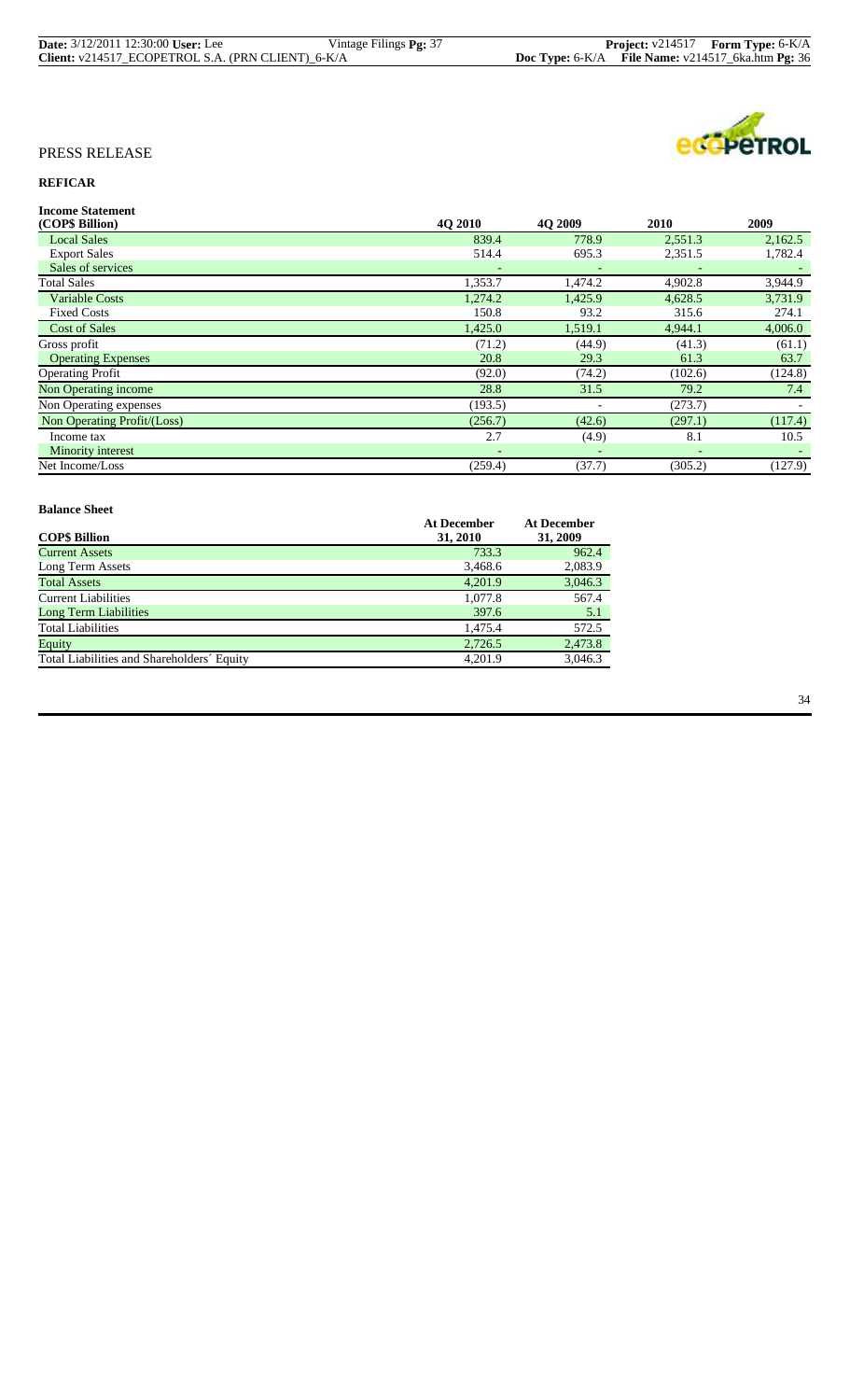| <b>Date:</b> 3/12/2011 12:30:00 User: Lee         | Vintage Filings <b>Pg:</b> 37 |                                                       | <b>Project:</b> v214517 <b>Form Type:</b> 6-K/A |
|---------------------------------------------------|-------------------------------|-------------------------------------------------------|-------------------------------------------------|
| Client: v214517_ECOPETROL S.A. (PRN CLIENT)_6-K/A |                               | Doc Type: $6-K/A$ File Name: $v214517$ 6ka.htm Pg: 36 |                                                 |



# **REFICAR**

| <b>40 2010</b> | 4O 2009                  | 2010    | 2009    |
|----------------|--------------------------|---------|---------|
| 839.4          | 778.9                    | 2,551.3 | 2,162.5 |
| 514.4          | 695.3                    | 2,351.5 | 1,782.4 |
|                |                          |         |         |
| 1,353.7        | 1,474.2                  | 4,902.8 | 3,944.9 |
| 1,274.2        | 1,425.9                  | 4,628.5 | 3,731.9 |
| 150.8          | 93.2                     | 315.6   | 274.1   |
| 1,425.0        | 1,519.1                  | 4,944.1 | 4,006.0 |
| (71.2)         | (44.9)                   | (41.3)  | (61.1)  |
| 20.8           | 29.3                     | 61.3    | 63.7    |
| (92.0)         | (74.2)                   | (102.6) | (124.8) |
| 28.8           | 31.5                     | 79.2    | 7.4     |
| (193.5)        | $\overline{\phantom{a}}$ | (273.7) |         |
| (256.7)        | (42.6)                   | (297.1) | (117.4) |
| 2.7            | (4.9)                    | 8.1     | 10.5    |
|                |                          |         |         |
| (259.4)        | (37.7)                   | (305.2) | (127.9) |
|                |                          |         |         |

#### **Balance Sheet Balance Sheet**

| <b>At December</b><br>31, 2010 | <b>At December</b><br>31, 2009 |
|--------------------------------|--------------------------------|
| 733.3                          | 962.4                          |
| 3,468.6                        | 2,083.9                        |
| 4.201.9                        | 3,046.3                        |
| 1,077.8                        | 567.4                          |
| 397.6                          | 5.1                            |
| 1.475.4                        | 572.5                          |
| 2,726.5                        | 2,473.8                        |
| 4.201.9                        | 3,046.3                        |
|                                |                                |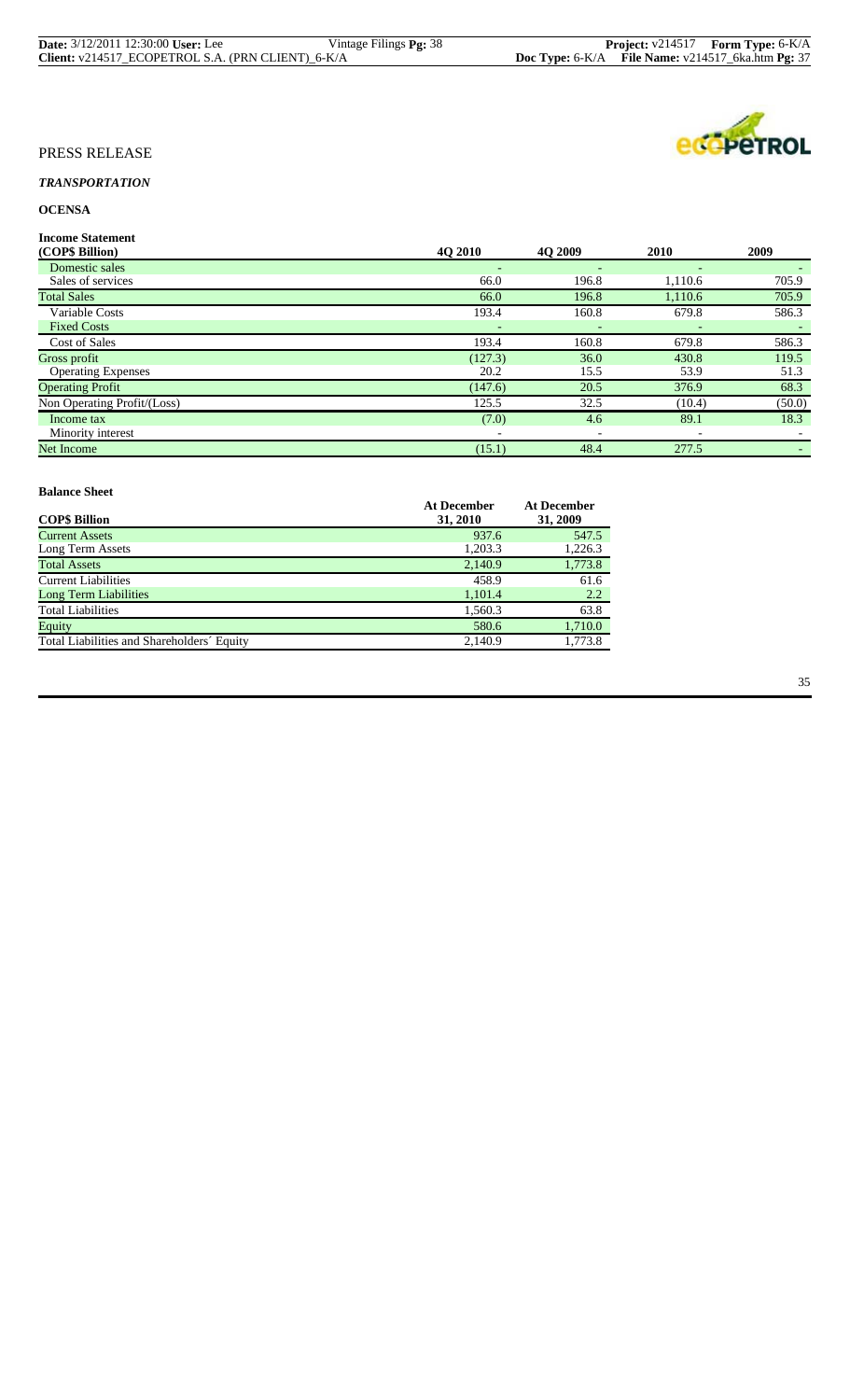| <b>Date:</b> 3/12/2011 12:30:00 User: Lee         | Vintage Filings <b>Pg:</b> 38 |                                                   | <b>Project:</b> $v214517$ <b>Form Type:</b> $6-K/A$ |
|---------------------------------------------------|-------------------------------|---------------------------------------------------|-----------------------------------------------------|
| Client: v214517_ECOPETROL S.A. (PRN CLIENT)_6-K/A |                               | Doc Type: 6-K/A File Name: v214517_6ka.htm Pg: 37 |                                                     |

# ecopeTROL

# PRESS RELEASE

# *TRANSPORTATION*

# **OCENSA**

**Income Statement**

| 4O 2010                  | <b>40 2009</b>           | 2010    | 2009   |
|--------------------------|--------------------------|---------|--------|
| $\overline{\phantom{a}}$ | ٠                        |         |        |
| 66.0                     | 196.8                    | 1,110.6 | 705.9  |
| 66.0                     | 196.8                    | 1,110.6 | 705.9  |
| 193.4                    | 160.8                    | 679.8   | 586.3  |
|                          |                          |         |        |
| 193.4                    | 160.8                    | 679.8   | 586.3  |
| (127.3)                  | 36.0                     | 430.8   | 119.5  |
| 20.2                     | 15.5                     | 53.9    | 51.3   |
| (147.6)                  | 20.5                     | 376.9   | 68.3   |
| 125.5                    | 32.5                     | (10.4)  | (50.0) |
| (7.0)                    | 4.6                      | 89.1    | 18.3   |
| $\overline{\phantom{a}}$ | $\overline{\phantom{a}}$ |         |        |
| (15.1)                   | 48.4                     | 277.5   |        |
|                          |                          |         |        |

| Daiance Sheet                              |                                |                                |
|--------------------------------------------|--------------------------------|--------------------------------|
| <b>COP\$ Billion</b>                       | <b>At December</b><br>31, 2010 | <b>At December</b><br>31, 2009 |
| <b>Current Assets</b>                      | 937.6                          | 547.5                          |
| Long Term Assets                           | 1,203.3                        | 1,226.3                        |
| <b>Total Assets</b>                        | 2,140.9                        | 1,773.8                        |
| <b>Current Liabilities</b>                 | 458.9                          | 61.6                           |
| <b>Long Term Liabilities</b>               | 1,101.4                        | 2.2                            |
| <b>Total Liabilities</b>                   | 1,560.3                        | 63.8                           |
| Equity                                     | 580.6                          | 1,710.0                        |
| Total Liabilities and Shareholders' Equity | 2.140.9                        | 1,773.8                        |
|                                            |                                |                                |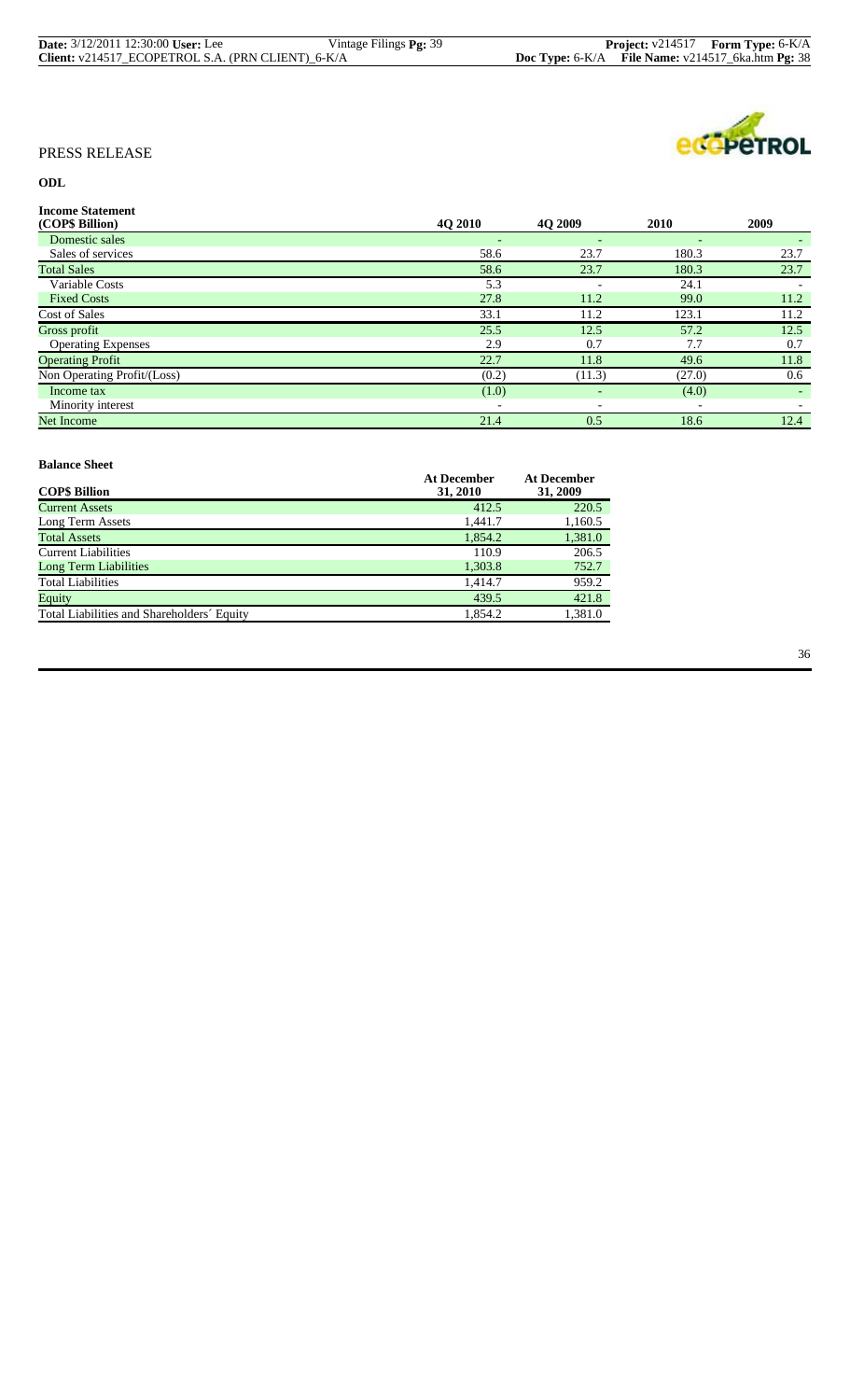| <b>Date:</b> 3/12/2011 12:30:00 User: Lee         | Vintage Filings <b>Pg:</b> 39 | <b>Project:</b> $v214517$ <b>Form Type:</b> $6-K/A$   |
|---------------------------------------------------|-------------------------------|-------------------------------------------------------|
| Client: v214517_ECOPETROL S.A. (PRN CLIENT)_6-K/A |                               | Doc Type: $6-K/A$ File Name: $v214517$ 6ka.htm Pg: 38 |



# **ODL**

| <b>Income Statement</b>     |                          |                          |                          |        |
|-----------------------------|--------------------------|--------------------------|--------------------------|--------|
| (COP\$ Billion)             | 4Q 2010                  | <b>40 2009</b>           | <b>2010</b>              | 2009   |
| Domestic sales              | $\overline{\phantom{a}}$ | $\qquad \qquad -$        | $\overline{\phantom{0}}$ |        |
| Sales of services           | 58.6                     | 23.7                     | 180.3                    | 23.7   |
| <b>Total Sales</b>          | 58.6                     | 23.7                     | 180.3                    | 23.7   |
| Variable Costs              | 5.3                      | $\overline{\phantom{0}}$ | 24.1                     |        |
| <b>Fixed Costs</b>          | 27.8                     | 11.2                     | 99.0                     | 11.2   |
| Cost of Sales               | 33.1                     | 11.2                     | 123.1                    | 11.2   |
| Gross profit                | 25.5                     | 12.5                     | 57.2                     | 12.5   |
| <b>Operating Expenses</b>   | 2.9                      | 0.7                      | 7.7                      | 0.7    |
| <b>Operating Profit</b>     | 22.7                     | 11.8                     | 49.6                     | 11.8   |
| Non Operating Profit/(Loss) | (0.2)                    | (11.3)                   | (27.0)                   | 0.6    |
| Income tax                  | (1.0)                    | $\overline{\phantom{0}}$ | (4.0)                    | $\sim$ |
| Minority interest           | $\overline{\phantom{a}}$ | $\overline{\phantom{a}}$ | $\overline{\phantom{a}}$ |        |
| <b>Net Income</b>           | 21.4                     | 0.5                      | 18.6                     | 12.4   |

#### **Balance Sheet Balance Sheet**

| <b>COP\$ Billion</b>                       | <b>At December</b><br>31, 2010 | <b>At December</b><br>31, 2009 |
|--------------------------------------------|--------------------------------|--------------------------------|
| <b>Current Assets</b>                      | 412.5                          | 220.5                          |
| Long Term Assets                           | 1,441.7                        | 1,160.5                        |
| <b>Total Assets</b>                        | 1.854.2                        | 1,381.0                        |
| Current Liabilities                        | 110.9                          | 206.5                          |
| <b>Long Term Liabilities</b>               | 1,303.8                        | 752.7                          |
| <b>Total Liabilities</b>                   | 1.414.7                        | 959.2                          |
| Equity                                     | 439.5                          | 421.8                          |
| Total Liabilities and Shareholders' Equity | 1.854.2                        | 1,381.0                        |

36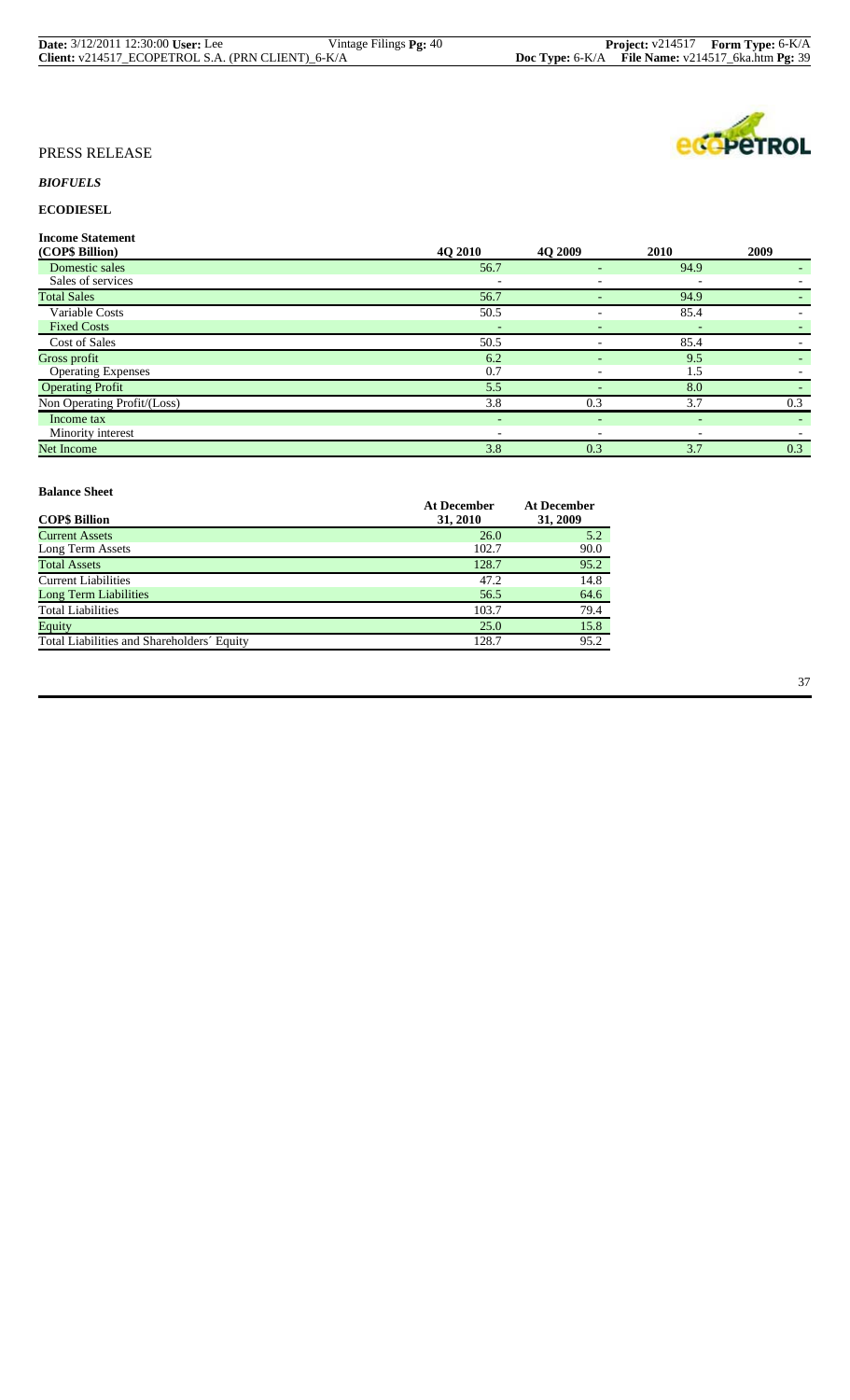| <b>Date:</b> 3/12/2011 12:30:00 User: Lee         | Vintage Filings <b>Pg:</b> 40 |                                                              | <b>Project:</b> $v214517$ <b>Form Type:</b> $6-K/A$ |
|---------------------------------------------------|-------------------------------|--------------------------------------------------------------|-----------------------------------------------------|
| Client: v214517_ECOPETROL S.A. (PRN CLIENT)_6-K/A |                               | <b>Doc Type:</b> $6-K/A$ File Name: $v214517$ 6ka.htm Pg: 39 |                                                     |

# ecopeTROL

# PRESS RELEASE

# *BIOFUELS*

# **ECODIESEL**

**Income Statement**

| (COP\$ Billion)             | 4Q 2010                  | 4Q 2009                  | 2010                     | 2009   |
|-----------------------------|--------------------------|--------------------------|--------------------------|--------|
| Domestic sales              | 56.7                     |                          | 94.9                     |        |
| Sales of services           |                          |                          |                          |        |
| <b>Total Sales</b>          | 56.7                     |                          | 94.9                     |        |
| Variable Costs              | 50.5                     |                          | 85.4                     |        |
| <b>Fixed Costs</b>          |                          | -                        |                          |        |
| <b>Cost of Sales</b>        | 50.5                     |                          | 85.4                     |        |
| Gross profit                | 6.2                      |                          | 9.5                      |        |
| <b>Operating Expenses</b>   | 0.7                      |                          | 1.5                      |        |
| <b>Operating Profit</b>     | 5.5                      |                          | 8.0                      |        |
| Non Operating Profit/(Loss) | 3.8                      | 0.3                      | 3.7                      | 0.3    |
| Income tax                  | ٠                        | ۰.                       | $\overline{\phantom{a}}$ | $\sim$ |
| Minority interest           | $\overline{\phantom{a}}$ | $\overline{\phantom{0}}$ |                          |        |
| Net Income                  | 3.8                      | 0.3                      | 3.7                      | 0.3    |
|                             |                          |                          |                          |        |

| Daiance Sheet                              |                                |                                |
|--------------------------------------------|--------------------------------|--------------------------------|
| <b>COPS Billion</b>                        | <b>At December</b><br>31, 2010 | <b>At December</b><br>31, 2009 |
| <b>Current Assets</b>                      | 26.0                           | 5.2                            |
| Long Term Assets                           | 102.7                          | 90.0                           |
| <b>Total Assets</b>                        | 128.7                          | 95.2                           |
| <b>Current Liabilities</b>                 | 47.2                           | 14.8                           |
| <b>Long Term Liabilities</b>               | 56.5                           | 64.6                           |
| <b>Total Liabilities</b>                   | 103.7                          | 79.4                           |
| Equity                                     | 25.0                           | 15.8                           |
| Total Liabilities and Shareholders' Equity | 128.7                          | 95.2                           |
|                                            |                                |                                |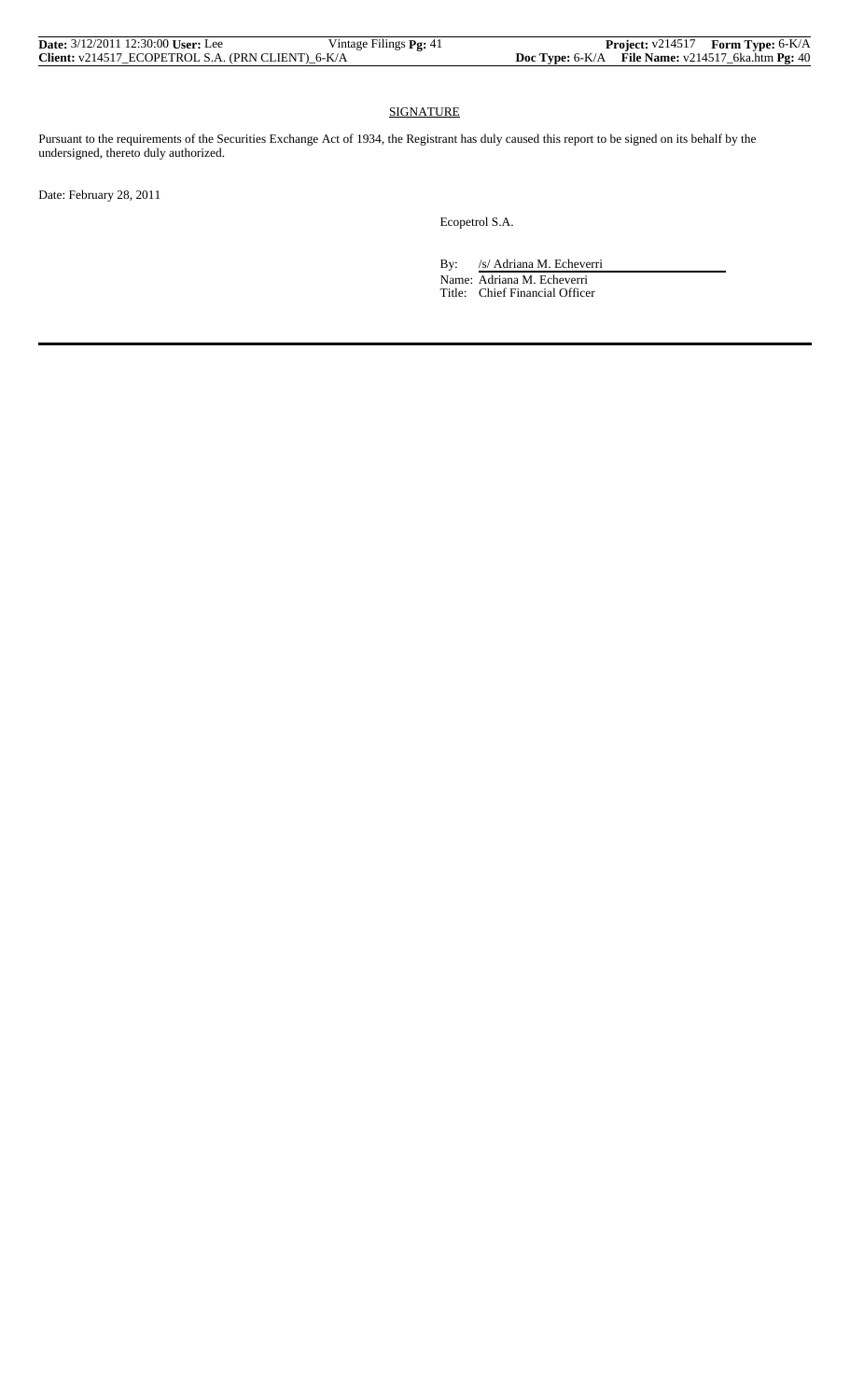| <b>Date:</b> 3/12/2011 12:30:00 User: Lee         | Vintage Filings Pg: 41 |                                                                            | <b>Project:</b> v214517 Form Type: 6-K/A |
|---------------------------------------------------|------------------------|----------------------------------------------------------------------------|------------------------------------------|
| Client: v214517 ECOPETROL S.A. (PRN CLIENT) 6-K/A |                        | <b>Doc Type:</b> $6-K/A$ <b>File Name:</b> $v214517$ 6ka.htm <b>Pg:</b> 40 |                                          |

# SIGNATURE

Pursuant to the requirements of the Securities Exchange Act of 1934, the Registrant has duly caused this report to be signed on its behalf by the undersigned, thereto duly authorized.

Date: February 28, 2011

Ecopetrol S.A.

By: /s/ Adriana M. Echeverri Name: Adriana M. Echeverri

Title: Chief Financial Officer